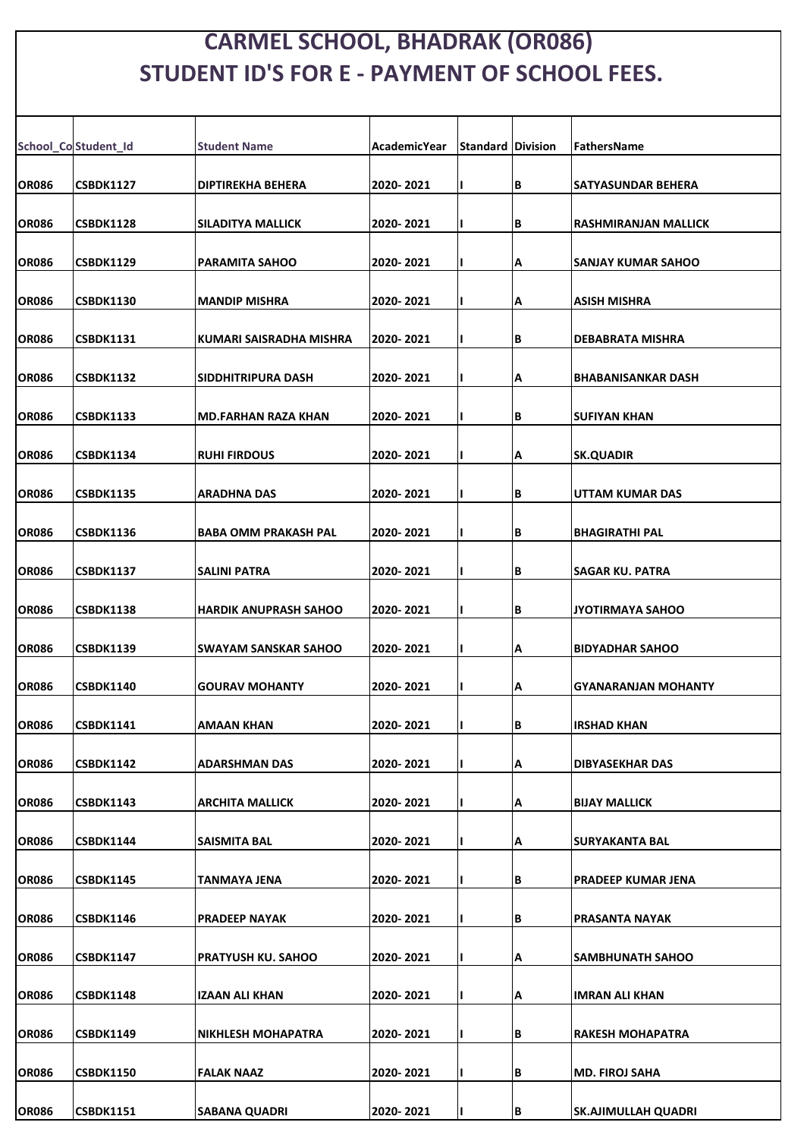## **CARMEL SCHOOL, BHADRAK (OR086) STUDENT ID'S FOR E - PAYMENT OF SCHOOL FEES.**

|              | School_Co Student_Id | <b>Student Name</b>          | <b>AcademicYear</b> | <b>Standard Division</b> |    | <b>FathersName</b>          |
|--------------|----------------------|------------------------------|---------------------|--------------------------|----|-----------------------------|
| <b>OR086</b> | <b>CSBDK1127</b>     | <b>DIPTIREKHA BEHERA</b>     | 2020-2021           |                          | B  | SATYASUNDAR BEHERA          |
| <b>OR086</b> | <b>CSBDK1128</b>     | <b>SILADITYA MALLICK</b>     | 2020-2021           |                          | lВ | <b>RASHMIRANJAN MALLICK</b> |
| <b>OR086</b> | <b>CSBDK1129</b>     | <b>PARAMITA SAHOO</b>        | 2020-2021           |                          | Α  | SANJAY KUMAR SAHOO          |
| <b>OR086</b> | <b>CSBDK1130</b>     | <b>MANDIP MISHRA</b>         | 2020-2021           |                          | А  | <b>ASISH MISHRA</b>         |
| <b>OR086</b> | <b>CSBDK1131</b>     | KUMARI SAISRADHA MISHRA      | 2020- 2021          |                          | B  | DEBABRATA MISHRA            |
| <b>OR086</b> | <b>CSBDK1132</b>     | <b>SIDDHITRIPURA DASH</b>    | 2020-2021           |                          | А  | <b>BHABANISANKAR DASH</b>   |
| <b>OR086</b> | <b>CSBDK1133</b>     | <b>MD.FARHAN RAZA KHAN</b>   | 2020-2021           |                          | B  | <b>SUFIYAN KHAN</b>         |
| <b>OR086</b> | <b>CSBDK1134</b>     | <b>RUHI FIRDOUS</b>          | 2020-2021           |                          | А  | <b>SK.QUADIR</b>            |
| <b>OR086</b> | <b>CSBDK1135</b>     | <b>ARADHNA DAS</b>           | 2020-2021           |                          | B  | UTTAM KUMAR DAS             |
| <b>OR086</b> | <b>CSBDK1136</b>     | <b>BABA OMM PRAKASH PAL</b>  | 2020-2021           |                          | B  | <b>BHAGIRATHI PAL</b>       |
| <b>OR086</b> | <b>CSBDK1137</b>     | <b>SALINI PATRA</b>          | 2020-2021           |                          | B  | SAGAR KU. PATRA             |
| <b>OR086</b> | <b>CSBDK1138</b>     | <b>HARDIK ANUPRASH SAHOO</b> | 2020-2021           |                          | B  | <b>JYOTIRMAYA SAHOO</b>     |
| <b>OR086</b> | <b>CSBDK1139</b>     | <b>SWAYAM SANSKAR SAHOO</b>  | 2020-2021           |                          | Α  | <b>BIDYADHAR SAHOO</b>      |
| <b>OR086</b> | <b>CSBDK1140</b>     | <b>GOURAV MOHANTY</b>        | 2020-2021           |                          | Α  | <b>GYANARANJAN MOHANTY</b>  |
| <b>OR086</b> | <b>CSBDK1141</b>     | <b>AMAAN KHAN</b>            | 2020-2021           |                          | B  | <b>IRSHAD KHAN</b>          |
| <b>OR086</b> | <b>CSBDK1142</b>     | <b>ADARSHMAN DAS</b>         | 2020-2021           |                          | А  | DIBYASEKHAR DAS             |
| <b>OR086</b> | <b>CSBDK1143</b>     | <b>ARCHITA MALLICK</b>       | 2020-2021           |                          | Α  | <b>BIJAY MALLICK</b>        |
| <b>OR086</b> | <b>CSBDK1144</b>     | <b>SAISMITA BAL</b>          | 2020-2021           |                          | Α  | SURYAKANTA BAL              |
| <b>OR086</b> | <b>CSBDK1145</b>     | <b>TANMAYA JENA</b>          | 2020-2021           |                          | B  | PRADEEP KUMAR JENA          |
| <b>OR086</b> | <b>CSBDK1146</b>     | <b>PRADEEP NAYAK</b>         | 2020-2021           |                          | B  | PRASANTA NAYAK              |
| <b>OR086</b> | <b>CSBDK1147</b>     | <b>PRATYUSH KU. SAHOO</b>    | 2020-2021           |                          | А  | SAMBHUNATH SAHOO            |
| <b>OR086</b> | <b>CSBDK1148</b>     | <b>IZAAN ALI KHAN</b>        | 2020-2021           |                          | Α  | <b>IMRAN ALI KHAN</b>       |
| <b>OR086</b> | <b>CSBDK1149</b>     | <b>NIKHLESH MOHAPATRA</b>    | 2020-2021           |                          | B  | <b>RAKESH MOHAPATRA</b>     |
| <b>OR086</b> | <b>CSBDK1150</b>     | <b>FALAK NAAZ</b>            | 2020-2021           |                          | B  | <b>MD. FIROJ SAHA</b>       |
| <b>OR086</b> | <b>CSBDK1151</b>     | <b>SABANA QUADRI</b>         | 2020-2021           |                          | B  | <b>SK.AJIMULLAH QUADRI</b>  |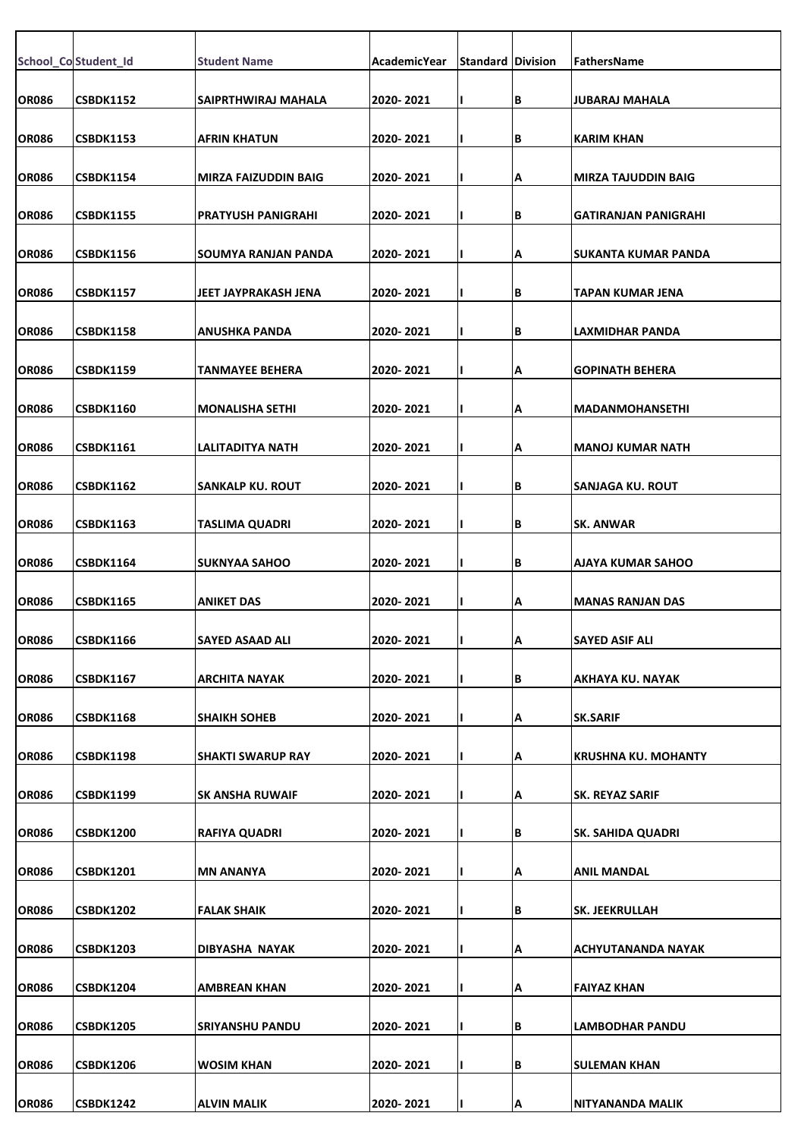|              | School_Co Student_Id | <b>Student Name</b>       | <b>AcademicYear</b> | <b>Standard Division</b> |   | FathersName                 |
|--------------|----------------------|---------------------------|---------------------|--------------------------|---|-----------------------------|
|              |                      |                           |                     |                          |   |                             |
| <b>OR086</b> | CSBDK1152            | SAIPRTHWIRAJ MAHALA       | 2020-2021           |                          | В | <b>JUBARAJ MAHALA</b>       |
| <b>OR086</b> | <b>CSBDK1153</b>     | AFRIN KHATUN              | 2020-2021           |                          | В | <b>KARIM KHAN</b>           |
| <b>OR086</b> | CSBDK1154            | MIRZA FAIZUDDIN BAIG      | 2020-2021           |                          | А | <b>MIRZA TAJUDDIN BAIG</b>  |
| <b>OR086</b> | <b>CSBDK1155</b>     | <b>PRATYUSH PANIGRAHI</b> | 2020-2021           |                          | В | <b>GATIRANJAN PANIGRAHI</b> |
| <b>OR086</b> | CSBDK1156            | SOUMYA RANJAN PANDA       | 2020-2021           |                          | А | SUKANTA KUMAR PANDA         |
| <b>OR086</b> | <b>CSBDK1157</b>     | JEET JAYPRAKASH JENA      | 2020-2021           |                          | В | <b>TAPAN KUMAR JENA</b>     |
| <b>OR086</b> | <b>CSBDK1158</b>     | ANUSHKA PANDA             | 2020- 2021          |                          | В | LAXMIDHAR PANDA             |
| <b>OR086</b> | <b>CSBDK1159</b>     | TANMAYEE BEHERA           | 2020-2021           |                          | А | <b>GOPINATH BEHERA</b>      |
| <b>OR086</b> | CSBDK1160            | <b>MONALISHA SETHI</b>    | 2020-2021           |                          | А | <b>MADANMOHANSETHI</b>      |
| <b>OR086</b> | CSBDK1161            | LALITADITYA NATH          | 2020- 2021          |                          | А | <b>MANOJ KUMAR NATH</b>     |
| <b>OR086</b> | CSBDK1162            | <b>SANKALP KU. ROUT</b>   | 2020-2021           |                          | В | <b>SANJAGA KU. ROUT</b>     |
| <b>OR086</b> | <b>CSBDK1163</b>     | <b>TASLIMA QUADRI</b>     | 2020-2021           |                          | В | <b>SK. ANWAR</b>            |
| <b>OR086</b> | CSBDK1164            | <b>SUKNYAA SAHOO</b>      | 2020-2021           |                          | В | <b>AJAYA KUMAR SAHOO</b>    |
| <b>OR086</b> | CSBDK1165            | ANIKET DAS                | 2020-2021           |                          | А | <b>MANAS RANJAN DAS</b>     |
| <b>OR086</b> | <b>CSBDK1166</b>     | <b>SAYED ASAAD ALI</b>    | 2020-2021           |                          | A | <b>SAYED ASIF ALI</b>       |
| <b>OR086</b> | <b>CSBDK1167</b>     | <b>ARCHITA NAYAK</b>      | 2020-2021           |                          | В | <b>AKHAYA KU. NAYAK</b>     |
| <b>OR086</b> | <b>CSBDK1168</b>     | <b>SHAIKH SOHEB</b>       | 2020-2021           |                          | А | <b>SK.SARIF</b>             |
| <b>OR086</b> | CSBDK1198            | <b>SHAKTI SWARUP RAY</b>  | 2020- 2021          |                          | А | <b>KRUSHNA KU. MOHANTY</b>  |
| <b>OR086</b> | <b>CSBDK1199</b>     | SK ANSHA RUWAIF           | 2020- 2021          |                          | А | <b>SK. REYAZ SARIF</b>      |
| <b>OR086</b> | <b>CSBDK1200</b>     | RAFIYA QUADRI             | 2020-2021           |                          | В | SK. SAHIDA QUADRI           |
| <b>OR086</b> | <b>CSBDK1201</b>     | <b>MN ANANYA</b>          | 2020-2021           |                          | А | <b>ANIL MANDAL</b>          |
| <b>OR086</b> | <b>CSBDK1202</b>     | FALAK SHAIK               | 2020- 2021          |                          | В | <b>SK. JEEKRULLAH</b>       |
| <b>OR086</b> | <b>CSBDK1203</b>     | DIBYASHA NAYAK            | 2020-2021           |                          | А | ACHYUTANANDA NAYAK          |
| <b>OR086</b> | <b>CSBDK1204</b>     | AMBREAN KHAN              | 2020-2021           |                          | А | <b>FAIYAZ KHAN</b>          |
| <b>OR086</b> | <b>CSBDK1205</b>     | <b>SRIYANSHU PANDU</b>    | 2020-2021           |                          | В | LAMBODHAR PANDU             |
|              |                      |                           |                     |                          |   |                             |
| <b>OR086</b> | <b>CSBDK1206</b>     | <b>WOSIM KHAN</b>         | 2020-2021           |                          | В | <b>SULEMAN KHAN</b>         |
| <b>OR086</b> | <b>CSBDK1242</b>     | ALVIN MALIK               | 2020-2021           |                          | А | NITYANANDA MALIK            |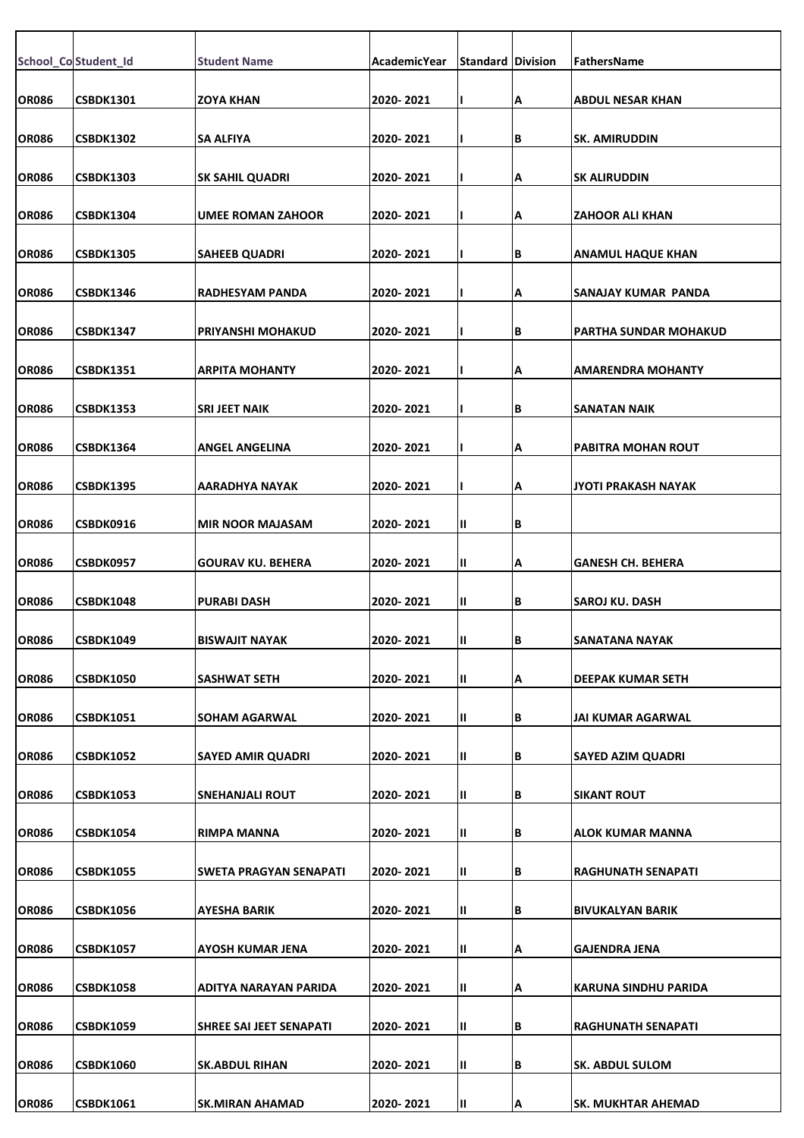|              | School_Co Student_Id | <b>Student Name</b>           | <b>AcademicYear</b> | <b>Standard Division</b> |   | <b>FathersName</b>        |
|--------------|----------------------|-------------------------------|---------------------|--------------------------|---|---------------------------|
| <b>OR086</b> | <b>CSBDK1301</b>     | <b>ZOYA KHAN</b>              | 2020-2021           |                          | А | <b>ABDUL NESAR KHAN</b>   |
| <b>OR086</b> | <b>CSBDK1302</b>     | <b>SA ALFIYA</b>              | 2020-2021           |                          | B | ISK. AMIRUDDIN            |
| <b>OR086</b> | <b>CSBDK1303</b>     | <b>SK SAHIL QUADRI</b>        | 2020-2021           |                          | Α | <b>SK ALIRUDDIN</b>       |
|              |                      |                               |                     |                          |   |                           |
| <b>OR086</b> | <b>CSBDK1304</b>     | <b>UMEE ROMAN ZAHOOR</b>      | 2020-2021           |                          | Α | <b>ZAHOOR ALI KHAN</b>    |
| <b>OR086</b> | <b>CSBDK1305</b>     | <b>SAHEEB QUADRI</b>          | 2020-2021           |                          | В | <b>ANAMUL HAQUE KHAN</b>  |
| <b>OR086</b> | <b>CSBDK1346</b>     | <b>RADHESYAM PANDA</b>        | 2020-2021           |                          | А | SANAJAY KUMAR PANDA       |
| <b>OR086</b> | <b>CSBDK1347</b>     | PRIYANSHI MOHAKUD             | 2020- 2021          |                          | B | PARTHA SUNDAR MOHAKUD     |
| <b>OR086</b> | <b>CSBDK1351</b>     | <b>ARPITA MOHANTY</b>         | 2020-2021           |                          | Α | AMARENDRA MOHANTY         |
| <b>OR086</b> | <b>CSBDK1353</b>     | <b>SRI JEET NAIK</b>          | 2020-2021           |                          | B | <b>SANATAN NAIK</b>       |
| <b>OR086</b> | <b>CSBDK1364</b>     | <b>ANGEL ANGELINA</b>         | 2020-2021           |                          | А | PABITRA MOHAN ROUT        |
| <b>OR086</b> | <b>CSBDK1395</b>     | <b>AARADHYA NAYAK</b>         | 2020-2021           |                          | А | JYOTI PRAKASH NAYAK       |
| OR086        | CSBDK0916            | <b>MIR NOOR MAJASAM</b>       | 2020-2021           | Ш                        | B |                           |
| <b>OR086</b> | CSBDK0957            | <b>GOURAV KU. BEHERA</b>      | 2020-2021           | Ш                        | А | <b>GANESH CH. BEHERA</b>  |
|              |                      |                               |                     |                          |   |                           |
| <b>OR086</b> | <b>CSBDK1048</b>     | <b>PURABI DASH</b>            | 2020-2021           | Ш.                       | B | ISAROJ KU. DASH           |
| OR086        | CSBDK1049            | <b>BISWAJIT NAYAK</b>         | 2020-2021           | Ш                        | B | SANATANA NAYAK            |
| <b>OR086</b> | <b>CSBDK1050</b>     | <b>SASHWAT SETH</b>           | 2020-2021           | Ш                        | А | DEEPAK KUMAR SETH         |
| <b>OR086</b> | <b>CSBDK1051</b>     | SOHAM AGARWAL                 | 2020-2021           | П.                       | В | JAI KUMAR AGARWAL         |
| <b>OR086</b> | <b>CSBDK1052</b>     | <b>SAYED AMIR QUADRI</b>      | 2020-2021           | $\mathbf{II}$            | В | <b>SAYED AZIM QUADRI</b>  |
| <b>OR086</b> | <b>CSBDK1053</b>     | <b>SNEHANJALI ROUT</b>        | 2020-2021           | Ш.                       | B | <b>SIKANT ROUT</b>        |
| <b>OR086</b> | <b>CSBDK1054</b>     | <b>RIMPA MANNA</b>            | 2020-2021           | Ш                        | В | ALOK KUMAR MANNA          |
| <b>OR086</b> | <b>CSBDK1055</b>     | <b>SWETA PRAGYAN SENAPATI</b> | 2020-2021           | Ш                        | B | <b>RAGHUNATH SENAPATI</b> |
| <b>OR086</b> | <b>CSBDK1056</b>     | <b>AYESHA BARIK</b>           | 2020-2021           | $\mathbf{II}$            | В | BIVUKALYAN BARIK          |
|              |                      |                               |                     |                          |   |                           |
| <b>OR086</b> | <b>CSBDK1057</b>     | <b>AYOSH KUMAR JENA</b>       | 2020-2021           | Ш.                       | А | <b>GAJENDRA JENA</b>      |
| <b>OR086</b> | <b>CSBDK1058</b>     | ADITYA NARAYAN PARIDA         | 2020-2021           | Ш                        | Α | KARUNA SINDHU PARIDA      |
| <b>OR086</b> | <b>CSBDK1059</b>     | SHREE SAI JEET SENAPATI       | 2020-2021           | $\mathbf{II}$            | В | <b>RAGHUNATH SENAPATI</b> |
| <b>OR086</b> | <b>CSBDK1060</b>     | <b>SK.ABDUL RIHAN</b>         | 2020-2021           | $\mathbf{II}$            | B | <b>SK. ABDUL SULOM</b>    |
| <b>OR086</b> | <b>CSBDK1061</b>     | <b>SK.MIRAN AHAMAD</b>        | 2020-2021           | Ш                        | A | <b>SK. MUKHTAR AHEMAD</b> |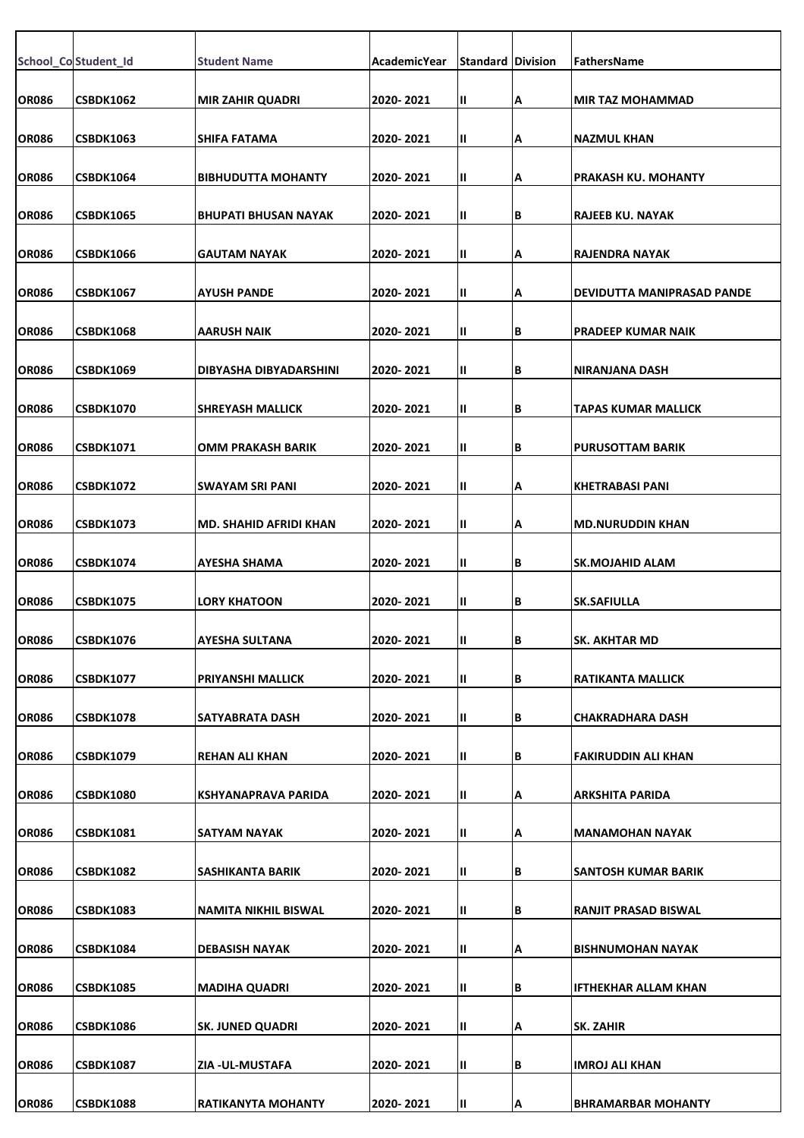|              | School_Co Student_Id | <b>Student Name</b>           | AcademicYear | <b>Standard Division</b> |    | FathersName                 |
|--------------|----------------------|-------------------------------|--------------|--------------------------|----|-----------------------------|
| <b>OR086</b> | CSBDK1062            | <b>MIR ZAHIR QUADRI</b>       | 2020-2021    | Ш                        | A  | <b>MIR TAZ MOHAMMAD</b>     |
| <b>OR086</b> | <b>CSBDK1063</b>     | <b>SHIFA FATAMA</b>           | 2020-2021    | Ш                        | A  | <b>NAZMUL KHAN</b>          |
|              |                      |                               |              |                          |    |                             |
| <b>OR086</b> | CSBDK1064            | <b>BIBHUDUTTA MOHANTY</b>     | 2020-2021    | Ш                        | A  | <b>PRAKASH KU. MOHANTY</b>  |
| <b>OR086</b> | <b>CSBDK1065</b>     | <b>BHUPATI BHUSAN NAYAK</b>   | 2020-2021    | Ш                        | B  | <b>RAJEEB KU. NAYAK</b>     |
| <b>OR086</b> | <b>CSBDK1066</b>     | <b>GAUTAM NAYAK</b>           | 2020- 2021   | Ш                        | A  | RAJENDRA NAYAK              |
| <b>OR086</b> | <b>CSBDK1067</b>     | <b>AYUSH PANDE</b>            | 2020-2021    | Ш                        | A  | DEVIDUTTA MANIPRASAD PANDE  |
| <b>OR086</b> | <b>CSBDK1068</b>     | <b>AARUSH NAIK</b>            | 2020-2021    | Ш                        | IΒ | <b>PRADEEP KUMAR NAIK</b>   |
| <b>OR086</b> | <b>CSBDK1069</b>     | DIBYASHA DIBYADARSHINI        | 2020-2021    | Ш                        | B  | <b>NIRANJANA DASH</b>       |
| <b>OR086</b> | <b>CSBDK1070</b>     | <b>SHREYASH MALLICK</b>       | 2020-2021    | Ш                        | B  | <b>TAPAS KUMAR MALLICK</b>  |
| <b>OR086</b> | <b>CSBDK1071</b>     | OMM PRAKASH BARIK             | 2020-2021    | Ш                        | B  | <b>PURUSOTTAM BARIK</b>     |
| <b>OR086</b> | <b>CSBDK1072</b>     | <b>SWAYAM SRI PANI</b>        | 2020-2021    | Ш                        | ΙA | <b>KHETRABASI PANI</b>      |
|              |                      |                               |              |                          |    |                             |
| <b>OR086</b> | <b>CSBDK1073</b>     | <b>MD. SHAHID AFRIDI KHAN</b> | 2020-2021    | Ш                        | A  | <b>MD.NURUDDIN KHAN</b>     |
| <b>OR086</b> | <b>CSBDK1074</b>     | <b>AYESHA SHAMA</b>           | 2020-2021    | Ш                        | B  | <b>SK.MOJAHID ALAM</b>      |
| <b>OR086</b> | <b>CSBDK1075</b>     | <b>LORY KHATOON</b>           | 2020-2021    | Ш                        | ΙB | <b>SK.SAFIULLA</b>          |
| <b>OR086</b> | <b>CSBDK1076</b>     | <b>AYESHA SULTANA</b>         | 2020-2021    | Ш                        | в  | <b>SK. AKHTAR MD</b>        |
| <b>OR086</b> | <b>CSBDK1077</b>     | <b>PRIYANSHI MALLICK</b>      | 2020-2021    | Ш                        | ΙB | <b>RATIKANTA MALLICK</b>    |
| <b>OR086</b> | CSBDK1078            | SATYABRATA DASH               | 2020-2021    | Ш                        | B  | CHAKRADHARA DASH            |
| <b>OR086</b> | <b>CSBDK1079</b>     | <b>REHAN ALI KHAN</b>         | 2020-2021    | Ш                        | lВ | <b>FAKIRUDDIN ALI KHAN</b>  |
| <b>OR086</b> | <b>CSBDK1080</b>     | <b>KSHYANAPRAVA PARIDA</b>    | 2020-2021    | Ш                        | ΙA | <b>ARKSHITA PARIDA</b>      |
| <b>OR086</b> | <b>CSBDK1081</b>     | SATYAM NAYAK                  | 2020-2021    | Ш                        | A  | <b>MANAMOHAN NAYAK</b>      |
| <b>OR086</b> | <b>CSBDK1082</b>     | SASHIKANTA BARIK              | 2020-2021    | Ш                        | B  | <b>SANTOSH KUMAR BARIK</b>  |
| <b>OR086</b> | <b>CSBDK1083</b>     | NAMITA NIKHIL BISWAL          | 2020-2021    | Ш                        | B  | <b>RANJIT PRASAD BISWAL</b> |
| <b>OR086</b> | <b>CSBDK1084</b>     | <b>DEBASISH NAYAK</b>         | 2020-2021    | Ш                        | A  | <b>BISHNUMOHAN NAYAK</b>    |
|              |                      |                               |              |                          |    |                             |
| <b>OR086</b> | <b>CSBDK1085</b>     | <b>MADIHA QUADRI</b>          | 2020-2021    | Ш                        | IΒ | <b>IFTHEKHAR ALLAM KHAN</b> |
| <b>OR086</b> | <b>CSBDK1086</b>     | <b>SK. JUNED QUADRI</b>       | 2020-2021    | Ш                        | Α  | <b>SK. ZAHIR</b>            |
| <b>OR086</b> | <b>CSBDK1087</b>     | ZIA - UL-MUSTAFA              | 2020-2021    | Ш                        | B  | <b>IMROJ ALI KHAN</b>       |
| <b>OR086</b> | <b>CSBDK1088</b>     | <b>RATIKANYTA MOHANTY</b>     | 2020-2021    | Ш                        | A  | <b>BHRAMARBAR MOHANTY</b>   |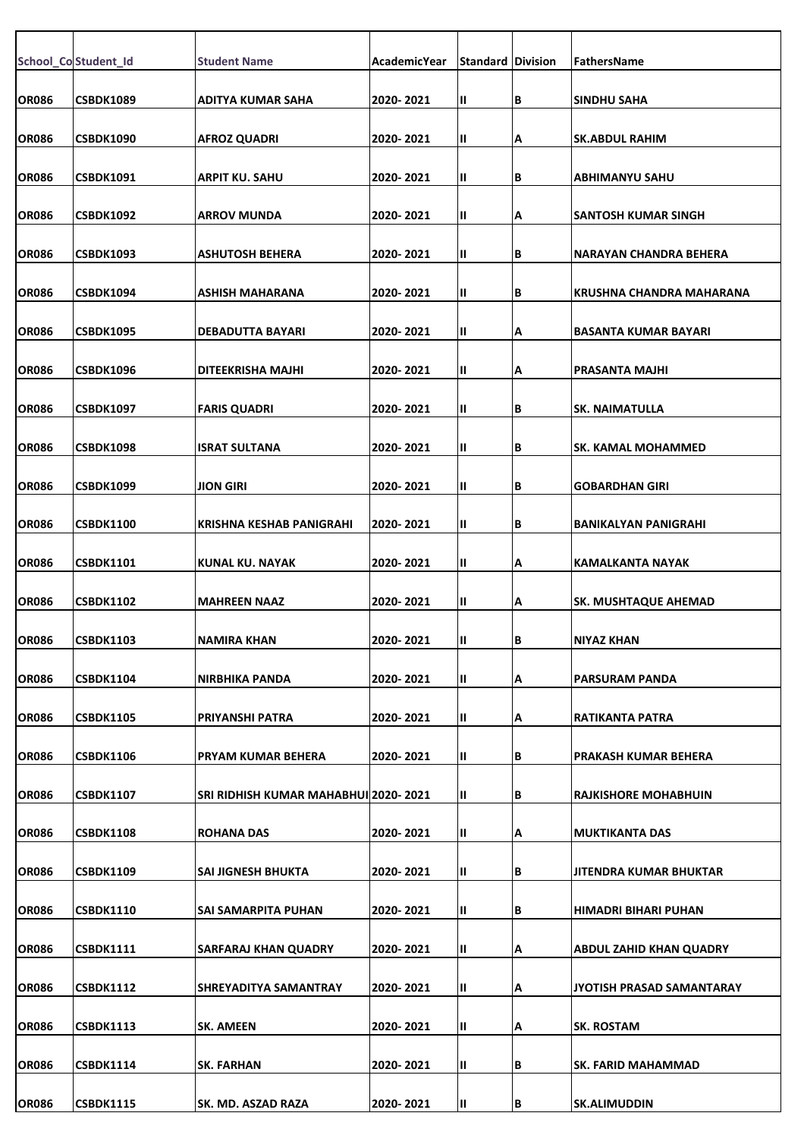|              | School_Co Student_Id | <b>Student Name</b>                  | AcademicYear | <b>Standard Division</b> |    | <b>FathersName</b>             |
|--------------|----------------------|--------------------------------------|--------------|--------------------------|----|--------------------------------|
|              |                      |                                      |              |                          |    |                                |
| <b>OR086</b> | <b>CSBDK1089</b>     | <b>ADITYA KUMAR SAHA</b>             | 2020-2021    | Ш.                       | В  | <b>SINDHU SAHA</b>             |
| <b>OR086</b> | <b>CSBDK1090</b>     | <b>AFROZ QUADRI</b>                  | 2020-2021    | Ш.                       | А  | <b>SK.ABDUL RAHIM</b>          |
| <b>OR086</b> | <b>CSBDK1091</b>     | <b>ARPIT KU. SAHU</b>                | 2020-2021    | Ш                        | B  | ABHIMANYU SAHU                 |
| <b>OR086</b> | <b>CSBDK1092</b>     | <b>ARROV MUNDA</b>                   | 2020-2021    | Ш                        | Α  | ISANTOSH KUMAR SINGH           |
|              |                      |                                      |              |                          |    |                                |
| <b>OR086</b> | <b>CSBDK1093</b>     | <b>ASHUTOSH BEHERA</b>               | 2020-2021    | Ш.                       | B  | INARAYAN CHANDRA BEHERA        |
| <b>OR086</b> | <b>CSBDK1094</b>     | <b>ASHISH MAHARANA</b>               | 2020-2021    | Ш.                       | B  | KRUSHNA CHANDRA MAHARANA       |
| <b>OR086</b> | <b>CSBDK1095</b>     | <b>DEBADUTTA BAYARI</b>              | 2020-2021    | Ш                        | Α  | BASANTA KUMAR BAYARI           |
| <b>OR086</b> | <b>CSBDK1096</b>     | DITEEKRISHA MAJHI                    | 2020-2021    | Ш                        | Α  | <b>PRASANTA MAJHI</b>          |
|              |                      |                                      |              |                          |    |                                |
| <b>OR086</b> | <b>CSBDK1097</b>     | <b>FARIS QUADRI</b>                  | 2020-2021    | $\mathbf{II}$            | B  | <b>SK. NAIMATULLA</b>          |
| <b>OR086</b> | <b>CSBDK1098</b>     | <b>ISRAT SULTANA</b>                 | 2020-2021    | Ш.                       | B  | ISK. KAMAL MOHAMMED            |
| <b>OR086</b> | <b>CSBDK1099</b>     | <b>JION GIRI</b>                     | 2020-2021    | Ш                        | B  | GOBARDHAN GIRI                 |
|              |                      |                                      |              |                          |    |                                |
| <b>OR086</b> | <b>CSBDK1100</b>     | KRISHNA KESHAB PANIGRAHI             | 2020-2021    | Ш                        | B  | BANIKALYAN PANIGRAHI           |
| <b>OR086</b> | <b>CSBDK1101</b>     | KUNAL KU. NAYAK                      | 2020-2021    | Ш.                       | А  | IKAMALKANTA NAYAK              |
| <b>OR086</b> | <b>CSBDK1102</b>     | <b>MAHREEN NAAZ</b>                  | 2020-2021    | Ш.                       | А  | <b>SK. MUSHTAQUE AHEMAD</b>    |
| <b>OR086</b> | <b>CSBDK1103</b>     | NAMIRA KHAN                          | 2020-2021    | Ш                        | IВ | INIYAZ KHAN                    |
|              |                      |                                      |              |                          |    |                                |
| <b>OR086</b> | <b>CSBDK1104</b>     | NIRBHIKA PANDA                       | 2020-2021    | Ш                        | Α  | PARSURAM PANDA                 |
| <b>OR086</b> | <b>CSBDK1105</b>     | PRIYANSHI PATRA                      | 2020-2021    | Ш.                       | А  | RATIKANTA PATRA                |
| <b>OR086</b> | <b>CSBDK1106</b>     | PRYAM KUMAR BEHERA                   | 2020-2021    | Ш.                       | В  | <b>PRAKASH KUMAR BEHERA</b>    |
| <b>OR086</b> | <b>CSBDK1107</b>     | SRI RIDHISH KUMAR MAHABHUI 2020-2021 |              | Ш.                       | B  | <b>RAJKISHORE MOHABHUIN</b>    |
|              |                      |                                      |              |                          |    |                                |
| <b>OR086</b> | <b>CSBDK1108</b>     | <b>ROHANA DAS</b>                    | 2020-2021    | Ш                        | А  | MUKTIKANTA DAS                 |
| <b>OR086</b> | <b>CSBDK1109</b>     | <b>SAI JIGNESH BHUKTA</b>            | 2020-2021    | Ш.                       | B  | <b>JITENDRA KUMAR BHUKTAR</b>  |
| <b>OR086</b> | <b>CSBDK1110</b>     | SAI SAMARPITA PUHAN                  | 2020-2021    | Ш.                       | В  | HIMADRI BIHARI PUHAN           |
| <b>OR086</b> | <b>CSBDK1111</b>     | <b>SARFARAJ KHAN QUADRY</b>          | 2020-2021    | Ш.                       | А  | <b>ABDUL ZAHID KHAN QUADRY</b> |
|              |                      |                                      |              |                          |    |                                |
| <b>OR086</b> | <b>CSBDK1112</b>     | SHREYADITYA SAMANTRAY                | 2020-2021    | Ш                        | Α  | JYOTISH PRASAD SAMANTARAY      |
| <b>OR086</b> | <b>CSBDK1113</b>     | <b>SK. AMEEN</b>                     | 2020-2021    | Ш.                       | А  | <b>SK. ROSTAM</b>              |
| <b>OR086</b> | <b>CSBDK1114</b>     | <b>SK. FARHAN</b>                    | 2020-2021    | $\mathbf{II}$            | B  | SK. FARID MAHAMMAD             |
| <b>OR086</b> | <b>CSBDK1115</b>     | <b>SK. MD. ASZAD RAZA</b>            | 2020-2021    | Ш                        | B  | <b>SK.ALIMUDDIN</b>            |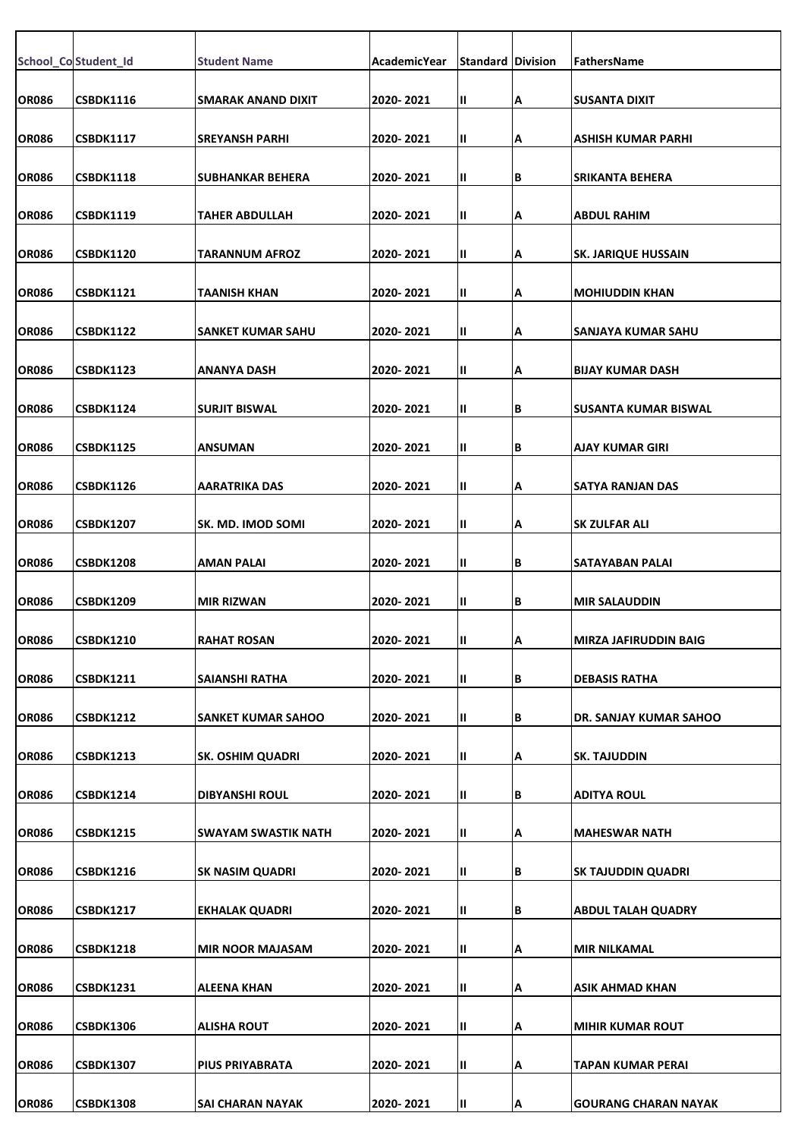|              | School_Co Student_Id | <b>Student Name</b>       | AcademicYear | <b>Standard Division</b> |    | FathersName                 |
|--------------|----------------------|---------------------------|--------------|--------------------------|----|-----------------------------|
|              |                      |                           |              |                          |    |                             |
| <b>OR086</b> | <b>CSBDK1116</b>     | SMARAK ANAND DIXIT        | 2020-2021    | Ш.                       | А  | ISUSANTA DIXIT              |
| <b>OR086</b> | <b>CSBDK1117</b>     | <b>SREYANSH PARHI</b>     | 2020-2021    | Ш.                       | Α  | ASHISH KUMAR PARHI          |
| <b>OR086</b> | <b>CSBDK1118</b>     | <b>SUBHANKAR BEHERA</b>   | 2020-2021    | Ш                        | B  | <b>SRIKANTA BEHERA</b>      |
|              |                      |                           |              |                          |    |                             |
| <b>OR086</b> | <b>CSBDK1119</b>     | <b>TAHER ABDULLAH</b>     | 2020-2021    | Ш                        | Α  | <b>ABDUL RAHIM</b>          |
| <b>OR086</b> | <b>CSBDK1120</b>     | TARANNUM AFROZ            | 2020-2021    | $\mathbf{II}$            | А  | <b>SK. JARIQUE HUSSAIN</b>  |
| <b>OR086</b> | <b>CSBDK1121</b>     | TAANISH KHAN              | 2020-2021    | Ш.                       | А  | <b>MOHIUDDIN KHAN</b>       |
| <b>OR086</b> | <b>CSBDK1122</b>     | <b>SANKET KUMAR SAHU</b>  | 2020-2021    | Ш                        | Α  | SANJAYA KUMAR SAHU          |
|              |                      |                           |              |                          |    |                             |
| <b>OR086</b> | <b>CSBDK1123</b>     | <b>ANANYA DASH</b>        | 2020-2021    | Ш                        | А  | <b>IBIJAY KUMAR DASH</b>    |
| <b>OR086</b> | <b>CSBDK1124</b>     | <b>SURJIT BISWAL</b>      | 2020-2021    | $\mathbf{II}$            | B  | SUSANTA KUMAR BISWAL        |
| <b>OR086</b> | <b>CSBDK1125</b>     | <b>ANSUMAN</b>            | 2020-2021    | Ш.                       | B  | AJAY KUMAR GIRI             |
| <b>OR086</b> | <b>CSBDK1126</b>     | AARATRIKA DAS             | 2020-2021    | Ш                        | Α  | <b>SATYA RANJAN DAS</b>     |
|              |                      |                           |              |                          |    |                             |
| <b>OR086</b> | <b>CSBDK1207</b>     | SK. MD. IMOD SOMI         | 2020-2021    | Ш                        | Α  | <b>SK ZULFAR ALI</b>        |
| <b>OR086</b> | <b>CSBDK1208</b>     | <b>AMAN PALAI</b>         | 2020-2021    | Ш.                       | B  | <b>SATAYABAN PALAI</b>      |
| <b>OR086</b> | <b>CSBDK1209</b>     | <b>MIR RIZWAN</b>         | 2020-2021    | Ш.                       | B  | <b>MIR SALAUDDIN</b>        |
|              |                      |                           |              |                          |    |                             |
| <b>OR086</b> | <b>CSBDK1210</b>     | RAHAT ROSAN               | 2020-2021    | Ш                        | ΙA | MIRZA JAFIRUDDIN BAIG       |
| <b>OR086</b> | <b>CSBDK1211</b>     | <b>SAIANSHI RATHA</b>     | 2020-2021    | Ш                        | B  | <b>DEBASIS RATHA</b>        |
| <b>OR086</b> | <b>CSBDK1212</b>     | <b>SANKET KUMAR SAHOO</b> | 2020-2021    | Ш.                       | В  | DR. SANJAY KUMAR SAHOO      |
| <b>OR086</b> | <b>CSBDK1213</b>     | <b>SK. OSHIM QUADRI</b>   | 2020-2021    | Ш.                       | А  | <b>SK. TAJUDDIN</b>         |
|              |                      |                           |              |                          |    |                             |
| <b>OR086</b> | <b>CSBDK1214</b>     | <b>DIBYANSHI ROUL</b>     | 2020-2021    | Ш.                       | B  | <b>ADITYA ROUL</b>          |
| <b>OR086</b> | <b>CSBDK1215</b>     | SWAYAM SWASTIK NATH       | 2020-2021    | Ш                        | А  | MAHESWAR NATH               |
| <b>OR086</b> | <b>CSBDK1216</b>     | <b>SK NASIM QUADRI</b>    | 2020-2021    | $\mathbf{II}$            | B  | <b>SK TAJUDDIN QUADRI</b>   |
|              |                      |                           |              |                          |    |                             |
| <b>OR086</b> | <b>CSBDK1217</b>     | EKHALAK QUADRI            | 2020-2021    | Ш.                       | В  | ABDUL TALAH QUADRY          |
| <b>OR086</b> | <b>CSBDK1218</b>     | <b>MIR NOOR MAJASAM</b>   | 2020-2021    | Ш.                       | А  | <b>MIR NILKAMAL</b>         |
| <b>OR086</b> | <b>CSBDK1231</b>     | <b>ALEENA KHAN</b>        | 2020-2021    | Ш                        | Α  | <b>ASIK AHMAD KHAN</b>      |
| <b>OR086</b> | <b>CSBDK1306</b>     | <b>ALISHA ROUT</b>        | 2020-2021    | $\mathbf{II}$            | А  | <b>MIHIR KUMAR ROUT</b>     |
|              |                      |                           |              |                          |    |                             |
| <b>OR086</b> | <b>CSBDK1307</b>     | PIUS PRIYABRATA           | 2020-2021    | $\mathbf{II}$            | А  | <b>TAPAN KUMAR PERAI</b>    |
| <b>OR086</b> | <b>CSBDK1308</b>     | <b>SAI CHARAN NAYAK</b>   | 2020-2021    | Ш                        | Α  | <b>GOURANG CHARAN NAYAK</b> |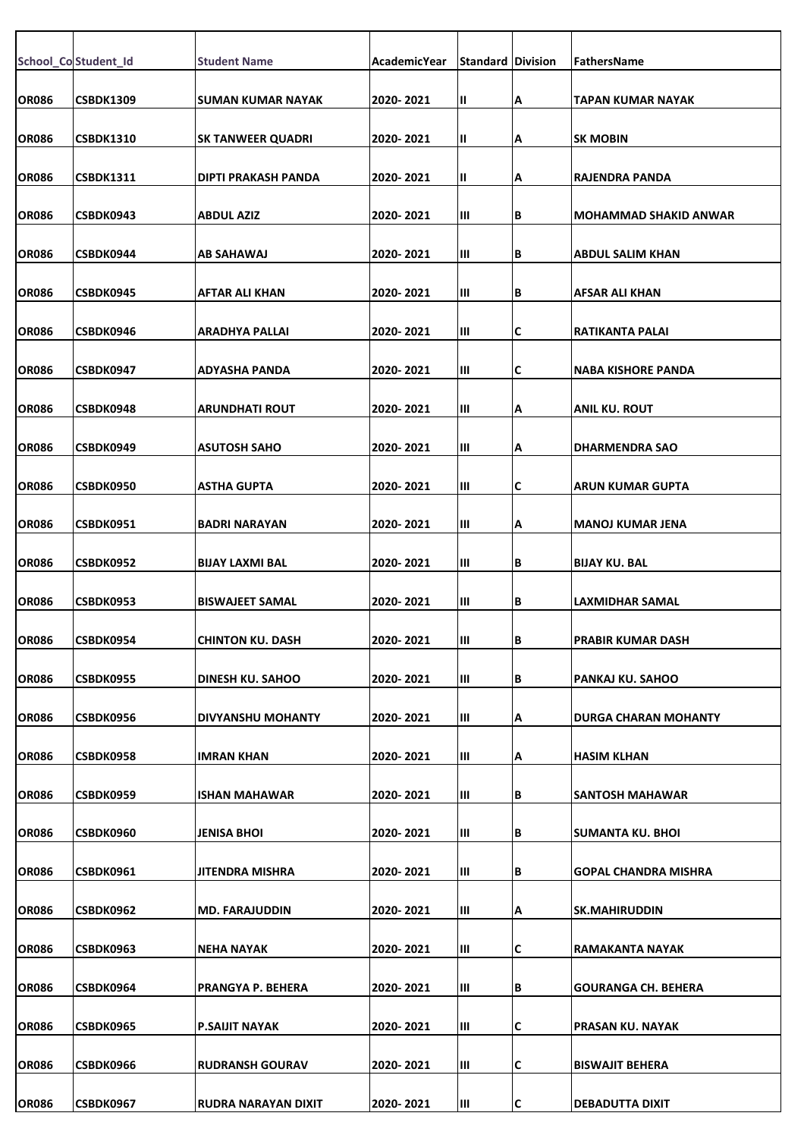|              | School_Co Student_Id | <b>Student Name</b>      | AcademicYear | <b>Standard Division</b> |     | FathersName                  |
|--------------|----------------------|--------------------------|--------------|--------------------------|-----|------------------------------|
| <b>OR086</b> | <b>CSBDK1309</b>     | <b>SUMAN KUMAR NAYAK</b> | 2020-2021    | Ш                        | Α   | TAPAN KUMAR NAYAK            |
|              |                      |                          |              |                          |     |                              |
| <b>OR086</b> | <b>CSBDK1310</b>     | <b>SK TANWEER QUADRI</b> | 2020-2021    | Ш                        | A   | <b>SK MOBIN</b>              |
| <b>OR086</b> | <b>CSBDK1311</b>     | DIPTI PRAKASH PANDA      | 2020-2021    | Ш                        | A   | RAJENDRA PANDA               |
| <b>OR086</b> | CSBDK0943            | <b>ABDUL AZIZ</b>        | 2020-2021    | Ш                        | B   | <b>MOHAMMAD SHAKID ANWAR</b> |
| <b>OR086</b> | CSBDK0944            | AB SAHAWAJ               | 2020-2021    | Ш                        | B   | <b>ABDUL SALIM KHAN</b>      |
| <b>OR086</b> | CSBDK0945            | AFTAR ALI KHAN           | 2020-2021    | Ш                        | B   | AFSAR ALI KHAN               |
| <b>OR086</b> | CSBDK0946            | ARADHYA PALLAI           | 2020-2021    | Ш                        | C   | <b>RATIKANTA PALAI</b>       |
| <b>OR086</b> | CSBDK0947            | ADYASHA PANDA            | 2020-2021    | Ш                        | C   | NABA KISHORE PANDA           |
| <b>OR086</b> | CSBDK0948            | <b>ARUNDHATI ROUT</b>    | 2020-2021    | Ш                        | Α   | <b>ANIL KU. ROUT</b>         |
| <b>OR086</b> | CSBDK0949            | <b>ASUTOSH SAHO</b>      | 2020-2021    | Ш                        | A   | <b>DHARMENDRA SAO</b>        |
| <b>OR086</b> | CSBDK0950            | ASTHA GUPTA              | 2020-2021    | Ш                        | C   | <b>ARUN KUMAR GUPTA</b>      |
|              |                      |                          |              |                          |     |                              |
| <b>OR086</b> | <b>CSBDK0951</b>     | BADRI NARAYAN            | 2020-2021    | Ш                        | A   | <b>MANOJ KUMAR JENA</b>      |
| <b>OR086</b> | CSBDK0952            | <b>BIJAY LAXMI BAL</b>   | 2020-2021    | Ш                        | İΒ. | <b>BIJAY KU. BAL</b>         |
| <b>OR086</b> | CSBDK0953            | <b>BISWAJEET SAMAL</b>   | 2020-2021    | Ш                        | B   | <b>LAXMIDHAR SAMAL</b>       |
| <b>OR086</b> | CSBDK0954            | CHINTON KU. DASH         | 2020-2021    | Ш                        | IВ  | PRABIR KUMAR DASH            |
| <b>OR086</b> | CSBDK0955            | <b>DINESH KU. SAHOO</b>  | 2020-2021    | Ш                        | B   | PANKAJ KU. SAHOO             |
| <b>OR086</b> | CSBDK0956            | DIVYANSHU MOHANTY        | 2020-2021    | Ш                        | Α   | <b>DURGA CHARAN MOHANTY</b>  |
| <b>OR086</b> | CSBDK0958            | IMRAN KHAN               | 2020-2021    | Ш                        | Α   | <b>HASIM KLHAN</b>           |
| <b>OR086</b> | CSBDK0959            | <b>ISHAN MAHAWAR</b>     | 2020-2021    | Ш                        | B   | SANTOSH MAHAWAR              |
| <b>OR086</b> | CSBDK0960            | JENISA BHOI              | 2020-2021    | Ш                        | B   | <b>SUMANTA KU. BHOI</b>      |
| <b>OR086</b> | CSBDK0961            | JITENDRA MISHRA          | 2020-2021    | Ш                        | İΒ. | <b>GOPAL CHANDRA MISHRA</b>  |
| <b>OR086</b> | CSBDK0962            | <b>MD. FARAJUDDIN</b>    | 2020-2021    | Ш                        | А   | <b>SK.MAHIRUDDIN</b>         |
| <b>OR086</b> | CSBDK0963            | NEHA NAYAK               | 2020-2021    | Ш                        | C   | <b>RAMAKANTA NAYAK</b>       |
| <b>OR086</b> | CSBDK0964            | PRANGYA P. BEHERA        | 2020-2021    | Ш                        | B   | <b>GOURANGA CH. BEHERA</b>   |
| <b>OR086</b> | CSBDK0965            | P.SAIJIT NAYAK           | 2020-2021    | Ш                        | C   | PRASAN KU. NAYAK             |
| <b>OR086</b> | CSBDK0966            | <b>RUDRANSH GOURAV</b>   | 2020-2021    | Ш                        | C   | <b>BISWAJIT BEHERA</b>       |
| <b>OR086</b> | CSBDK0967            | RUDRA NARAYAN DIXIT      | 2020-2021    | Ш                        | IС  | <b>DEBADUTTA DIXIT</b>       |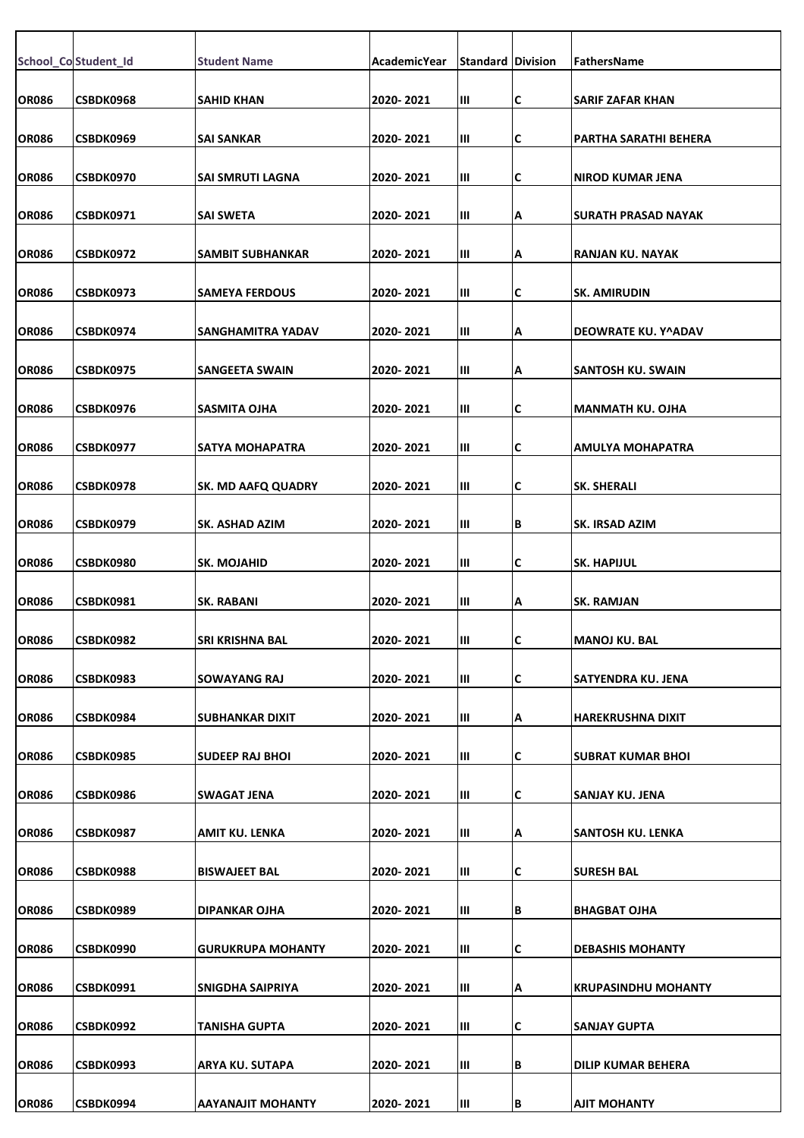|              | School_Co Student_Id | <b>Student Name</b>       | AcademicYear | <b>Standard Division</b> |   | FathersName                |
|--------------|----------------------|---------------------------|--------------|--------------------------|---|----------------------------|
| <b>OR086</b> | CSBDK0968            | <b>SAHID KHAN</b>         | 2020-2021    | Ш                        | C | <b>SARIF ZAFAR KHAN</b>    |
| <b>OR086</b> | CSBDK0969            | <b>SAI SANKAR</b>         | 2020-2021    | Ш                        | С | PARTHA SARATHI BEHERA      |
| <b>OR086</b> | <b>CSBDK0970</b>     | SAI SMRUTI LAGNA          | 2020- 2021   | Ш                        | C | <b>NIROD KUMAR JENA</b>    |
| <b>OR086</b> | CSBDK0971            | <b>SAI SWETA</b>          | 2020-2021    | Ш                        | А | <b>SURATH PRASAD NAYAK</b> |
|              |                      |                           |              |                          |   |                            |
| <b>OR086</b> | CSBDK0972            | SAMBIT SUBHANKAR          | 2020-2021    | Ш                        | А | <b>RANJAN KU. NAYAK</b>    |
| <b>OR086</b> | CSBDK0973            | <b>SAMEYA FERDOUS</b>     | 2020-2021    | Ш                        | С | <b>SK. AMIRUDIN</b>        |
| <b>OR086</b> | CSBDK0974            | SANGHAMITRA YADAV         | 2020-2021    | Ш                        | А | DEOWRATE KU. Y^ADAV        |
| <b>OR086</b> | <b>CSBDK0975</b>     | SANGEETA SWAIN            | 2020-2021    | Ш                        | А | SANTOSH KU. SWAIN          |
| <b>OR086</b> |                      |                           |              |                          |   |                            |
|              | CSBDK0976            | <b>SASMITA OJHA</b>       | 2020-2021    | Ш                        | C | <b>MANMATH KU. OJHA</b>    |
| <b>OR086</b> | CSBDK0977            | SATYA MOHAPATRA           | 2020-2021    | Ш                        | С | AMULYA MOHAPATRA           |
| <b>OR086</b> | CSBDK0978            | <b>SK. MD AAFQ QUADRY</b> | 2020-2021    | Ш                        | С | <b>SK. SHERALI</b>         |
| <b>OR086</b> | CSBDK0979            | <b>SK. ASHAD AZIM</b>     | 2020- 2021   | Ш                        | В | <b>SK. IRSAD AZIM</b>      |
| <b>OR086</b> | CSBDK0980            | <b>SK. MOJAHID</b>        | 2020-2021    | Ш                        | C | <b>SK. HAPIJUL</b>         |
|              |                      |                           |              |                          |   |                            |
| <b>OR086</b> | <b>CSBDK0981</b>     | <b>SK. RABANI</b>         | 2020-2021    | Ш                        | А | <b>SK. RAMJAN</b>          |
| <b>OR086</b> | CSBDK0982            | SRI KRISHNA BAL           | 2020-2021    | Ш                        | C | <b>MANOJ KU. BAL</b>       |
| <b>OR086</b> | CSBDK0983            | <b>SOWAYANG RAJ</b>       | 2020-2021    | Ш                        | C | <b>SATYENDRA KU. JENA</b>  |
| <b>OR086</b> | CSBDK0984            | <b>SUBHANKAR DIXIT</b>    | 2020-2021    | Ш                        | А | <b>HAREKRUSHNA DIXIT</b>   |
| <b>OR086</b> | CSBDK0985            | <b>SUDEEP RAJ BHOI</b>    | 2020-2021    | Ш                        | C | <b>SUBRAT KUMAR BHOI</b>   |
|              |                      |                           |              |                          |   |                            |
| <b>OR086</b> | CSBDK0986            | <b>SWAGAT JENA</b>        | 2020-2021    | Ш                        | С | SANJAY KU. JENA            |
| <b>OR086</b> | <b>CSBDK0987</b>     | AMIT KU. LENKA            | 2020-2021    | Ш                        | А | SANTOSH KU. LENKA          |
| <b>OR086</b> | CSBDK0988            | <b>BISWAJEET BAL</b>      | 2020-2021    | Ш                        | C | <b>SURESH BAL</b>          |
| OR086        | CSBDK0989            | DIPANKAR OJHA             | 2020-2021    | Ш                        | В | <b>BHAGBAT OJHA</b>        |
|              |                      |                           |              |                          |   |                            |
| <b>OR086</b> | CSBDK0990            | <b>GURUKRUPA MOHANTY</b>  | 2020-2021    | Ш                        | С | <b>DEBASHIS MOHANTY</b>    |
| OR086        | CSBDK0991            | <b>SNIGDHA SAIPRIYA</b>   | 2020-2021    | Ш                        | А | <b>KRUPASINDHU MOHANTY</b> |
| <b>OR086</b> | CSBDK0992            | TANISHA GUPTA             | 2020-2021    | Ш                        | C | <b>SANJAY GUPTA</b>        |
| <b>OR086</b> | CSBDK0993            | ARYA KU. SUTAPA           | 2020-2021    | Ш                        | В | <b>DILIP KUMAR BEHERA</b>  |
| <b>OR086</b> | CSBDK0994            | <b>AAYANAJIT MOHANTY</b>  | 2020-2021    | Ш                        | B | <b>AJIT MOHANTY</b>        |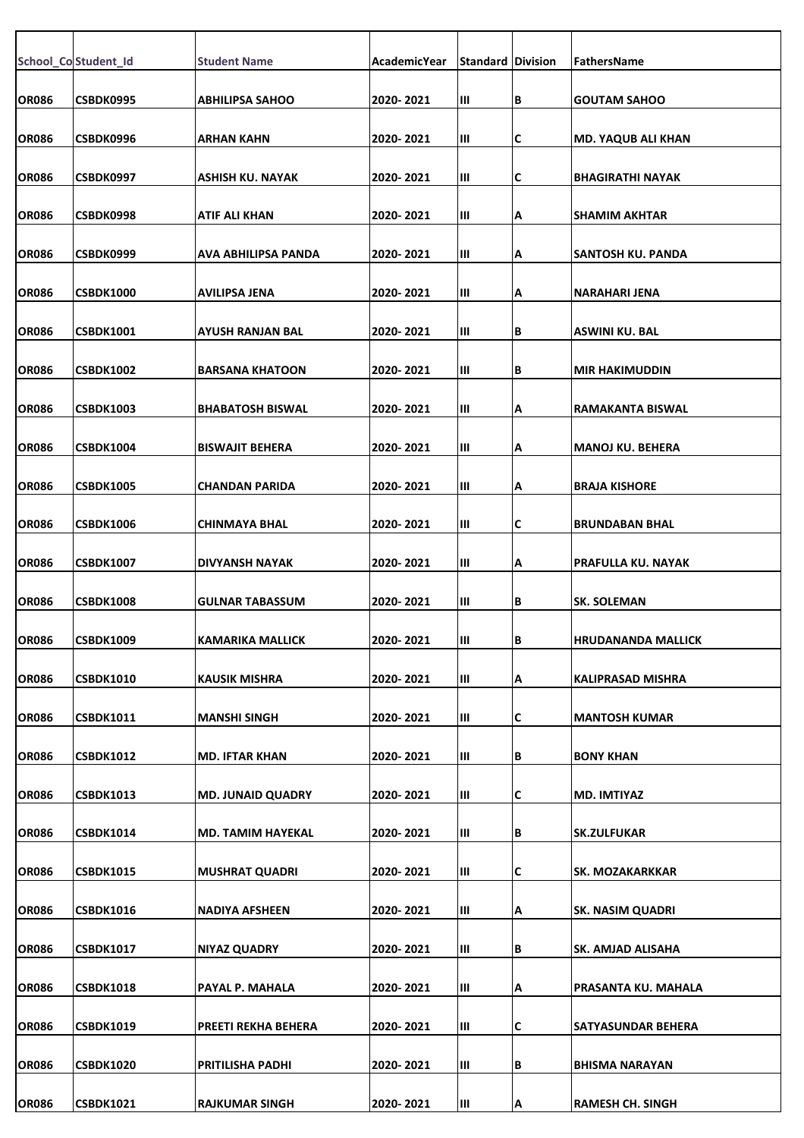|              | School_Co Student_Id | <b>Student Name</b>      | <b>AcademicYear</b> | <b>Standard Division</b> |   | FathersName               |
|--------------|----------------------|--------------------------|---------------------|--------------------------|---|---------------------------|
|              |                      |                          |                     |                          |   |                           |
| <b>OR086</b> | CSBDK0995            | <b>ABHILIPSA SAHOO</b>   | 2020-2021           | Ш                        | В | <b>GOUTAM SAHOO</b>       |
| <b>OR086</b> | CSBDK0996            | ARHAN KAHN               | 2020-2021           | Ш                        | С | <b>MD. YAQUB ALI KHAN</b> |
| <b>OR086</b> | CSBDK0997            | ASHISH KU. NAYAK         | 2020-2021           | Ш                        | C | <b>BHAGIRATHI NAYAK</b>   |
| <b>OR086</b> | CSBDK0998            | ATIF ALI KHAN            | 2020-2021           | Ш                        | А | <b>SHAMIM AKHTAR</b>      |
| <b>OR086</b> | CSBDK0999            | AVA ABHILIPSA PANDA      | 2020-2021           | Ш                        | А | SANTOSH KU. PANDA         |
| <b>OR086</b> | CSBDK1000            | AVILIPSA JENA            | 2020-2021           | Ш                        | А | <b>NARAHARI JENA</b>      |
| <b>OR086</b> | <b>CSBDK1001</b>     | AYUSH RANJAN BAL         | 2020- 2021          | Ш                        | В | ASWINI KU. BAL            |
| <b>OR086</b> | <b>CSBDK1002</b>     | <b>BARSANA KHATOON</b>   | 2020-2021           | Ш                        | В | <b>MIR HAKIMUDDIN</b>     |
| <b>OR086</b> | <b>CSBDK1003</b>     | <b>BHABATOSH BISWAL</b>  | 2020-2021           | Ш                        | А | <b>RAMAKANTA BISWAL</b>   |
| <b>OR086</b> | <b>CSBDK1004</b>     | <b>BISWAJIT BEHERA</b>   | 2020- 2021          | Ш                        | А | <b>MANOJ KU. BEHERA</b>   |
| <b>OR086</b> | <b>CSBDK1005</b>     | CHANDAN PARIDA           | 2020-2021           | Ш                        | А | <b>BRAJA KISHORE</b>      |
| <b>OR086</b> | <b>CSBDK1006</b>     | <b>CHINMAYA BHAL</b>     | 2020-2021           | Ш                        | С | <b>BRUNDABAN BHAL</b>     |
| <b>OR086</b> | <b>CSBDK1007</b>     | DIVYANSH NAYAK           | 2020-2021           | Ш                        | А | PRAFULLA KU. NAYAK        |
| <b>OR086</b> | <b>CSBDK1008</b>     | <b>GULNAR TABASSUM</b>   | 2020-2021           | Ш                        | В | <b>SK. SOLEMAN</b>        |
| <b>OR086</b> | <b>CSBDK1009</b>     | <b>KAMARIKA MALLICK</b>  | 2020-2021           | Ш                        | В | <b>HRUDANANDA MALLICK</b> |
| <b>OR086</b> | <b>CSBDK1010</b>     | <b>KAUSIK MISHRA</b>     | 2020-2021           | Ш                        | А | <b>KALIPRASAD MISHRA</b>  |
| <b>OR086</b> | <b>CSBDK1011</b>     | <b>MANSHI SINGH</b>      | 2020-2021           | Ш                        | c | <b>MANTOSH KUMAR</b>      |
| <b>OR086</b> | <b>CSBDK1012</b>     | <b>MD. IFTAR KHAN</b>    | 2020- 2021          | Ш                        | В | <b>BONY KHAN</b>          |
| <b>OR086</b> | <b>CSBDK1013</b>     | <b>MD. JUNAID QUADRY</b> | 2020-2021           | Ш                        | С | MD. IMTIYAZ               |
| <b>OR086</b> | <b>CSBDK1014</b>     | MD. TAMIM HAYEKAL        | 2020-2021           | Ш                        | В | <b>SK.ZULFUKAR</b>        |
| <b>OR086</b> | <b>CSBDK1015</b>     | <b>MUSHRAT QUADRI</b>    | 2020-2021           | Ш                        | С | SK. MOZAKARKKAR           |
| <b>OR086</b> | <b>CSBDK1016</b>     | NADIYA AFSHEEN           | 2020- 2021          | Ш                        | А | <b>SK. NASIM QUADRI</b>   |
| <b>OR086</b> | <b>CSBDK1017</b>     | <b>NIYAZ QUADRY</b>      | 2020-2021           | Ш                        | В | SK. AMJAD ALISAHA         |
| <b>OR086</b> | <b>CSBDK1018</b>     | PAYAL P. MAHALA          | 2020-2021           | Ш                        | А | PRASANTA KU. MAHALA       |
| <b>OR086</b> | <b>CSBDK1019</b>     | PREETI REKHA BEHERA      | 2020-2021           | Ш                        | С | <b>SATYASUNDAR BEHERA</b> |
| <b>OR086</b> | <b>CSBDK1020</b>     | PRITILISHA PADHI         | 2020-2021           | Ш                        | В | <b>BHISMA NARAYAN</b>     |
| <b>OR086</b> | <b>CSBDK1021</b>     | <b>RAJKUMAR SINGH</b>    | 2020-2021           | Ш                        | Α | <b>RAMESH CH. SINGH</b>   |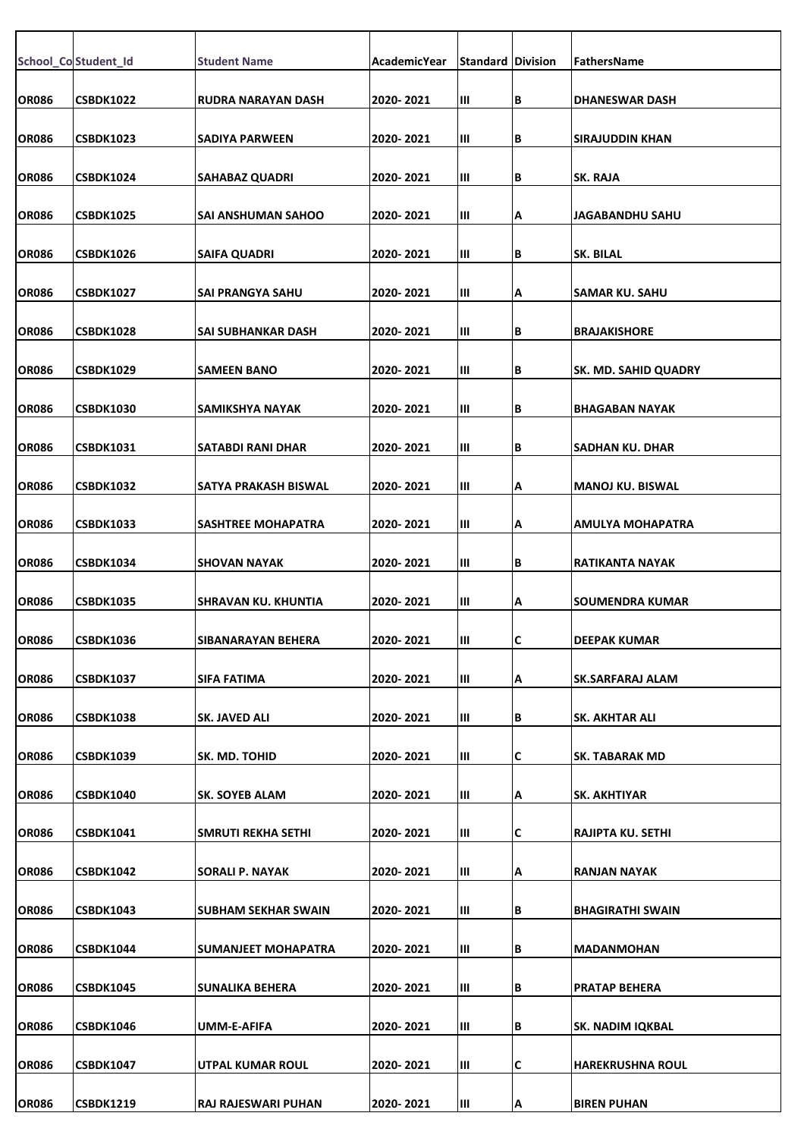|              | School_Co Student_Id | <b>Student Name</b>    | AcademicYear | <b>Standard Division</b> |     | FathersName                 |
|--------------|----------------------|------------------------|--------------|--------------------------|-----|-----------------------------|
| <b>OR086</b> | <b>CSBDK1022</b>     | RUDRA NARAYAN DASH     | 2020-2021    | Ш                        | B   | <b>DHANESWAR DASH</b>       |
| <b>OR086</b> | <b>CSBDK1023</b>     | SADIYA PARWEEN         | 2020-2021    | Ш                        | lВ  | SIRAJUDDIN KHAN             |
|              |                      |                        |              |                          |     |                             |
| <b>OR086</b> | CSBDK1024            | <b>SAHABAZ QUADRI</b>  | 2020-2021    | Ш                        | B   | <b>SK. RAJA</b>             |
| <b>OR086</b> | <b>CSBDK1025</b>     | SAI ANSHUMAN SAHOO     | 2020-2021    | Ш                        | Α   | <b>JAGABANDHU SAHU</b>      |
| <b>OR086</b> | <b>CSBDK1026</b>     | <b>SAIFA QUADRI</b>    | 2020-2021    | Ш                        | B   | <b>SK. BILAL</b>            |
| <b>OR086</b> | <b>CSBDK1027</b>     | SAI PRANGYA SAHU       | 2020-2021    | Ш                        | A   | SAMAR KU. SAHU              |
| <b>OR086</b> | <b>CSBDK1028</b>     | SAI SUBHANKAR DASH     | 2020-2021    | Ш                        | B   | <b>BRAJAKISHORE</b>         |
| <b>OR086</b> | <b>CSBDK1029</b>     | <b>SAMEEN BANO</b>     | 2020-2021    | Ш                        | B   | <b>SK. MD. SAHID QUADRY</b> |
| <b>OR086</b> | <b>CSBDK1030</b>     | <b>SAMIKSHYA NAYAK</b> | 2020-2021    | Ш                        | İΒ. | <b>BHAGABAN NAYAK</b>       |
| <b>OR086</b> | <b>CSBDK1031</b>     | SATABDI RANI DHAR      | 2020-2021    | Ш                        | B   | SADHAN KU. DHAR             |
|              |                      |                        |              |                          |     |                             |
| <b>OR086</b> | <b>CSBDK1032</b>     | SATYA PRAKASH BISWAL   | 2020-2021    | Ш                        | Α   | <b>MANOJ KU. BISWAL</b>     |
| <b>OR086</b> | <b>CSBDK1033</b>     | SASHTREE MOHAPATRA     | 2020-2021    | Ш                        | A   | AMULYA MOHAPATRA            |
| <b>OR086</b> | <b>CSBDK1034</b>     | <b>SHOVAN NAYAK</b>    | 2020-2021    | Ш                        | B   | RATIKANTA NAYAK             |
| <b>OR086</b> | <b>CSBDK1035</b>     | SHRAVAN KU. KHUNTIA    | 2020-2021    | Ш                        | A   | <b>SOUMENDRA KUMAR</b>      |
| <b>OR086</b> | <b>CSBDK1036</b>     | SIBANARAYAN BEHERA     | 2020-2021    | Ш                        | C   | DEEPAK KUMAR                |
| <b>OR086</b> | <b>CSBDK1037</b>     | <b>SIFA FATIMA</b>     | 2020-2021    | Ш                        | ΙA  | SK.SARFARAJ ALAM            |
| <b>OR086</b> | <b>CSBDK1038</b>     | SK. JAVED ALI          | 2020-2021    | Ш                        | B   | SK. AKHTAR ALI              |
| <b>OR086</b> | <b>CSBDK1039</b>     | SK. MD. TOHID          | 2020-2021    | Ш                        | C   | SK. TABARAK MD              |
| <b>OR086</b> | <b>CSBDK1040</b>     | <b>SK. SOYEB ALAM</b>  | 2020-2021    | Ш                        | A   | SK. AKHTIYAR                |
| <b>OR086</b> | <b>CSBDK1041</b>     | SMRUTI REKHA SETHI     | 2020-2021    | Ш                        | C   | RAJIPTA KU. SETHI           |
| <b>OR086</b> | <b>CSBDK1042</b>     | <b>SORALI P. NAYAK</b> | 2020-2021    | Ш                        | A   | <b>RANJAN NAYAK</b>         |
| <b>OR086</b> | <b>CSBDK1043</b>     | SUBHAM SEKHAR SWAIN    | 2020-2021    | Ш                        | B   | <b>BHAGIRATHI SWAIN</b>     |
| <b>OR086</b> | <b>CSBDK1044</b>     | SUMANJEET MOHAPATRA    | 2020-2021    | Ш                        | B   | <b>MADANMOHAN</b>           |
| <b>OR086</b> | <b>CSBDK1045</b>     | <b>SUNALIKA BEHERA</b> | 2020-2021    | Ш                        | B   | <b>PRATAP BEHERA</b>        |
| <b>OR086</b> | <b>CSBDK1046</b>     | UMM-E-AFIFA            | 2020-2021    | Ш                        | B   | <b>SK. NADIM IQKBAL</b>     |
| <b>OR086</b> | <b>CSBDK1047</b>     | UTPAL KUMAR ROUL       | 2020-2021    | Ш                        | C   | <b>HAREKRUSHNA ROUL</b>     |
| <b>OR086</b> | <b>CSBDK1219</b>     | RAJ RAJESWARI PUHAN    | 2020-2021    | Ш                        | ļΑ  | <b>BIREN PUHAN</b>          |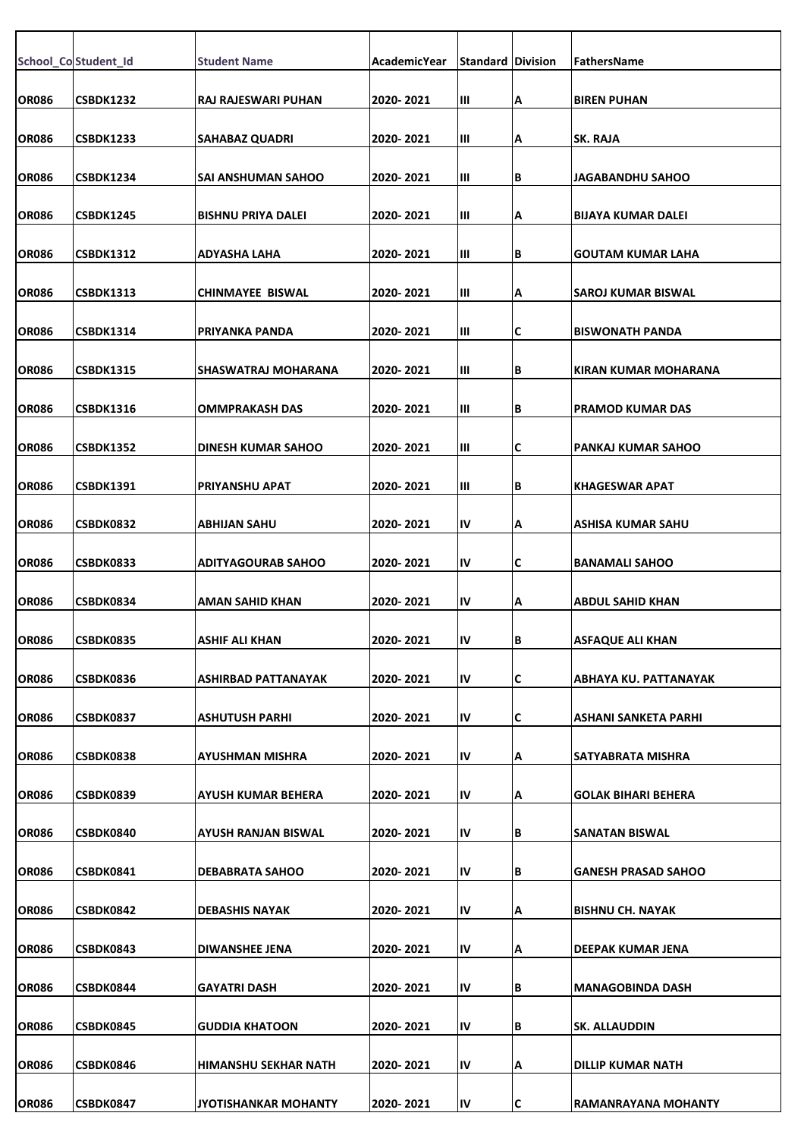|              | School_Co Student_Id | <b>Student Name</b>         | AcademicYear | <b>Standard Division</b> |     | <b>FathersName</b>         |
|--------------|----------------------|-----------------------------|--------------|--------------------------|-----|----------------------------|
|              |                      |                             |              |                          |     |                            |
| OR086        | <b>CSBDK1232</b>     | RAJ RAJESWARI PUHAN         | 2020-2021    | Ш                        | А   | <b>BIREN PUHAN</b>         |
| <b>OR086</b> | <b>CSBDK1233</b>     | <b>SAHABAZ QUADRI</b>       | 2020-2021    | Ш                        | Α   | <b>SK. RAJA</b>            |
| <b>OR086</b> | <b>CSBDK1234</b>     | SAI ANSHUMAN SAHOO          | 2020-2021    | Ш                        | B   | JAGABANDHU SAHOO           |
|              |                      |                             |              |                          |     |                            |
| <b>OR086</b> | <b>CSBDK1245</b>     | <b>BISHNU PRIYA DALEI</b>   | 2020-2021    | Ш                        | Α   | BIJAYA KUMAR DALEI         |
| <b>OR086</b> | CSBDK1312            | ADYASHA LAHA                | 2020-2021    | Ш                        | B   | GOUTAM KUMAR LAHA          |
| <b>OR086</b> | <b>CSBDK1313</b>     | CHINMAYEE BISWAL            | 2020-2021    | Ш                        | Α   | SAROJ KUMAR BISWAL         |
| <b>OR086</b> | <b>CSBDK1314</b>     | PRIYANKA PANDA              | 2020-2021    | Ш                        | C   | <b>BISWONATH PANDA</b>     |
|              |                      |                             |              |                          |     |                            |
| <b>OR086</b> | <b>CSBDK1315</b>     | SHASWATRAJ MOHARANA         | 2020-2021    | Ш                        | B   | IKIRAN KUMAR MOHARANA      |
| OR086        | <b>CSBDK1316</b>     | <b>OMMPRAKASH DAS</b>       | 2020-2021    | Ш                        | B   | PRAMOD KUMAR DAS           |
| <b>OR086</b> | <b>CSBDK1352</b>     | DINESH KUMAR SAHOO          | 2020-2021    | Ш                        | С   | PANKAJ KUMAR SAHOO         |
| <b>OR086</b> | <b>CSBDK1391</b>     | <b>PRIYANSHU APAT</b>       | 2020-2021    | Ш                        | В   | <b>KHAGESWAR APAT</b>      |
|              |                      |                             |              |                          |     |                            |
| <b>OR086</b> | CSBDK0832            | <b>ABHIJAN SAHU</b>         | 2020-2021    | IV                       | Α   | ASHISA KUMAR SAHU          |
| <b>OR086</b> | CSBDK0833            | <b>ADITYAGOURAB SAHOO</b>   | 2020-2021    | IV                       | C   | <b>BANAMALI SAHOO</b>      |
| <b>OR086</b> | CSBDK0834            | AMAN SAHID KHAN             | 2020-2021    | IV                       | А   | <b>ABDUL SAHID KHAN</b>    |
| <b>OR086</b> | <b>CSBDK0835</b>     | ASHIF ALI KHAN              | 2020-2021    | ΙV                       | IB. | ASFAQUE ALI KHAN           |
|              |                      |                             |              |                          |     |                            |
| <b>OR086</b> | CSBDK0836            | ASHIRBAD PATTANAYAK         | 2020-2021    | IV                       | C   | ABHAYA KU. PATTANAYAK      |
| <b>OR086</b> | CSBDK0837            | <b>ASHUTUSH PARHI</b>       | 2020-2021    | IV                       | c   | ASHANI SANKETA PARHI       |
| <b>OR086</b> | CSBDK0838            | <b>AYUSHMAN MISHRA</b>      | 2020-2021    | IV                       | А   | SATYABRATA MISHRA          |
| <b>OR086</b> | CSBDK0839            | <b>AYUSH KUMAR BEHERA</b>   | 2020-2021    | IV                       | Α   | <b>GOLAK BIHARI BEHERA</b> |
|              |                      |                             |              |                          |     |                            |
| <b>OR086</b> | CSBDK0840            | AYUSH RANJAN BISWAL         | 2020-2021    | IV                       | B   | SANATAN BISWAL             |
| <b>OR086</b> | CSBDK0841            | <b>DEBABRATA SAHOO</b>      | 2020-2021    | IV                       | B   | <b>GANESH PRASAD SAHOO</b> |
| <b>OR086</b> | CSBDK0842            | DEBASHIS NAYAK              | 2020-2021    | IV                       | А   | IBISHNU CH. NAYAK          |
| <b>OR086</b> | CSBDK0843            | DIWANSHEE JENA              | 2020-2021    | IV                       | Α   | DEEPAK KUMAR JENA          |
|              |                      |                             |              |                          |     |                            |
| <b>OR086</b> | CSBDK0844            | <b>GAYATRI DASH</b>         | 2020-2021    | IV                       | B   | MANAGOBINDA DASH           |
| <b>OR086</b> | CSBDK0845            | <b>GUDDIA KHATOON</b>       | 2020-2021    | IV                       | B   | <b>SK. ALLAUDDIN</b>       |
| <b>OR086</b> | CSBDK0846            | <b>HIMANSHU SEKHAR NATH</b> | 2020-2021    | IV                       | А   | DILLIP KUMAR NATH          |
| <b>OR086</b> | CSBDK0847            | JYOTISHANKAR MOHANTY        | 2020-2021    | IV                       | C   | <b>RAMANRAYANA MOHANTY</b> |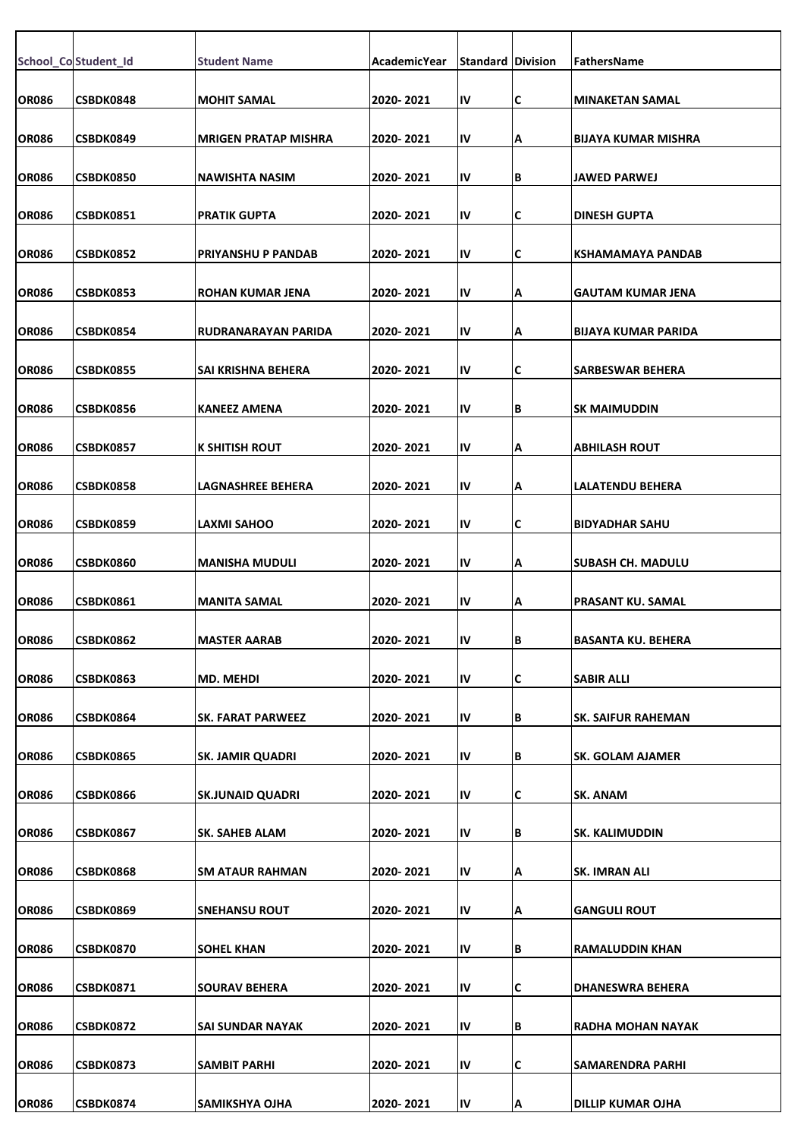|              | School_Co Student_Id | <b>Student Name</b>         | AcademicYear | <b>Standard Division</b> |    | FathersName                |
|--------------|----------------------|-----------------------------|--------------|--------------------------|----|----------------------------|
| <b>OR086</b> | CSBDK0848            | <b>MOHIT SAMAL</b>          | 2020-2021    | IV                       | C  | <b>MINAKETAN SAMAL</b>     |
|              |                      |                             |              |                          |    |                            |
| <b>OR086</b> | CSBDK0849            | <b>MRIGEN PRATAP MISHRA</b> | 2020-2021    | IV                       | A  | <b>BIJAYA KUMAR MISHRA</b> |
| OR086        | CSBDK0850            | NAWISHTA NASIM              | 2020-2021    | IV                       | B  | JAWED PARWEJ               |
| <b>OR086</b> | CSBDK0851            | PRATIK GUPTA                | 2020-2021    | IV                       | C  | <b>DINESH GUPTA</b>        |
| <b>OR086</b> | CSBDK0852            | PRIYANSHU P PANDAB          | 2020-2021    | IV                       | C  | KSHAMAMAYA PANDAB          |
| <b>OR086</b> | CSBDK0853            | ROHAN KUMAR JENA            | 2020-2021    | IV                       | A  | <b>GAUTAM KUMAR JENA</b>   |
| <b>OR086</b> | CSBDK0854            | RUDRANARAYAN PARIDA         | 2020-2021    | IV                       | A  | <b>BIJAYA KUMAR PARIDA</b> |
| <b>OR086</b> | CSBDK0855            | SAI KRISHNA BEHERA          | 2020-2021    | IV                       | C  | SARBESWAR BEHERA           |
| <b>OR086</b> | <b>CSBDK0856</b>     | <b>KANEEZ AMENA</b>         | 2020-2021    | IV                       | B  | <b>SK MAIMUDDIN</b>        |
| <b>OR086</b> | CSBDK0857            | K SHITISH ROUT              | 2020-2021    | IV                       | A  | <b>ABHILASH ROUT</b>       |
| OR086        | CSBDK0858            | LAGNASHREE BEHERA           | 2020-2021    | IV                       | Α  | <b>LALATENDU BEHERA</b>    |
|              |                      |                             |              |                          |    |                            |
| <b>OR086</b> | CSBDK0859            | LAXMI SAHOO                 | 2020-2021    | IV                       | C  | <b>BIDYADHAR SAHU</b>      |
| <b>OR086</b> | CSBDK0860            | <b>MANISHA MUDULI</b>       | 2020-2021    | IV                       | Α  | <b>SUBASH CH. MADULU</b>   |
| <b>OR086</b> | <b>CSBDK0861</b>     | <b>MANITA SAMAL</b>         | 2020-2021    | IV                       | Α  | <b>PRASANT KU. SAMAL</b>   |
| <b>OR086</b> | <b>CSBDK0862</b>     | MASTER AARAB                | 2020-2021    | ΙV                       | IВ | BASANTA KU. BEHERA         |
| <b>OR086</b> | <b>CSBDK0863</b>     | <b>MD. MEHDI</b>            | 2020-2021    | IV                       | C  | <b>SABIR ALLI</b>          |
| <b>OR086</b> | CSBDK0864            | SK. FARAT PARWEEZ           | 2020-2021    | IV                       | B  | <b>SK. SAIFUR RAHEMAN</b>  |
| <b>OR086</b> | CSBDK0865            | <b>SK. JAMIR QUADRI</b>     | 2020-2021    | IV                       | B  | <b>SK. GOLAM AJAMER</b>    |
| <b>OR086</b> | CSBDK0866            | <b>SK.JUNAID QUADRI</b>     | 2020-2021    | IV                       | C  | SK. ANAM                   |
| <b>OR086</b> | CSBDK0867            | SK. SAHEB ALAM              | 2020-2021    | IV                       | B  | <b>SK. KALIMUDDIN</b>      |
| <b>OR086</b> | <b>CSBDK0868</b>     | <b>SM ATAUR RAHMAN</b>      | 2020-2021    | IV                       | A  | <b>SK. IMRAN ALI</b>       |
| <b>OR086</b> | CSBDK0869            | <b>SNEHANSU ROUT</b>        | 2020-2021    | IV                       | А  | <b>GANGULI ROUT</b>        |
| <b>OR086</b> | CSBDK0870            | <b>SOHEL KHAN</b>           | 2020-2021    | IV                       | B  | <b>RAMALUDDIN KHAN</b>     |
|              |                      |                             |              |                          |    |                            |
| <b>OR086</b> | <b>CSBDK0871</b>     | <b>SOURAV BEHERA</b>        | 2020-2021    | IV                       | C  | <b>DHANESWRA BEHERA</b>    |
| <b>OR086</b> | CSBDK0872            | SAI SUNDAR NAYAK            | 2020-2021    | IV                       | B  | RADHA MOHAN NAYAK          |
| <b>OR086</b> | CSBDK0873            | SAMBIT PARHI                | 2020-2021    | IV                       | C  | <b>SAMARENDRA PARHI</b>    |
| <b>OR086</b> | CSBDK0874            | SAMIKSHYA OJHA              | 2020-2021    | IV                       | A  | <b>DILLIP KUMAR OJHA</b>   |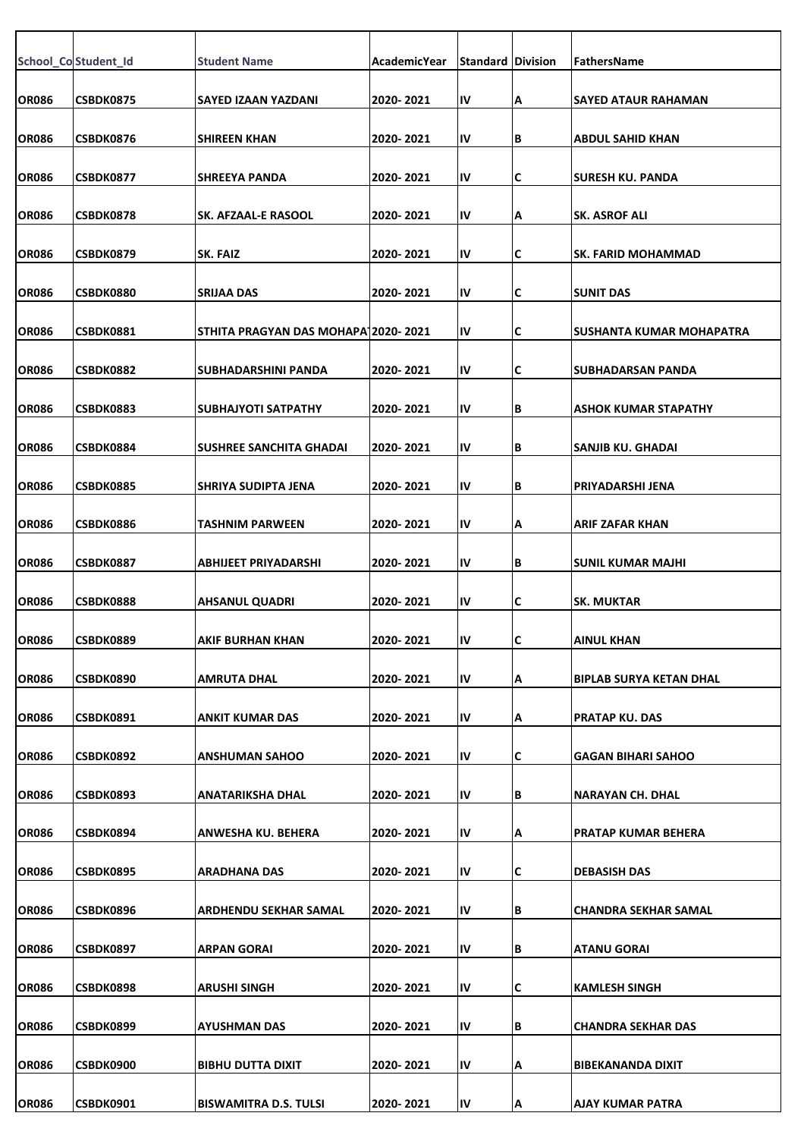|              | School_Co Student_Id | <b>Student Name</b>                 | AcademicYear | <b>Standard Division</b> |     | FathersName                    |
|--------------|----------------------|-------------------------------------|--------------|--------------------------|-----|--------------------------------|
| <b>OR086</b> | CSBDK0875            | <b>SAYED IZAAN YAZDANI</b>          | 2020-2021    | IV                       | Α   | <b>SAYED ATAUR RAHAMAN</b>     |
| <b>OR086</b> | CSBDK0876            | <b>SHIREEN KHAN</b>                 | 2020-2021    | IV                       | ΙB  | <b>ABDUL SAHID KHAN</b>        |
| <b>OR086</b> | <b>CSBDK0877</b>     | <b>SHREEYA PANDA</b>                | 2020-2021    | IV                       | ΙC  | ISURESH KU. PANDA              |
| <b>OR086</b> | <b>CSBDK0878</b>     | SK. AFZAAL-E RASOOL                 | 2020-2021    | IV                       | Α   | <b>SK. ASROF ALI</b>           |
|              |                      |                                     |              |                          |     |                                |
| <b>OR086</b> | CSBDK0879            | SK. FAIZ                            | 2020-2021    | IV                       | C   | <b>SK. FARID MOHAMMAD</b>      |
| <b>OR086</b> | <b>CSBDK0880</b>     | <b>SRIJAA DAS</b>                   | 2020-2021    | IV                       | C   | <b>SUNIT DAS</b>               |
| <b>OR086</b> | CSBDK0881            | STHITA PRAGYAN DAS MOHAPA12020-2021 |              | IV                       | IС  | SUSHANTA KUMAR MOHAPATRA       |
| <b>OR086</b> | <b>CSBDK0882</b>     | SUBHADARSHINI PANDA                 | 2020-2021    | IV                       | C   | SUBHADARSAN PANDA              |
| <b>OR086</b> | <b>CSBDK0883</b>     | <b>SUBHAJYOTI SATPATHY</b>          | 2020-2021    | IV                       | lВ  | <b>ASHOK KUMAR STAPATHY</b>    |
|              |                      |                                     |              |                          |     |                                |
| <b>OR086</b> | CSBDK0884            | SUSHREE SANCHITA GHADAI             | 2020-2021    | IV                       | ΙB  | SANJIB KU. GHADAI              |
| <b>OR086</b> | <b>CSBDK0885</b>     | <b>SHRIYA SUDIPTA JENA</b>          | 2020-2021    | IV                       | lВ  | PRIYADARSHI JENA               |
| <b>OR086</b> | <b>CSBDK0886</b>     | TASHNIM PARWEEN                     | 2020- 2021   | IV                       | Α   | ARIF ZAFAR KHAN                |
| <b>OR086</b> | CSBDK0887            | ABHIJEET PRIYADARSHI                | 2020-2021    | IV                       | İΒ. | <b>SUNIL KUMAR MAJHI</b>       |
| <b>OR086</b> | CSBDK0888            | <b>AHSANUL QUADRI</b>               | 2020-2021    | IV                       | C   | <b>SK. MUKTAR</b>              |
| <b>OR086</b> | <b>CSBDK0889</b>     | AKIF BURHAN KHAN                    | 2020-2021    | ΙV                       | L   | AINUL KHAN                     |
|              |                      |                                     |              |                          |     |                                |
| <b>OR086</b> | CSBDK0890            | <b>AMRUTA DHAL</b>                  | 2020-2021    | IV                       | ΙA  | <b>BIPLAB SURYA KETAN DHAL</b> |
| <b>OR086</b> | CSBDK0891            | ANKIT KUMAR DAS                     | 2020-2021    | IV                       | Α   | <b>PRATAP KU. DAS</b>          |
| <b>OR086</b> | CSBDK0892            | <b>ANSHUMAN SAHOO</b>               | 2020-2021    | IV                       | C   | GAGAN BIHARI SAHOO             |
| <b>OR086</b> | CSBDK0893            | ANATARIKSHA DHAL                    | 2020-2021    | IV                       | lВ  | <b>NARAYAN CH. DHAL</b>        |
| <b>OR086</b> | CSBDK0894            | ANWESHA KU. BEHERA                  | 2020-2021    | IV                       | ΙA  | <b>PRATAP KUMAR BEHERA</b>     |
|              |                      |                                     |              |                          |     |                                |
| <b>OR086</b> | CSBDK0895            | ARADHANA DAS                        | 2020-2021    | IV                       | IС  | <b>DEBASISH DAS</b>            |
| <b>OR086</b> | CSBDK0896            | ARDHENDU SEKHAR SAMAL               | 2020-2021    | IV                       | ΙB  | <b>CHANDRA SEKHAR SAMAL</b>    |
| <b>OR086</b> | CSBDK0897            | ARPAN GORAI                         | 2020-2021    | IV                       | lВ  | <b>ATANU GORAI</b>             |
| <b>OR086</b> | CSBDK0898            | <b>ARUSHI SINGH</b>                 | 2020-2021    | IV                       | C   | <b>KAMLESH SINGH</b>           |
| <b>OR086</b> | CSBDK0899            | AYUSHMAN DAS                        | 2020-2021    | IV                       | ΙB  | <b>CHANDRA SEKHAR DAS</b>      |
|              |                      |                                     |              |                          |     |                                |
| <b>OR086</b> | <b>CSBDK0900</b>     | BIBHU DUTTA DIXIT                   | 2020-2021    | IV                       | Α   | <b>BIBEKANANDA DIXIT</b>       |
| <b>OR086</b> | CSBDK0901            | <b>BISWAMITRA D.S. TULSI</b>        | 2020-2021    | IV                       | A   | AJAY KUMAR PATRA               |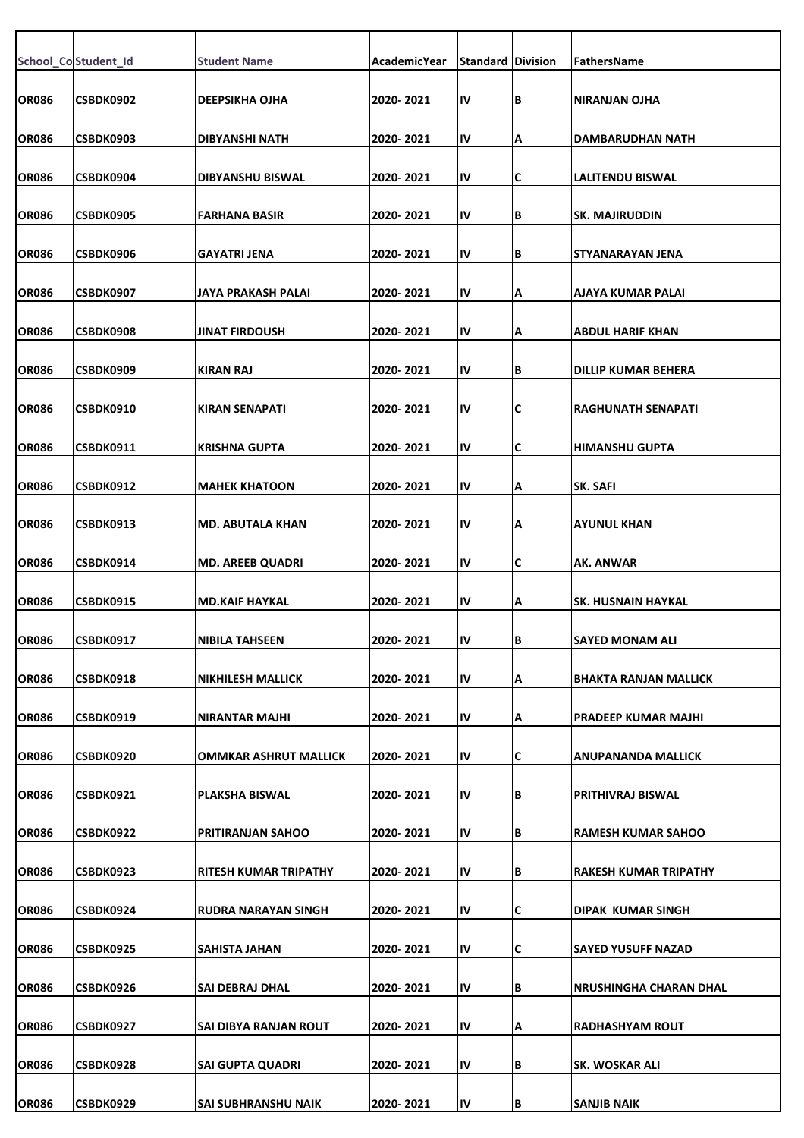|              | School_Co Student_Id | <b>Student Name</b>          | AcademicYear | <b>Standard Division</b> |    | FathersName                   |
|--------------|----------------------|------------------------------|--------------|--------------------------|----|-------------------------------|
| <b>OR086</b> | CSBDK0902            | <b>DEEPSIKHA OJHA</b>        | 2020-2021    | IV                       | В  | <b>NIRANJAN OJHA</b>          |
| <b>OR086</b> | CSBDK0903            | <b>DIBYANSHI NATH</b>        | 2020-2021    | IV                       | А  | DAMBARUDHAN NATH              |
| <b>OR086</b> | CSBDK0904            | <b>DIBYANSHU BISWAL</b>      | 2020- 2021   | IV                       | C  | LALITENDU BISWAL              |
| <b>OR086</b> | CSBDK0905            | <b>FARHANA BASIR</b>         | 2020-2021    | IV                       | В  | <b>SK. MAJIRUDDIN</b>         |
| <b>OR086</b> | CSBDK0906            | GAYATRI JENA                 | 2020-2021    | IV                       | В  | STYANARAYAN JENA              |
| <b>OR086</b> | CSBDK0907            | JAYA PRAKASH PALAI           | 2020-2021    | IV                       | А  | AJAYA KUMAR PALAI             |
| <b>OR086</b> | CSBDK0908            | <b>JINAT FIRDOUSH</b>        | 2020-2021    | IV                       | А  | <b>ABDUL HARIF KHAN</b>       |
| <b>OR086</b> | CSBDK0909            | <b>KIRAN RAJ</b>             | 2020-2021    | IV                       | В  | DILLIP KUMAR BEHERA           |
| <b>OR086</b> | CSBDK0910            | <b>KIRAN SENAPATI</b>        | 2020-2021    | IV                       | C  | <b>RAGHUNATH SENAPATI</b>     |
| <b>OR086</b> | CSBDK0911            | <b>KRISHNA GUPTA</b>         | 2020-2021    | IV                       | С  | <b>HIMANSHU GUPTA</b>         |
|              |                      |                              |              |                          |    |                               |
| <b>OR086</b> | CSBDK0912            | <b>MAHEK KHATOON</b>         | 2020-2021    | IV                       | А  | SK. SAFI                      |
| <b>OR086</b> | CSBDK0913            | <b>MD. ABUTALA KHAN</b>      | 2020- 2021   | IV                       | А  | <b>AYUNUL KHAN</b>            |
| <b>OR086</b> | CSBDK0914            | <b>MD. AREEB QUADRI</b>      | 2020-2021    | IV                       | C  | AK. ANWAR                     |
| <b>OR086</b> | CSBDK0915            | <b>MD.KAIF HAYKAL</b>        | 2020-2021    | IV                       | А  | <b>SK. HUSNAIN HAYKAL</b>     |
| <b>OR086</b> | <b>CSBDK0917</b>     | NIBILA TAHSEEN               | 2020-2021    | ΙV                       | IΒ | SAYED MONAM ALI               |
| <b>OR086</b> | CSBDK0918            | <b>NIKHILESH MALLICK</b>     | 2020-2021    | IV                       | А  | <b>BHAKTA RANJAN MALLICK</b>  |
| <b>OR086</b> | CSBDK0919            | <b>NIRANTAR MAJHI</b>        | 2020-2021    | IV                       | А  | <b>PRADEEP KUMAR MAJHI</b>    |
| <b>OR086</b> | CSBDK0920            | OMMKAR ASHRUT MALLICK        | 2020-2021    | IV                       | C  | <b>ANUPANANDA MALLICK</b>     |
| <b>OR086</b> | CSBDK0921            | PLAKSHA BISWAL               | 2020-2021    | IV                       | В  | PRITHIVRAJ BISWAL             |
| <b>OR086</b> | <b>CSBDK0922</b>     | <b>PRITIRANJAN SAHOO</b>     | 2020-2021    | IV                       | В  | <b>RAMESH KUMAR SAHOO</b>     |
| <b>OR086</b> | CSBDK0923            | <b>RITESH KUMAR TRIPATHY</b> | 2020-2021    | IV                       | В  | <b>RAKESH KUMAR TRIPATHY</b>  |
| <b>OR086</b> | CSBDK0924            | RUDRA NARAYAN SINGH          | 2020-2021    | IV                       | С  | DIPAK KUMAR SINGH             |
| <b>OR086</b> | CSBDK0925            | SAHISTA JAHAN                | 2020-2021    | IV                       | С  | <b>SAYED YUSUFF NAZAD</b>     |
|              |                      |                              |              |                          |    |                               |
| <b>OR086</b> | CSBDK0926            | <b>SAI DEBRAJ DHAL</b>       | 2020-2021    | IV                       | В  | <b>NRUSHINGHA CHARAN DHAL</b> |
| <b>OR086</b> | CSBDK0927            | SAI DIBYA RANJAN ROUT        | 2020-2021    | IV                       | А  | <b>RADHASHYAM ROUT</b>        |
| <b>OR086</b> | CSBDK0928            | <b>SAI GUPTA QUADRI</b>      | 2020-2021    | IV                       | В  | SK. WOSKAR ALI                |
| <b>OR086</b> | CSBDK0929            | <b>SAI SUBHRANSHU NAIK</b>   | 2020-2021    | IV                       | B  | <b>SANJIB NAIK</b>            |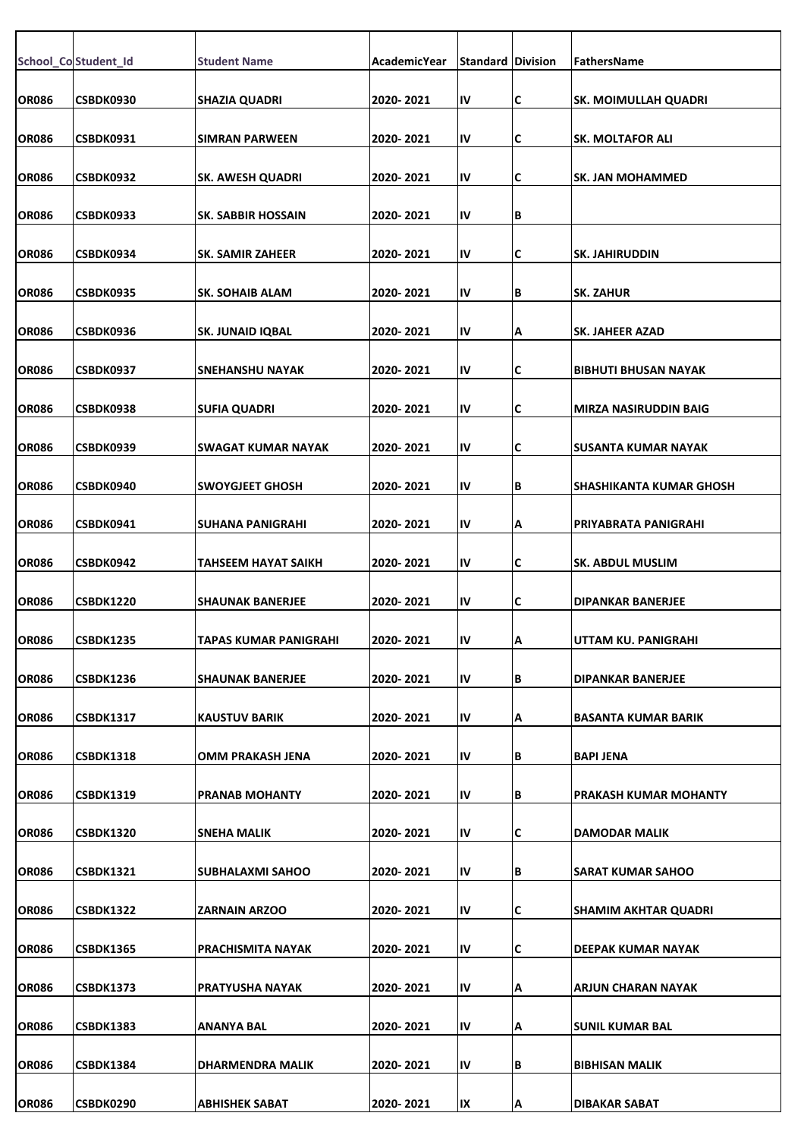|              | School_Co Student_Id | <b>Student Name</b>       | AcademicYear | <b>Standard Division</b> |    | FathersName                    |
|--------------|----------------------|---------------------------|--------------|--------------------------|----|--------------------------------|
|              |                      |                           |              |                          |    |                                |
| <b>OR086</b> | CSBDK0930            | <b>SHAZIA QUADRI</b>      | 2020-2021    | IV                       | C  | <b>SK. MOIMULLAH QUADRI</b>    |
| <b>OR086</b> | CSBDK0931            | <b>SIMRAN PARWEEN</b>     | 2020-2021    | IV                       | C  | SK. MOLTAFOR ALI               |
| <b>OR086</b> | CSBDK0932            | <b>SK. AWESH QUADRI</b>   | 2020-2021    | IV                       | C  | <b>SK. JAN MOHAMMED</b>        |
|              |                      |                           |              |                          |    |                                |
| <b>OR086</b> | CSBDK0933            | <b>SK. SABBIR HOSSAIN</b> | 2020-2021    | IV                       | B  |                                |
| <b>OR086</b> | CSBDK0934            | <b>SK. SAMIR ZAHEER</b>   | 2020-2021    | IV                       | C  | <b>SK. JAHIRUDDIN</b>          |
| <b>OR086</b> | CSBDK0935            | <b>SK. SOHAIB ALAM</b>    | 2020-2021    | IV                       | B  | <b>SK. ZAHUR</b>               |
| <b>OR086</b> | CSBDK0936            | <b>SK. JUNAID IQBAL</b>   | 2020-2021    | IV                       | Α  | <b>SK. JAHEER AZAD</b>         |
|              |                      |                           |              |                          |    |                                |
| <b>OR086</b> | CSBDK0937            | SNEHANSHU NAYAK           | 2020-2021    | IV                       | C  | <b>BIBHUTI BHUSAN NAYAK</b>    |
| <b>OR086</b> | CSBDK0938            | <b>SUFIA QUADRI</b>       | 2020-2021    | IV                       | C  | <b>MIRZA NASIRUDDIN BAIG</b>   |
| <b>OR086</b> | CSBDK0939            | SWAGAT KUMAR NAYAK        | 2020-2021    | IV                       | C  | SUSANTA KUMAR NAYAK            |
| <b>OR086</b> | CSBDK0940            | <b>SWOYGJEET GHOSH</b>    | 2020-2021    | IV                       | B  | <b>SHASHIKANTA KUMAR GHOSH</b> |
|              |                      |                           |              |                          |    |                                |
| <b>OR086</b> | CSBDK0941            | SUHANA PANIGRAHI          | 2020-2021    | IV                       | Α  | PRIYABRATA PANIGRAHI           |
| <b>OR086</b> | CSBDK0942            | TAHSEEM HAYAT SAIKH       | 2020-2021    | IV                       | C  | <b>SK. ABDUL MUSLIM</b>        |
| <b>OR086</b> | <b>CSBDK1220</b>     | <b>SHAUNAK BANERJEE</b>   | 2020-2021    | IV                       | C  | <b>DIPANKAR BANERJEE</b>       |
| <b>OR086</b> |                      | TAPAS KUMAR PANIGRAHI     | 2020-2021    |                          |    |                                |
|              | CSBDK1235            |                           |              | ΙV                       | ΙA | UTTAM KU. PANIGRAHI            |
| <b>OR086</b> | <b>CSBDK1236</b>     | <b>SHAUNAK BANERJEE</b>   | 2020-2021    | IV                       | B  | <b>DIPANKAR BANERJEE</b>       |
| <b>OR086</b> | <b>CSBDK1317</b>     | <b>KAUSTUV BARIK</b>      | 2020-2021    | IV                       | Α  | <b>BASANTA KUMAR BARIK</b>     |
| <b>OR086</b> | <b>CSBDK1318</b>     | OMM PRAKASH JENA          | 2020-2021    | IV                       | B  | <b>BAPI JENA</b>               |
|              |                      |                           |              |                          |    |                                |
| <b>OR086</b> | CSBDK1319            | <b>PRANAB MOHANTY</b>     | 2020-2021    | IV                       | B  | <b>PRAKASH KUMAR MOHANTY</b>   |
| <b>OR086</b> | CSBDK1320            | SNEHA MALIK               | 2020-2021    | IV                       | C  | <b>DAMODAR MALIK</b>           |
| <b>OR086</b> | <b>CSBDK1321</b>     | SUBHALAXMI SAHOO          | 2020-2021    | IV                       | B  | SARAT KUMAR SAHOO              |
| OR086        | CSBDK1322            | ZARNAIN ARZOO             | 2020-2021    | IV                       | C  | SHAMIM AKHTAR QUADRI           |
|              |                      |                           |              |                          |    |                                |
| <b>OR086</b> | <b>CSBDK1365</b>     | PRACHISMITA NAYAK         | 2020-2021    | IV                       | C  | <b>DEEPAK KUMAR NAYAK</b>      |
| <b>OR086</b> | <b>CSBDK1373</b>     | PRATYUSHA NAYAK           | 2020-2021    | IV                       | A  | <b>ARJUN CHARAN NAYAK</b>      |
| <b>OR086</b> | <b>CSBDK1383</b>     | ANANYA BAL                | 2020-2021    | IV                       | Α  | <b>SUNIL KUMAR BAL</b>         |
| <b>OR086</b> | <b>CSBDK1384</b>     | DHARMENDRA MALIK          | 2020-2021    | IV                       | B  | <b>BIBHISAN MALIK</b>          |
|              |                      |                           |              |                          |    |                                |
| <b>OR086</b> | CSBDK0290            | ABHISHEK SABAT            | 2020-2021    | IX                       | A  | <b>DIBAKAR SABAT</b>           |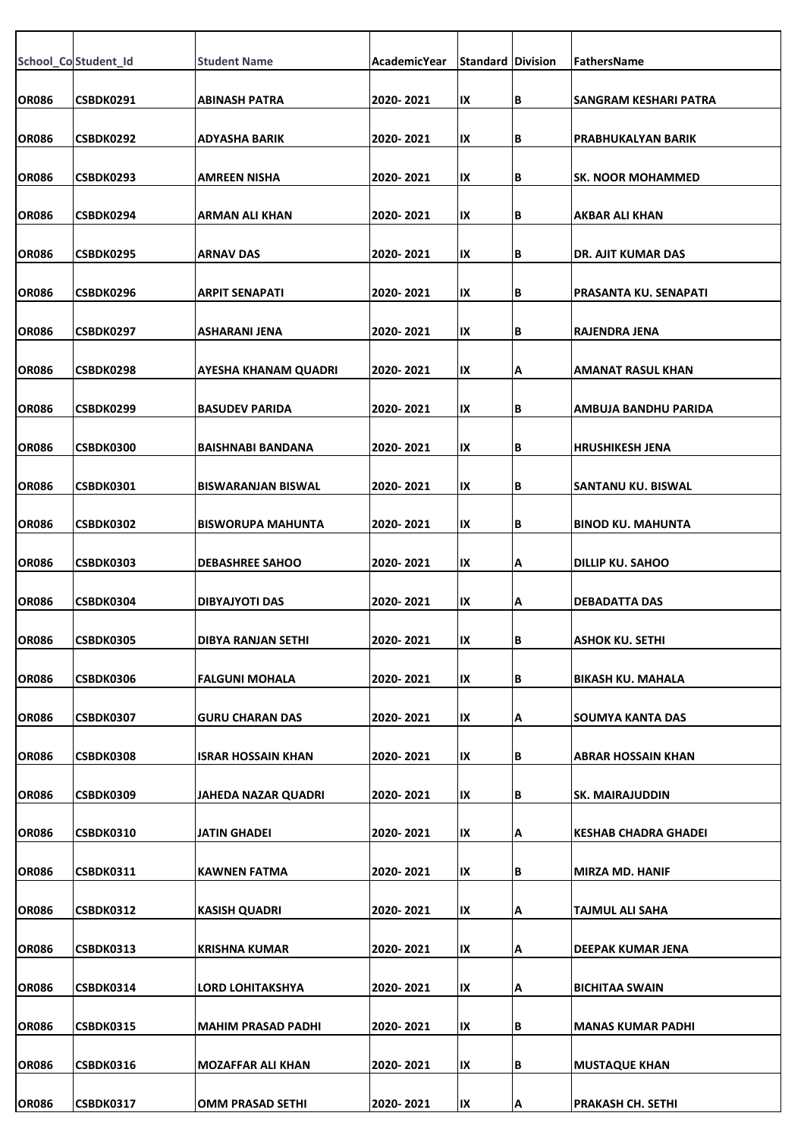|              | School_Co Student_Id | <b>Student Name</b>         | AcademicYear | <b>Standard Division</b> |    | <b>FathersName</b>        |
|--------------|----------------------|-----------------------------|--------------|--------------------------|----|---------------------------|
|              |                      |                             |              |                          |    |                           |
| <b>OR086</b> | CSBDK0291            | <b>ABINASH PATRA</b>        | 2020-2021    | IX                       | В  | ISANGRAM KESHARI PATRA    |
| <b>OR086</b> | CSBDK0292            | <b>ADYASHA BARIK</b>        | 2020-2021    | IX                       | B  | PRABHUKALYAN BARIK        |
| <b>OR086</b> | CSBDK0293            | <b>AMREEN NISHA</b>         | 2020-2021    | IX                       | B  | lsk. NOOR MOHAMMED        |
|              |                      |                             |              |                          |    |                           |
| <b>OR086</b> | CSBDK0294            | <b>ARMAN ALI KHAN</b>       | 2020-2021    | IX                       | B  | AKBAR ALI KHAN            |
| <b>OR086</b> | CSBDK0295            | <b>ARNAV DAS</b>            | 2020-2021    | IX                       | B  | IDR. AJIT KUMAR DAS       |
| <b>OR086</b> | CSBDK0296            | <b>ARPIT SENAPATI</b>       | 2020-2021    | IX                       | B  | PRASANTA KU. SENAPATI     |
| <b>OR086</b> | CSBDK0297            | <b>ASHARANI JENA</b>        | 2020-2021    | IX                       | B  | RAJENDRA JENA             |
|              |                      |                             |              |                          |    |                           |
| <b>OR086</b> | CSBDK0298            | <b>AYESHA KHANAM QUADRI</b> | 2020-2021    | IX                       | Α  | <b>AMANAT RASUL KHAN</b>  |
| <b>OR086</b> | CSBDK0299            | <b>BASUDEV PARIDA</b>       | 2020-2021    | IX                       | B  | AMBUJA BANDHU PARIDA      |
| <b>OR086</b> | CSBDK0300            | <b>BAISHNABI BANDANA</b>    | 2020-2021    | IX                       | B  | <b>IHRUSHIKESH JENA</b>   |
| <b>OR086</b> | CSBDK0301            | <b>BISWARANJAN BISWAL</b>   | 2020-2021    | IX                       | B  | <b>SANTANU KU. BISWAL</b> |
|              |                      |                             |              |                          |    |                           |
| <b>OR086</b> | CSBDK0302            | BISWORUPA MAHUNTA           | 2020-2021    | IX                       | B  | BINOD KU. MAHUNTA         |
| <b>OR086</b> | CSBDK0303            | <b>DEBASHREE SAHOO</b>      | 2020-2021    | IX                       | А  | <b>DILLIP KU. SAHOO</b>   |
| <b>OR086</b> | CSBDK0304            | DIBYAJYOTI DAS              | 2020-2021    | IX                       | А  | <b>DEBADATTA DAS</b>      |
| <b>OR086</b> |                      |                             | 2020-2021    |                          |    | <b>IASHOK KU. SETHI</b>   |
|              | <b>CSBDK0305</b>     | DIBYA RANJAN SETHI          |              | IХ                       | IВ |                           |
| <b>OR086</b> | <b>CSBDK0306</b>     | <b>FALGUNI MOHALA</b>       | 2020-2021    | IX                       | B  | BIKASH KU. MAHALA         |
| <b>OR086</b> | CSBDK0307            | GURU CHARAN DAS             | 2020-2021    | IX                       | А  | SOUMYA KANTA DAS          |
| <b>OR086</b> | CSBDK0308            | <b>ISRAR HOSSAIN KHAN</b>   | 2020-2021    | IX                       | В  | ABRAR HOSSAIN KHAN        |
|              |                      |                             |              |                          |    |                           |
| <b>OR086</b> | <b>CSBDK0309</b>     | <b>JAHEDA NAZAR QUADRI</b>  | 2020-2021    | IX                       | В  | <b>SK. MAIRAJUDDIN</b>    |
| <b>OR086</b> | CSBDK0310            | JATIN GHADEI                | 2020-2021    | IX                       | А  | KESHAB CHADRA GHADEI      |
| <b>OR086</b> | CSBDK0311            | <b>KAWNEN FATMA</b>         | 2020-2021    | IX                       | B  | MIRZA MD. HANIF           |
| <b>OR086</b> | CSBDK0312            | <b>KASISH QUADRI</b>        | 2020-2021    | IX                       | А  | TAJMUL ALI SAHA           |
|              |                      |                             |              |                          |    |                           |
| <b>OR086</b> | CSBDK0313            | <b>KRISHNA KUMAR</b>        | 2020-2021    | IX                       | Α  | DEEPAK KUMAR JENA         |
| <b>OR086</b> | CSBDK0314            | <b>LORD LOHITAKSHYA</b>     | 2020-2021    | IX                       | Α  | <b>BICHITAA SWAIN</b>     |
| <b>OR086</b> | <b>CSBDK0315</b>     | <b>MAHIM PRASAD PADHI</b>   | 2020-2021    | IX                       | B  | MANAS KUMAR PADHI         |
| <b>OR086</b> | CSBDK0316            | MOZAFFAR ALI KHAN           | 2020-2021    | IX                       | B  | <b>MUSTAQUE KHAN</b>      |
|              |                      |                             |              |                          |    |                           |
| <b>OR086</b> | <b>CSBDK0317</b>     | <b>OMM PRASAD SETHI</b>     | 2020-2021    | IX                       | Α  | <b>PRAKASH CH. SETHI</b>  |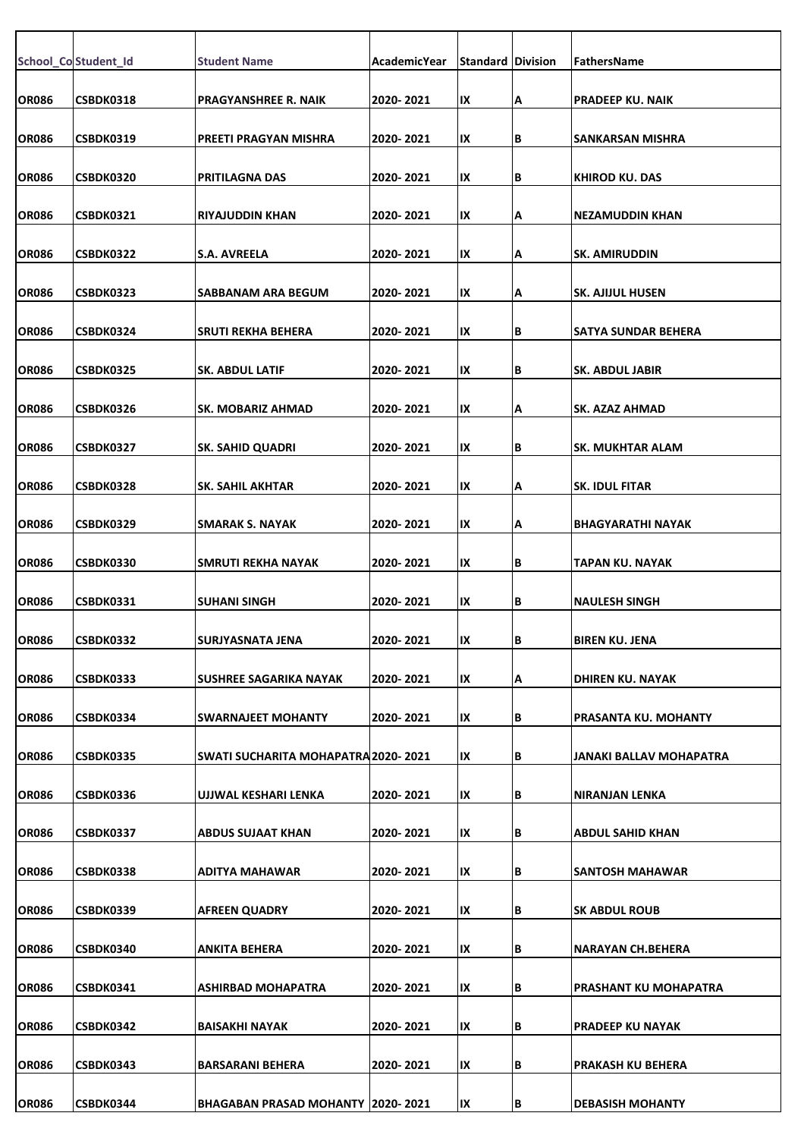|              | School_Co Student_Id | <b>Student Name</b>                      | AcademicYear | <b>Standard Division</b> |    | FathersName                 |
|--------------|----------------------|------------------------------------------|--------------|--------------------------|----|-----------------------------|
| <b>OR086</b> | CSBDK0318            | <b>PRAGYANSHREE R. NAIK</b>              | 2020-2021    | IX                       | Α  | <b>PRADEEP KU. NAIK</b>     |
| <b>OR086</b> | CSBDK0319            | PREETI PRAGYAN MISHRA                    | 2020-2021    | IX                       | B  | SANKARSAN MISHRA            |
|              |                      |                                          |              | IX                       |    |                             |
| OR086        | <b>CSBDK0320</b>     | PRITILAGNA DAS                           | 2020-2021    |                          | B  | KHIROD KU. DAS              |
| <b>OR086</b> | CSBDK0321            | <b>RIYAJUDDIN KHAN</b>                   | 2020-2021    | IX                       | A  | <b>NEZAMUDDIN KHAN</b>      |
| <b>OR086</b> | CSBDK0322            | S.A. AVREELA                             | 2020-2021    | IX                       | Α  | <b>SK. AMIRUDDIN</b>        |
| <b>OR086</b> | CSBDK0323            | SABBANAM ARA BEGUM                       | 2020-2021    | IX                       | A  | <b>SK. AJIJUL HUSEN</b>     |
| <b>OR086</b> | CSBDK0324            | SRUTI REKHA BEHERA                       | 2020- 2021   | IX                       | B  | <b>SATYA SUNDAR BEHERA</b>  |
| <b>OR086</b> | CSBDK0325            | <b>SK. ABDUL LATIF</b>                   | 2020-2021    | IX                       | B  | SK. ABDUL JABIR             |
| <b>OR086</b> | CSBDK0326            | <b>SK. MOBARIZ AHMAD</b>                 | 2020-2021    | IX                       | A  | <b>SK. AZAZ AHMAD</b>       |
| <b>OR086</b> | CSBDK0327            | <b>SK. SAHID QUADRI</b>                  | 2020-2021    | IX                       | B  | SK. MUKHTAR ALAM            |
| <b>OR086</b> | CSBDK0328            | SK. SAHIL AKHTAR                         | 2020-2021    | IX                       | A  | <b>SK. IDUL FITAR</b>       |
|              |                      |                                          |              |                          |    |                             |
| <b>OR086</b> | CSBDK0329            | SMARAK S. NAYAK                          | 2020-2021    | IX                       | A  | BHAGYARATHI NAYAK           |
| <b>OR086</b> | CSBDK0330            | SMRUTI REKHA NAYAK                       | 2020-2021    | IX                       | B  | TAPAN KU. NAYAK             |
| <b>OR086</b> | CSBDK0331            | <b>SUHANI SINGH</b>                      | 2020-2021    | IX                       | B  | <b>NAULESH SINGH</b>        |
| <b>OR086</b> | <b>CSBDK0332</b>     | SURJYASNATA JENA                         | 2020-2021    | IХ                       | IВ | BIREN KU. JENA              |
| <b>OR086</b> | CSBDK0333            | SUSHREE SAGARIKA NAYAK                   | 2020-2021    | IX                       | A  | DHIREN KU. NAYAK            |
| <b>OR086</b> | CSBDK0334            | SWARNAJEET MOHANTY                       | 2020-2021    | IX                       | B  | <b>PRASANTA KU. MOHANTY</b> |
| <b>OR086</b> | CSBDK0335            | SWATI SUCHARITA MOHAPATRA 2020- 2021     |              | IX                       | B  | JANAKI BALLAV MOHAPATRA     |
| <b>OR086</b> | CSBDK0336            | UJJWAL KESHARI LENKA                     | 2020-2021    | IX                       | B  | <b>NIRANJAN LENKA</b>       |
|              |                      |                                          |              |                          |    |                             |
| <b>OR086</b> | CSBDK0337            | ABDUS SUJAAT KHAN                        | 2020-2021    | IX                       | B  | <b>ABDUL SAHID KHAN</b>     |
| <b>OR086</b> | CSBDK0338            | ADITYA MAHAWAR                           | 2020-2021    | IX                       | B  | <b>SANTOSH MAHAWAR</b>      |
| OR086        | CSBDK0339            | AFREEN QUADRY                            | 2020-2021    | IX                       | B  | <b>SK ABDUL ROUB</b>        |
| <b>OR086</b> | CSBDK0340            | <b>ANKITA BEHERA</b>                     | 2020-2021    | IX                       | B  | <b>NARAYAN CH.BEHERA</b>    |
| <b>OR086</b> | CSBDK0341            | <b>ASHIRBAD MOHAPATRA</b>                | 2020-2021    | IX                       | B  | PRASHANT KU MOHAPATRA       |
| <b>OR086</b> | CSBDK0342            | BAISAKHI NAYAK                           | 2020-2021    | IX                       | B  | <b>PRADEEP KU NAYAK</b>     |
| <b>OR086</b> | CSBDK0343            | <b>BARSARANI BEHERA</b>                  | 2020-2021    | IX                       | B  | PRAKASH KU BEHERA           |
| <b>OR086</b> | CSBDK0344            | <b>BHAGABAN PRASAD MOHANTY 2020-2021</b> |              | IX                       | lВ | <b>DEBASISH MOHANTY</b>     |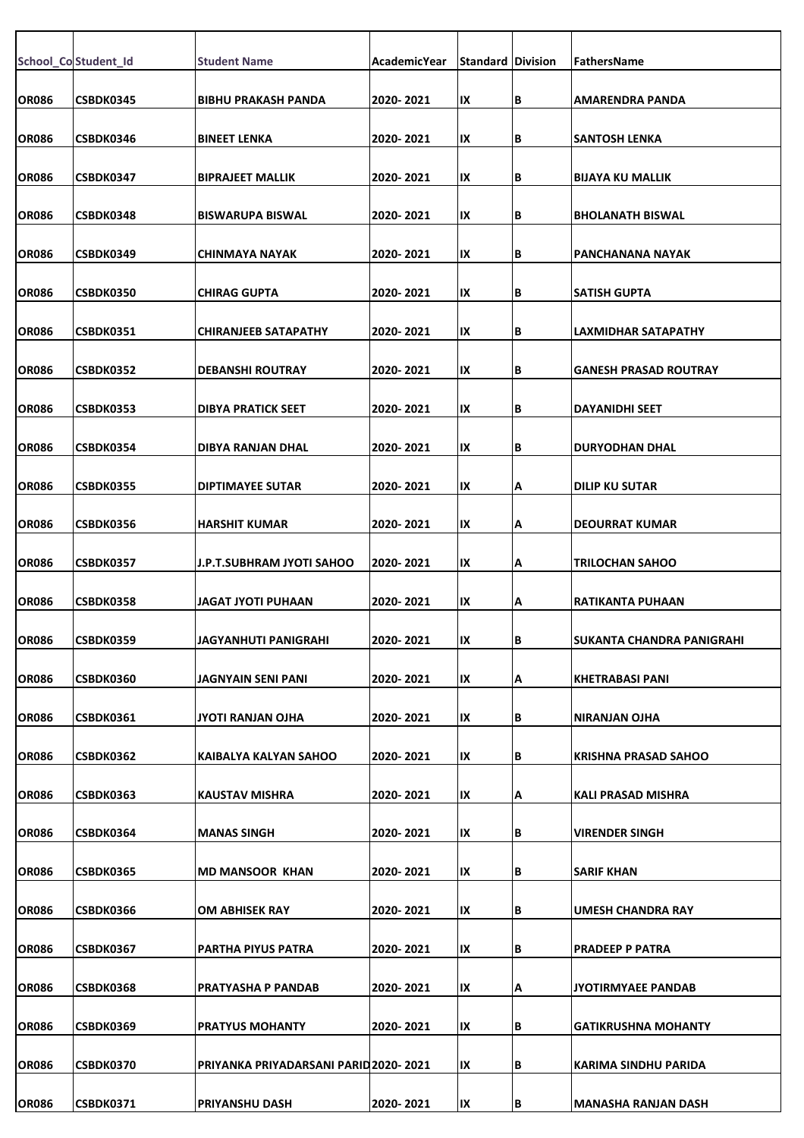|              | School_Co Student_Id | <b>Student Name</b>                   | AcademicYear | <b>Standard Division</b> |    | FathersName                  |
|--------------|----------------------|---------------------------------------|--------------|--------------------------|----|------------------------------|
| <b>OR086</b> | <b>CSBDK0345</b>     | <b>BIBHU PRAKASH PANDA</b>            | 2020-2021    | IX                       | В  | <b>AMARENDRA PANDA</b>       |
| <b>OR086</b> | CSBDK0346            | <b>BINEET LENKA</b>                   | 2020-2021    | IX                       | В  | <b>SANTOSH LENKA</b>         |
| <b>OR086</b> | <b>CSBDK0347</b>     | <b>BIPRAJEET MALLIK</b>               | 2020- 2021   | IX                       | В  | <b>BIJAYA KU MALLIK</b>      |
| <b>OR086</b> | CSBDK0348            | <b>BISWARUPA BISWAL</b>               | 2020-2021    | IX                       | В  | <b>BHOLANATH BISWAL</b>      |
| <b>OR086</b> | CSBDK0349            | <b>CHINMAYA NAYAK</b>                 | 2020-2021    | IX                       | В  | PANCHANANA NAYAK             |
| <b>OR086</b> | <b>CSBDK0350</b>     | <b>CHIRAG GUPTA</b>                   | 2020-2021    | IX                       | В  | <b>SATISH GUPTA</b>          |
| <b>OR086</b> | CSBDK0351            | <b>CHIRANJEEB SATAPATHY</b>           | 2020-2021    | IX                       | В  | LAXMIDHAR SATAPATHY          |
|              |                      |                                       |              |                          |    |                              |
| <b>OR086</b> | CSBDK0352            | <b>DEBANSHI ROUTRAY</b>               | 2020-2021    | IX                       | В  | <b>GANESH PRASAD ROUTRAY</b> |
| <b>OR086</b> | CSBDK0353            | <b>DIBYA PRATICK SEET</b>             | 2020-2021    | IX                       | В  | <b>DAYANIDHI SEET</b>        |
| <b>OR086</b> | CSBDK0354            | DIBYA RANJAN DHAL                     | 2020-2021    | IX                       | В  | <b>DURYODHAN DHAL</b>        |
| <b>OR086</b> | <b>CSBDK0355</b>     | <b>DIPTIMAYEE SUTAR</b>               | 2020-2021    | IX                       | А  | <b>DILIP KU SUTAR</b>        |
| <b>OR086</b> | <b>CSBDK0356</b>     | <b>HARSHIT KUMAR</b>                  | 2020- 2021   | IX                       | А  | <b>DEOURRAT KUMAR</b>        |
| <b>OR086</b> | CSBDK0357            | J.P.T.SUBHRAM JYOTI SAHOO             | 2020-2021    | IX                       | А  | <b>TRILOCHAN SAHOO</b>       |
| <b>OR086</b> | <b>CSBDK0358</b>     | JAGAT JYOTI PUHAAN                    | 2020-2021    | IX                       | А  | <b>RATIKANTA PUHAAN</b>      |
| <b>OR086</b> | <b>CSBDK0359</b>     | JAGYANHUTI PANIGRAHI                  | 2020-2021    | IХ                       | IΒ | SUKANTA CHANDRA PANIGRAHI    |
| <b>OR086</b> | <b>CSBDK0360</b>     | JAGNYAIN SENI PANI                    | 2020-2021    | IX                       | А  | <b>KHETRABASI PANI</b>       |
|              |                      |                                       |              |                          |    |                              |
| <b>OR086</b> | CSBDK0361            | JYOTI RANJAN OJHA                     | 2020-2021    | IX                       | В  | <b>NIRANJAN OJHA</b>         |
| <b>OR086</b> | CSBDK0362            | KAIBALYA KALYAN SAHOO                 | 2020-2021    | IX                       | В  | <b>KRISHNA PRASAD SAHOO</b>  |
| OR086        | <b>CSBDK0363</b>     | <b>KAUSTAV MISHRA</b>                 | 2020-2021    | IX                       | А  | <b>KALI PRASAD MISHRA</b>    |
| <b>OR086</b> | CSBDK0364            | <b>MANAS SINGH</b>                    | 2020-2021    | IX                       | В  | <b>VIRENDER SINGH</b>        |
| <b>OR086</b> | <b>CSBDK0365</b>     | <b>MD MANSOOR KHAN</b>                | 2020-2021    | IX                       | В  | <b>SARIF KHAN</b>            |
| <b>OR086</b> | <b>CSBDK0366</b>     | OM ABHISEK RAY                        | 2020-2021    | IX                       | В  | UMESH CHANDRA RAY            |
| <b>OR086</b> | CSBDK0367            | PARTHA PIYUS PATRA                    | 2020-2021    | IX                       | В  | <b>PRADEEP P PATRA</b>       |
|              |                      |                                       |              |                          |    |                              |
| <b>OR086</b> | CSBDK0368            | <b>PRATYASHA P PANDAB</b>             | 2020-2021    | IX                       | А  | <b>JYOTIRMYAEE PANDAB</b>    |
| <b>OR086</b> | CSBDK0369            | <b>PRATYUS MOHANTY</b>                | 2020-2021    | IX                       | В  | <b>GATIKRUSHNA MOHANTY</b>   |
| <b>OR086</b> | <b>CSBDK0370</b>     | PRIYANKA PRIYADARSANI PARID 2020-2021 |              | IX                       | В  | KARIMA SINDHU PARIDA         |
| <b>OR086</b> | CSBDK0371            | <b>PRIYANSHU DASH</b>                 | 2020-2021    | IX                       | B  | <b>MANASHA RANJAN DASH</b>   |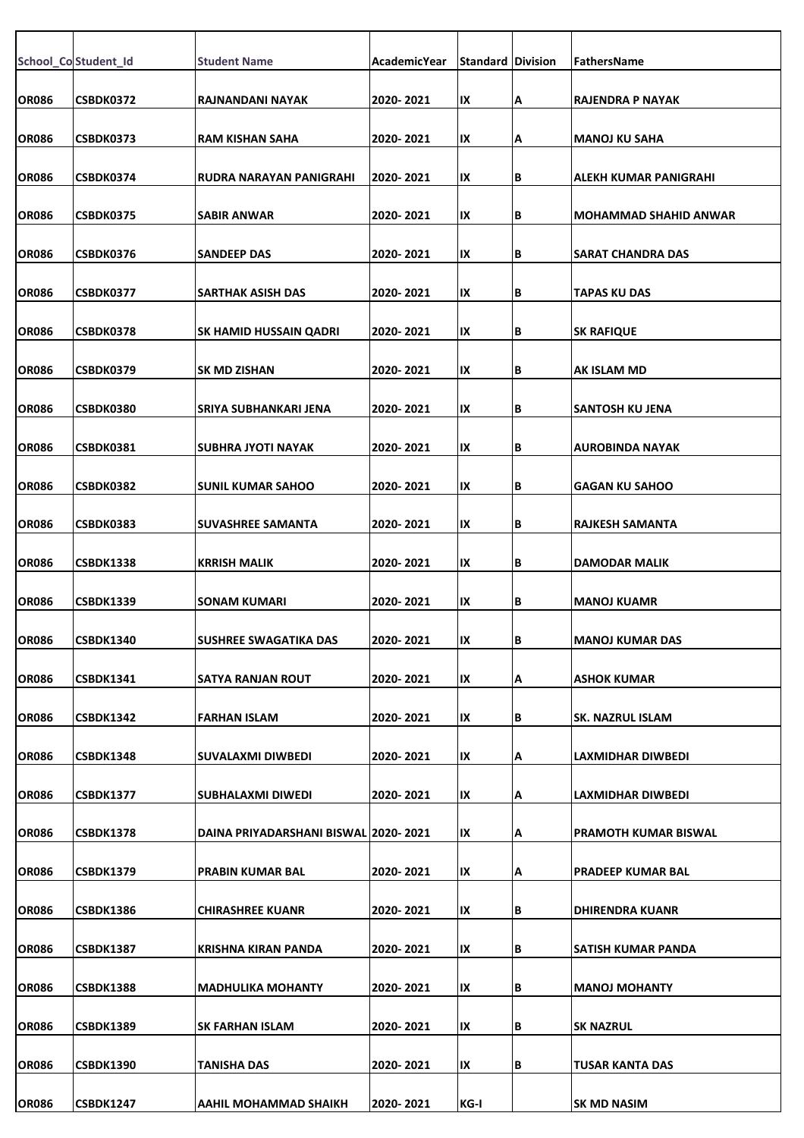|              | School_Co Student_Id | <b>Student Name</b>                   | AcademicYear | <b>Standard Division</b> |     | <b>FathersName</b>       |
|--------------|----------------------|---------------------------------------|--------------|--------------------------|-----|--------------------------|
|              |                      |                                       |              |                          |     |                          |
| OR086        | CSBDK0372            | RAJNANDANI NAYAK                      | 2020-2021    | IX                       | А   | RAJENDRA P NAYAK         |
| <b>OR086</b> | CSBDK0373            | <b>RAM KISHAN SAHA</b>                | 2020-2021    | IX                       | Α   | <b>MANOJ KU SAHA</b>     |
| <b>OR086</b> | CSBDK0374            | RUDRA NARAYAN PANIGRAHI               | 2020-2021    | IX                       | B   | ALEKH KUMAR PANIGRAHI    |
| <b>OR086</b> | CSBDK0375            | <b>SABIR ANWAR</b>                    | 2020-2021    | IX                       | B   | MOHAMMAD SHAHID ANWAR    |
|              |                      |                                       |              |                          |     |                          |
| <b>OR086</b> | CSBDK0376            | <b>SANDEEP DAS</b>                    | 2020-2021    | IX                       | В   | SARAT CHANDRA DAS        |
| <b>OR086</b> | CSBDK0377            | <b>SARTHAK ASISH DAS</b>              | 2020-2021    | IX                       | B   | <b>TAPAS KU DAS</b>      |
| <b>OR086</b> | CSBDK0378            | SK HAMID HUSSAIN QADRI                | 2020-2021    | IX                       | B   | <b>SK RAFIQUE</b>        |
| <b>OR086</b> | CSBDK0379            | <b>SK MD ZISHAN</b>                   | 2020-2021    | IX                       | B   | <b>AK ISLAM MD</b>       |
| <b>OR086</b> | <b>CSBDK0380</b>     |                                       | 2020-2021    |                          | B   |                          |
|              |                      | SRIYA SUBHANKARI JENA                 |              | IX                       |     | SANTOSH KU JENA          |
| <b>OR086</b> | CSBDK0381            | SUBHRA JYOTI NAYAK                    | 2020-2021    | IX                       | B   | AUROBINDA NAYAK          |
| <b>OR086</b> | CSBDK0382            | <b>SUNIL KUMAR SAHOO</b>              | 2020-2021    | IX                       | B   | <b>GAGAN KU SAHOO</b>    |
| <b>OR086</b> | CSBDK0383            | SUVASHREE SAMANTA                     | 2020-2021    | IX                       | B   | RAJKESH SAMANTA          |
| <b>OR086</b> | <b>CSBDK1338</b>     | <b>KRRISH MALIK</b>                   | 2020-2021    | IX                       | B   | <b>DAMODAR MALIK</b>     |
|              |                      |                                       |              |                          |     |                          |
| <b>OR086</b> | <b>CSBDK1339</b>     | <b>SONAM KUMARI</b>                   | 2020-2021    | IX                       | B   | <b>MANOJ KUAMR</b>       |
| <b>OR086</b> | <b>CSBDK1340</b>     | SUSHREE SWAGATIKA DAS                 | 2020-2021    | IХ                       | IB. | MANOJ KUMAR DAS          |
| <b>OR086</b> | <b>CSBDK1341</b>     | <b>SATYA RANJAN ROUT</b>              | 2020-2021    | IX                       | Α   | <b>JASHOK KUMAR</b>      |
| <b>OR086</b> | <b>CSBDK1342</b>     | <b>FARHAN ISLAM</b>                   | 2020-2021    | IX                       | В   | <b>SK. NAZRUL ISLAM</b>  |
|              |                      |                                       |              |                          |     |                          |
| <b>OR086</b> | <b>CSBDK1348</b>     | <b>SUVALAXMI DIWBEDI</b>              | 2020-2021    | IX                       | А   | LAXMIDHAR DIWBEDI        |
| <b>OR086</b> | <b>CSBDK1377</b>     | <b>SUBHALAXMI DIWEDI</b>              | 2020-2021    | IX                       | А   | LAXMIDHAR DIWBEDI        |
| <b>OR086</b> | CSBDK1378            | DAINA PRIYADARSHANI BISWAL 2020- 2021 |              | IX                       | А   | PRAMOTH KUMAR BISWAL     |
| <b>OR086</b> | <b>CSBDK1379</b>     | <b>PRABIN KUMAR BAL</b>               | 2020-2021    | IX                       | Α   | <b>PRADEEP KUMAR BAL</b> |
| <b>OR086</b> | CSBDK1386            | CHIRASHREE KUANR                      | 2020-2021    | IX                       | В   | <b>DHIRENDRA KUANR</b>   |
|              |                      |                                       |              |                          |     |                          |
| <b>OR086</b> | <b>CSBDK1387</b>     | <b>KRISHNA KIRAN PANDA</b>            | 2020-2021    | IX                       | B   | SATISH KUMAR PANDA       |
| <b>OR086</b> | <b>CSBDK1388</b>     | <b>MADHULIKA MOHANTY</b>              | 2020-2021    | IX                       | B   | <b>MANOJ MOHANTY</b>     |
| <b>OR086</b> | <b>CSBDK1389</b>     | <b>SK FARHAN ISLAM</b>                | 2020-2021    | IX                       | B   | <b>SK NAZRUL</b>         |
| <b>OR086</b> | <b>CSBDK1390</b>     | TANISHA DAS                           | 2020-2021    | IX                       | B   | <b>TUSAR KANTA DAS</b>   |
| <b>OR086</b> | <b>CSBDK1247</b>     | <b>AAHIL MOHAMMAD SHAIKH</b>          | 2020-2021    | KG-I                     |     | <b>SK MD NASIM</b>       |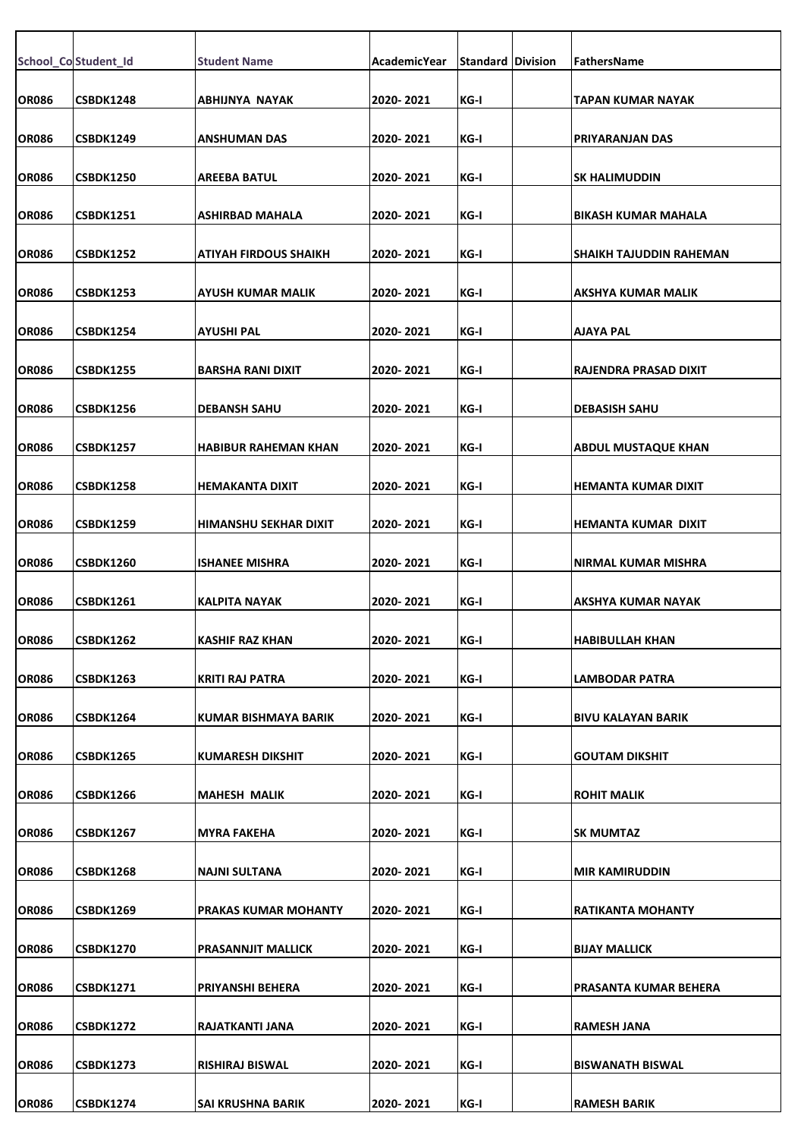|              | School_Co Student_Id | <b>Student Name</b>       | AcademicYear | <b>Standard Division</b> | FathersName                |
|--------------|----------------------|---------------------------|--------------|--------------------------|----------------------------|
|              | <b>CSBDK1248</b>     |                           |              |                          |                            |
| <b>OR086</b> |                      | ABHIJNYA NAYAK            | 2020-2021    | KG-I                     | TAPAN KUMAR NAYAK          |
| <b>OR086</b> | <b>CSBDK1249</b>     | ANSHUMAN DAS              | 2020-2021    | KG-I                     | PRIYARANJAN DAS            |
| OR086        | <b>CSBDK1250</b>     | AREEBA BATUL              | 2020-2021    | KG-I                     | <b>SK HALIMUDDIN</b>       |
| <b>OR086</b> | <b>CSBDK1251</b>     | ASHIRBAD MAHALA           | 2020-2021    | KG-I                     | <b>BIKASH KUMAR MAHALA</b> |
| <b>OR086</b> | <b>CSBDK1252</b>     | ATIYAH FIRDOUS SHAIKH     | 2020-2021    | KG-I                     | SHAIKH TAJUDDIN RAHEMAN    |
| <b>OR086</b> | <b>CSBDK1253</b>     | AYUSH KUMAR MALIK         | 2020-2021    | KG-I                     | AKSHYA KUMAR MALIK         |
| <b>OR086</b> | <b>CSBDK1254</b>     | AYUSHI PAL                | 2020- 2021   | KG-I                     | AJAYA PAL                  |
| <b>OR086</b> | <b>CSBDK1255</b>     | <b>BARSHA RANI DIXIT</b>  | 2020-2021    | KG-I                     | RAJENDRA PRASAD DIXIT      |
| <b>OR086</b> | <b>CSBDK1256</b>     | <b>DEBANSH SAHU</b>       | 2020-2021    | KG-I                     | <b>DEBASISH SAHU</b>       |
| <b>OR086</b> | <b>CSBDK1257</b>     | HABIBUR RAHEMAN KHAN      | 2020-2021    | KG-I                     | <b>ABDUL MUSTAQUE KHAN</b> |
| OR086        | <b>CSBDK1258</b>     | HEMAKANTA DIXIT           | 2020-2021    | KG-I                     | HEMANTA KUMAR DIXIT        |
| <b>OR086</b> | CSBDK1259            | HIMANSHU SEKHAR DIXIT     | 2020-2021    | KG-I                     | HEMANTA KUMAR DIXIT        |
|              |                      |                           |              |                          |                            |
| <b>OR086</b> | <b>CSBDK1260</b>     | <b>ISHANEE MISHRA</b>     | 2020-2021    | KG-I                     | NIRMAL KUMAR MISHRA        |
| <b>OR086</b> | <b>CSBDK1261</b>     | <b>KALPITA NAYAK</b>      | 2020-2021    | KG-I                     | AKSHYA KUMAR NAYAK         |
| <b>OR086</b> | CSBDK1262            | KASHIF RAZ KHAN           | 2020-2021    | KG-I                     | HABIBULLAH KHAN            |
| <b>OR086</b> | <b>CSBDK1263</b>     | KRITI RAJ PATRA           | 2020-2021    | KG-I                     | LAMBODAR PATRA             |
| <b>OR086</b> | <b>CSBDK1264</b>     | KUMAR BISHMAYA BARIK      | 2020-2021    | KG-I                     | <b>BIVU KALAYAN BARIK</b>  |
| <b>OR086</b> | <b>CSBDK1265</b>     | <b>KUMARESH DIKSHIT</b>   | 2020-2021    | KG-I                     | <b>GOUTAM DIKSHIT</b>      |
| <b>OR086</b> | CSBDK1266            | <b>MAHESH MALIK</b>       | 2020-2021    | KG-I                     | <b>ROHIT MALIK</b>         |
| <b>OR086</b> | CSBDK1267            | MYRA FAKEHA               | 2020-2021    | KG-I                     | <b>SK MUMTAZ</b>           |
| <b>OR086</b> | <b>CSBDK1268</b>     | NAJNI SULTANA             | 2020-2021    | KG-I                     | <b>MIR KAMIRUDDIN</b>      |
| <b>OR086</b> | CSBDK1269            | PRAKAS KUMAR MOHANTY      | 2020-2021    | KG-I                     | RATIKANTA MOHANTY          |
| <b>OR086</b> | CSBDK1270            | <b>PRASANNJIT MALLICK</b> | 2020-2021    | KG-I                     | <b>BIJAY MALLICK</b>       |
| <b>OR086</b> | <b>CSBDK1271</b>     | PRIYANSHI BEHERA          | 2020-2021    | KG-I                     |                            |
|              |                      |                           |              |                          | PRASANTA KUMAR BEHERA      |
| OR086        | <b>CSBDK1272</b>     | RAJATKANTI JANA           | 2020-2021    | KG-I                     | <b>RAMESH JANA</b>         |
| OR086        | <b>CSBDK1273</b>     | RISHIRAJ BISWAL           | 2020-2021    | KG-I                     | <b>BISWANATH BISWAL</b>    |
| <b>OR086</b> | <b>CSBDK1274</b>     | SAI KRUSHNA BARIK         | 2020-2021    | KG-I                     | <b>RAMESH BARIK</b>        |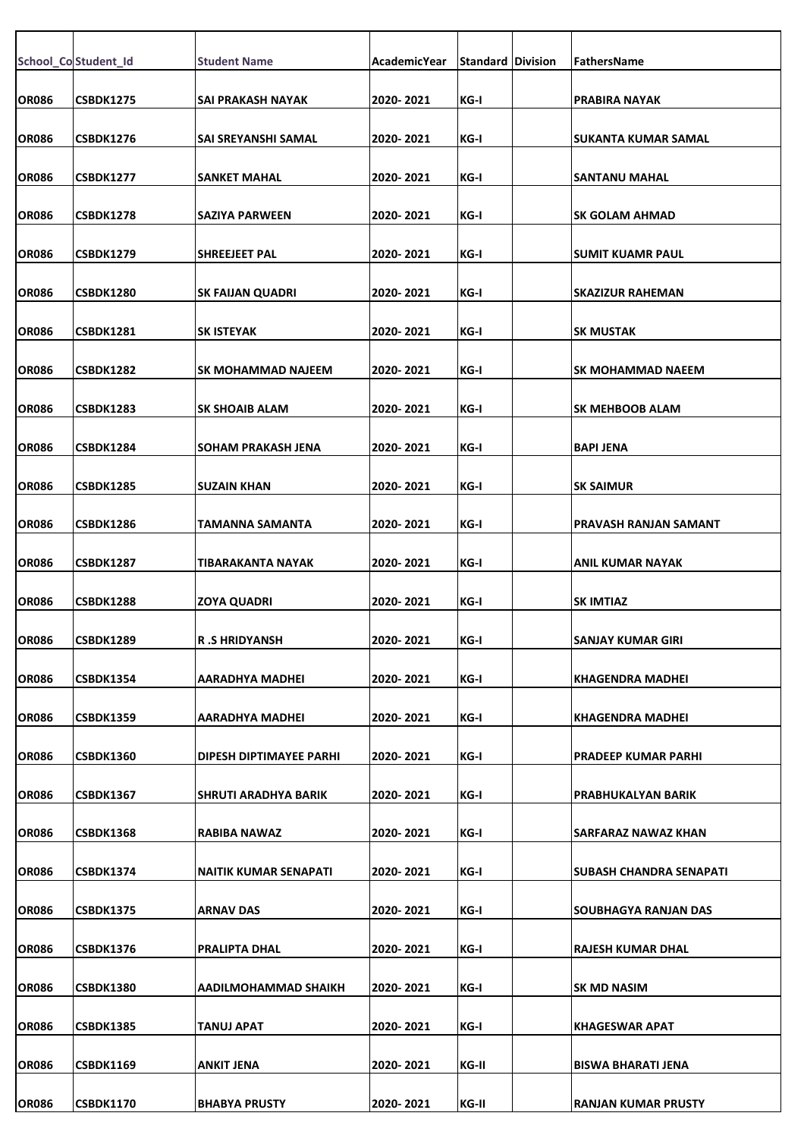|              | School_Co Student_Id | <b>Student Name</b>          | AcademicYear | <b>Standard Division</b> | FathersName                    |
|--------------|----------------------|------------------------------|--------------|--------------------------|--------------------------------|
|              |                      |                              |              |                          |                                |
| <b>OR086</b> | <b>CSBDK1275</b>     | SAI PRAKASH NAYAK            | 2020-2021    | KG-I                     | <b>PRABIRA NAYAK</b>           |
| <b>OR086</b> | <b>CSBDK1276</b>     | SAI SREYANSHI SAMAL          | 2020-2021    | KG-I                     | SUKANTA KUMAR SAMAL            |
| <b>OR086</b> | <b>CSBDK1277</b>     | SANKET MAHAL                 | 2020-2021    | KG-I                     | <b>SANTANU MAHAL</b>           |
|              |                      |                              |              |                          |                                |
| <b>OR086</b> | <b>CSBDK1278</b>     | <b>SAZIYA PARWEEN</b>        | 2020-2021    | KG-I                     | <b>ISK GOLAM AHMAD</b>         |
| <b>OR086</b> | CSBDK1279            | SHREEJEET PAL                | 2020-2021    | KG-I                     | ISUMIT KUAMR PAUL              |
| <b>OR086</b> | <b>CSBDK1280</b>     | <b>SK FAIJAN QUADRI</b>      | 2020-2021    | KG-I                     | <b>SKAZIZUR RAHEMAN</b>        |
| <b>OR086</b> | <b>CSBDK1281</b>     | <b>SK ISTEYAK</b>            | 2020-2021    | KG-I                     | <b>SK MUSTAK</b>               |
|              |                      |                              |              |                          |                                |
| <b>OR086</b> | <b>CSBDK1282</b>     | SK MOHAMMAD NAJEEM           | 2020-2021    | KG-I                     | ISK MOHAMMAD NAEEM             |
| <b>OR086</b> | <b>CSBDK1283</b>     | <b>SK SHOAIB ALAM</b>        | 2020-2021    | KG-I                     | <b>SK MEHBOOB ALAM</b>         |
| <b>OR086</b> | CSBDK1284            | SOHAM PRAKASH JENA           | 2020-2021    | KG-I                     | BAPI JENA                      |
| <b>OR086</b> | <b>CSBDK1285</b>     | <b>SUZAIN KHAN</b>           | 2020-2021    | KG-I                     | <b>SK SAIMUR</b>               |
|              |                      |                              |              |                          |                                |
| <b>OR086</b> | <b>CSBDK1286</b>     | TAMANNA SAMANTA              | 2020-2021    | KG-I                     | PRAVASH RANJAN SAMANT          |
| <b>OR086</b> | <b>CSBDK1287</b>     | TIBARAKANTA NAYAK            | 2020-2021    | KG-I                     | IANIL KUMAR NAYAK              |
| <b>OR086</b> | <b>CSBDK1288</b>     | <b>ZOYA QUADRI</b>           | 2020-2021    | KG-I                     | <b>SK IMTIAZ</b>               |
| <b>OR086</b> | CSBDK1289            | <b>R.SHRIDYANSH</b>          | 2020-2021    | KG-I                     | SANJAY KUMAR GIRI              |
|              |                      |                              | 2020-2021    | KG-I                     |                                |
| <b>OR086</b> | <b>CSBDK1354</b>     | AARADHYA MADHEI              |              |                          | KHAGENDRA MADHEI               |
| <b>OR086</b> | <b>CSBDK1359</b>     | AARADHYA MADHEI              | 2020-2021    | KG-I                     | KHAGENDRA MADHEI               |
| <b>OR086</b> | CSBDK1360            | DIPESH DIPTIMAYEE PARHI      | 2020-2021    | KG-I                     | <b>PRADEEP KUMAR PARHI</b>     |
| <b>OR086</b> | <b>CSBDK1367</b>     | <b>SHRUTI ARADHYA BARIK</b>  | 2020-2021    | KG-I                     | PRABHUKALYAN BARIK             |
| <b>OR086</b> |                      |                              |              | KG-I                     |                                |
|              | CSBDK1368            | RABIBA NAWAZ                 | 2020-2021    |                          | SARFARAZ NAWAZ KHAN            |
| <b>OR086</b> | <b>CSBDK1374</b>     | <b>NAITIK KUMAR SENAPATI</b> | 2020-2021    | KG-I                     | <b>SUBASH CHANDRA SENAPATI</b> |
| OR086        | <b>CSBDK1375</b>     | <b>ARNAV DAS</b>             | 2020-2021    | KG-I                     | ISOUBHAGYA RANJAN DAS          |
| <b>OR086</b> | <b>CSBDK1376</b>     | <b>PRALIPTA DHAL</b>         | 2020-2021    | KG-I                     | RAJESH KUMAR DHAL              |
| <b>OR086</b> | <b>CSBDK1380</b>     | AADILMOHAMMAD SHAIKH         | 2020-2021    | KG-I                     | <b>SK MD NASIM</b>             |
|              |                      |                              |              |                          |                                |
| <b>OR086</b> | <b>CSBDK1385</b>     | TANUJ APAT                   | 2020-2021    | KG-I                     | KHAGESWAR APAT                 |
| <b>OR086</b> | <b>CSBDK1169</b>     | <b>ANKIT JENA</b>            | 2020-2021    | KG-II                    | BISWA BHARATI JENA             |
| <b>OR086</b> | <b>CSBDK1170</b>     | <b>BHABYA PRUSTY</b>         | 2020-2021    | KG-II                    | RANJAN KUMAR PRUSTY            |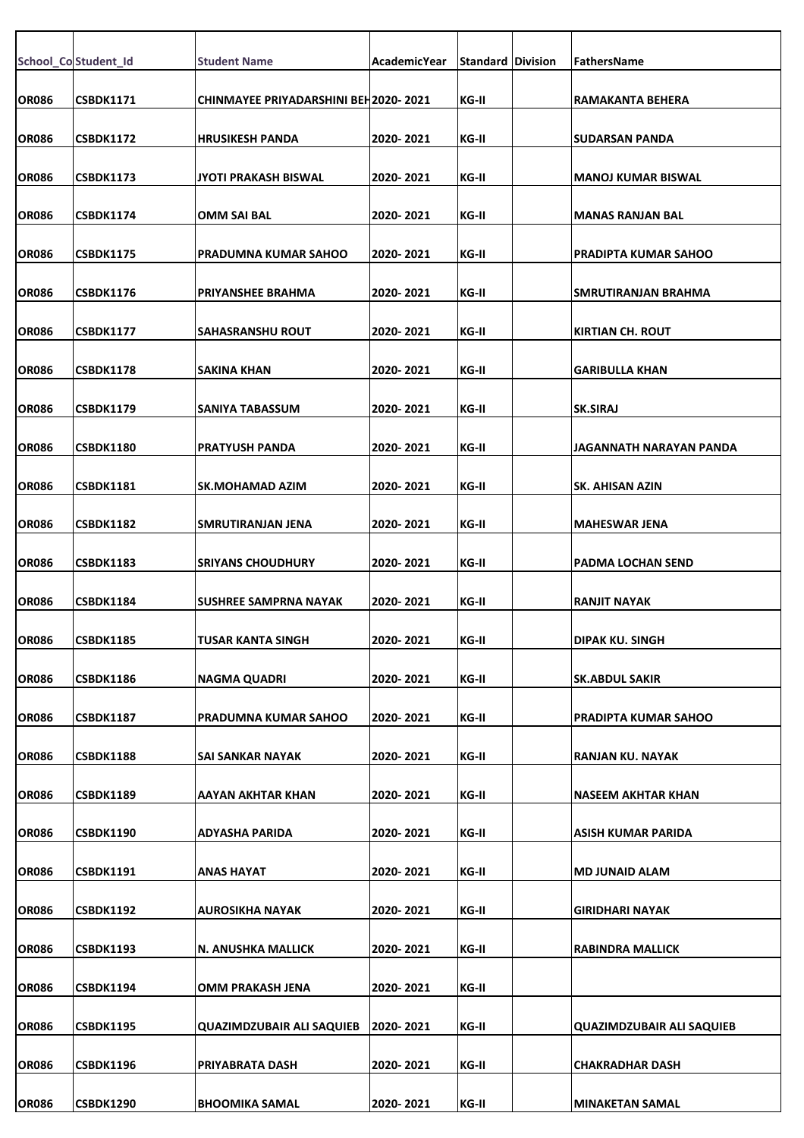|              | School_Co Student_Id | <b>Student Name</b>                         | AcademicYear | <b>Standard Division</b> | <b>FathersName</b>          |
|--------------|----------------------|---------------------------------------------|--------------|--------------------------|-----------------------------|
|              |                      |                                             |              |                          |                             |
| <b>OR086</b> | <b>CSBDK1171</b>     | <b>CHINMAYEE PRIYADARSHINI BEH2020-2021</b> |              | KG-II                    | RAMAKANTA BEHERA            |
| <b>OR086</b> | <b>CSBDK1172</b>     | <b>HRUSIKESH PANDA</b>                      | 2020-2021    | KG-II                    | SUDARSAN PANDA              |
| <b>OR086</b> | <b>CSBDK1173</b>     | JYOTI PRAKASH BISWAL                        | 2020-2021    | KG-II                    | MANOJ KUMAR BISWAL          |
| <b>OR086</b> | <b>CSBDK1174</b>     | <b>OMM SAI BAL</b>                          | 2020-2021    | KG-II                    | MANAS RANJAN BAL            |
|              |                      |                                             |              |                          |                             |
| <b>OR086</b> | <b>CSBDK1175</b>     | <b>PRADUMNA KUMAR SAHOO</b>                 | 2020-2021    | KG-II                    | PRADIPTA KUMAR SAHOO        |
| <b>OR086</b> | <b>CSBDK1176</b>     | <b>PRIYANSHEE BRAHMA</b>                    | 2020-2021    | KG-II                    | <b>SMRUTIRANJAN BRAHMA</b>  |
| <b>OR086</b> | <b>CSBDK1177</b>     | <b>SAHASRANSHU ROUT</b>                     | 2020-2021    | KG-II                    | KIRTIAN CH. ROUT            |
| <b>OR086</b> | <b>CSBDK1178</b>     | <b>SAKINA KHAN</b>                          | 2020-2021    | KG-II                    | <b>GARIBULLA KHAN</b>       |
| <b>OR086</b> | <b>CSBDK1179</b>     | <b>SANIYA TABASSUM</b>                      | 2020-2021    | KG-II                    | <b>SK.SIRAJ</b>             |
| <b>OR086</b> | <b>CSBDK1180</b>     | <b>PRATYUSH PANDA</b>                       | 2020-2021    | KG-II                    | IJAGANNATH NARAYAN PANDA    |
|              |                      |                                             |              |                          |                             |
| <b>OR086</b> | <b>CSBDK1181</b>     | <b>SK.MOHAMAD AZIM</b>                      | 2020-2021    | KG-II                    | <b>SK. AHISAN AZIN</b>      |
| <b>OR086</b> | <b>CSBDK1182</b>     | SMRUTIRANJAN JENA                           | 2020-2021    | KG-II                    | MAHESWAR JENA               |
| <b>OR086</b> | <b>CSBDK1183</b>     | <b>SRIYANS CHOUDHURY</b>                    | 2020-2021    | KG-II                    | IPADMA LOCHAN SEND          |
| <b>OR086</b> | <b>CSBDK1184</b>     | SUSHREE SAMPRNA NAYAK                       | 2020-2021    | KG-II                    | IRANJIT NAYAK               |
| <b>OR086</b> | CSBDK1185            | TUSAR KANTA SINGH                           | 2020-2021    | KG-II                    | <b>DIPAK KU. SINGH</b>      |
| <b>OR086</b> | <b>CSBDK1186</b>     | <b>NAGMA QUADRI</b>                         | 2020-2021    | KG-II                    | <b>SK.ABDUL SAKIR</b>       |
| <b>OR086</b> | <b>CSBDK1187</b>     | PRADUMNA KUMAR SAHOO                        | 2020-2021    | KG-II                    | <b>PRADIPTA KUMAR SAHOO</b> |
|              |                      |                                             |              |                          |                             |
| <b>OR086</b> | <b>CSBDK1188</b>     | SAI SANKAR NAYAK                            | 2020-2021    | KG-II                    | RANJAN KU. NAYAK            |
| <b>OR086</b> | <b>CSBDK1189</b>     | <b>AAYAN AKHTAR KHAN</b>                    | 2020-2021    | KG-II                    | <b>NASEEM AKHTAR KHAN</b>   |
| <b>OR086</b> | CSBDK1190            | ADYASHA PARIDA                              | 2020-2021    | KG-II                    | ASISH KUMAR PARIDA          |
| <b>OR086</b> | <b>CSBDK1191</b>     | ANAS HAYAT                                  | 2020-2021    | KG-II                    | <b>MD JUNAID ALAM</b>       |
| <b>OR086</b> | <b>CSBDK1192</b>     | AUROSIKHA NAYAK                             | 2020-2021    | KG-II                    | GIRIDHARI NAYAK             |
| <b>OR086</b> | <b>CSBDK1193</b>     | N. ANUSHKA MALLICK                          | 2020-2021    | KG-II                    | RABINDRA MALLICK            |
|              |                      |                                             |              |                          |                             |
| <b>OR086</b> | <b>CSBDK1194</b>     | <b>OMM PRAKASH JENA</b>                     | 2020-2021    | KG-II                    |                             |
| <b>OR086</b> | <b>CSBDK1195</b>     | <b>QUAZIMDZUBAIR ALI SAQUIEB</b>            | 2020-2021    | KG-II                    | QUAZIMDZUBAIR ALI SAQUIEB   |
| <b>OR086</b> | <b>CSBDK1196</b>     | PRIYABRATA DASH                             | 2020-2021    | KG-II                    | <b>CHAKRADHAR DASH</b>      |
| <b>OR086</b> | <b>CSBDK1290</b>     | <b>BHOOMIKA SAMAL</b>                       | 2020-2021    | KG-II                    | <b>MINAKETAN SAMAL</b>      |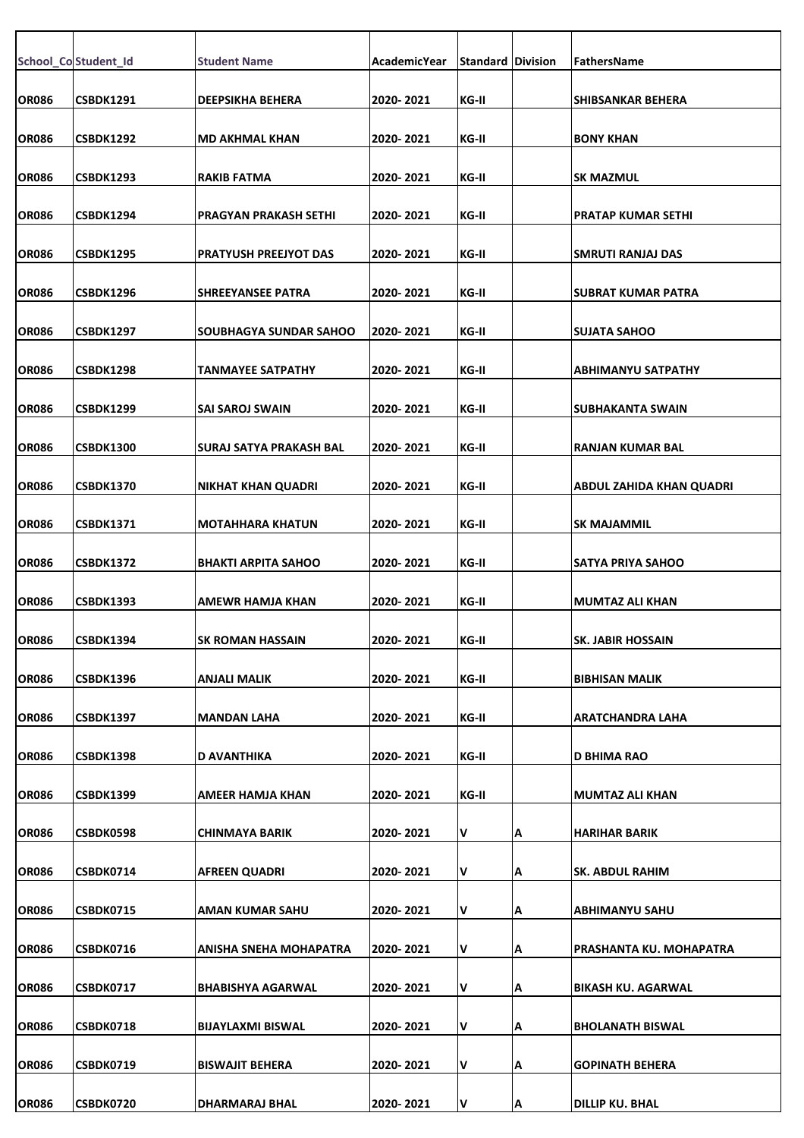|              | School_Co Student_Id | <b>Student Name</b>          | AcademicYear | <b>Standard Division</b> |   | FathersName                     |
|--------------|----------------------|------------------------------|--------------|--------------------------|---|---------------------------------|
| <b>OR086</b> | CSBDK1291            | <b>DEEPSIKHA BEHERA</b>      | 2020-2021    | KG-II                    |   | SHIBSANKAR BEHERA               |
| <b>OR086</b> | CSBDK1292            | <b>MD AKHMAL KHAN</b>        | 2020-2021    | KG-II                    |   | <b>BONY KHAN</b>                |
| <b>OR086</b> | CSBDK1293            | RAKIB FATMA                  | 2020- 2021   | KG-II                    |   | <b>SK MAZMUL</b>                |
|              |                      |                              |              |                          |   |                                 |
| <b>OR086</b> | CSBDK1294            | <b>PRAGYAN PRAKASH SETHI</b> | 2020-2021    | KG-II                    |   | <b>PRATAP KUMAR SETHI</b>       |
| <b>OR086</b> | CSBDK1295            | <b>PRATYUSH PREEJYOT DAS</b> | 2020-2021    | KG-II                    |   | SMRUTI RANJAJ DAS               |
| <b>OR086</b> | CSBDK1296            | <b>SHREEYANSEE PATRA</b>     | 2020-2021    | KG-II                    |   | <b>SUBRAT KUMAR PATRA</b>       |
| <b>OR086</b> | CSBDK1297            | SOUBHAGYA SUNDAR SAHOO       | 2020-2021    | KG-II                    |   | <b>SUJATA SAHOO</b>             |
| <b>OR086</b> | <b>CSBDK1298</b>     | TANMAYEE SATPATHY            | 2020-2021    | KG-II                    |   | <b>ABHIMANYU SATPATHY</b>       |
| <b>OR086</b> | <b>CSBDK1299</b>     | <b>SAI SAROJ SWAIN</b>       | 2020-2021    | KG-II                    |   | SUBHAKANTA SWAIN                |
|              |                      |                              |              |                          |   |                                 |
| <b>OR086</b> | <b>CSBDK1300</b>     | SURAJ SATYA PRAKASH BAL      | 2020-2021    | KG-II                    |   | <b>RANJAN KUMAR BAL</b>         |
| <b>OR086</b> | <b>CSBDK1370</b>     | <b>NIKHAT KHAN QUADRI</b>    | 2020-2021    | KG-II                    |   | <b>ABDUL ZAHIDA KHAN QUADRI</b> |
| <b>OR086</b> | CSBDK1371            | <b>MOTAHHARA KHATUN</b>      | 2020- 2021   | KG-II                    |   | <b>SK MAJAMMIL</b>              |
| <b>OR086</b> | CSBDK1372            | <b>BHAKTI ARPITA SAHOO</b>   | 2020-2021    | KG-II                    |   | <b>SATYA PRIYA SAHOO</b>        |
| <b>OR086</b> | CSBDK1393            | AMEWR HAMJA KHAN             | 2020-2021    | KG-II                    |   | <b>MUMTAZ ALI KHAN</b>          |
| <b>OR086</b> | CSBDK1394            | SK ROMAN HASSAIN             | 2020-2021    | KG-II                    |   | SK. JABIR HOSSAIN               |
| <b>OR086</b> | <b>CSBDK1396</b>     | <b>ANJALI MALIK</b>          | 2020-2021    | KG-II                    |   | <b>BIBHISAN MALIK</b>           |
| <b>OR086</b> | CSBDK1397            | <b>MANDAN LAHA</b>           | 2020-2021    | KG-II                    |   | ARATCHANDRA LAHA                |
| <b>OR086</b> | <b>CSBDK1398</b>     | D AVANTHIKA                  | 2020-2021    | KG-II                    |   | <b>D BHIMA RAO</b>              |
| <b>OR086</b> | <b>CSBDK1399</b>     | AMEER HAMJA KHAN             | 2020-2021    | KG-II                    |   | <b>MUMTAZ ALI KHAN</b>          |
| <b>OR086</b> | <b>CSBDK0598</b>     | CHINMAYA BARIK               | 2020- 2021   | V                        | А | <b>HARIHAR BARIK</b>            |
| <b>OR086</b> | CSBDK0714            | <b>AFREEN QUADRI</b>         | 2020-2021    | V                        | А | SK. ABDUL RAHIM                 |
| <b>OR086</b> | <b>CSBDK0715</b>     | AMAN KUMAR SAHU              | 2020-2021    | V                        | А | ABHIMANYU SAHU                  |
| <b>OR086</b> | CSBDK0716            | ANISHA SNEHA MOHAPATRA       | 2020-2021    | V                        | А | PRASHANTA KU. MOHAPATRA         |
|              |                      |                              |              |                          |   |                                 |
| <b>OR086</b> | CSBDK0717            | <b>BHABISHYA AGARWAL</b>     | 2020-2021    | V                        | А | <b>BIKASH KU. AGARWAL</b>       |
| <b>OR086</b> | <b>CSBDK0718</b>     | <b>BIJAYLAXMI BISWAL</b>     | 2020-2021    | V                        | А | <b>BHOLANATH BISWAL</b>         |
| <b>OR086</b> | CSBDK0719            | <b>BISWAJIT BEHERA</b>       | 2020-2021    | V                        | А | <b>GOPINATH BEHERA</b>          |
| <b>OR086</b> | CSBDK0720            | DHARMARAJ BHAL               | 2020-2021    | V                        | А | <b>DILLIP KU. BHAL</b>          |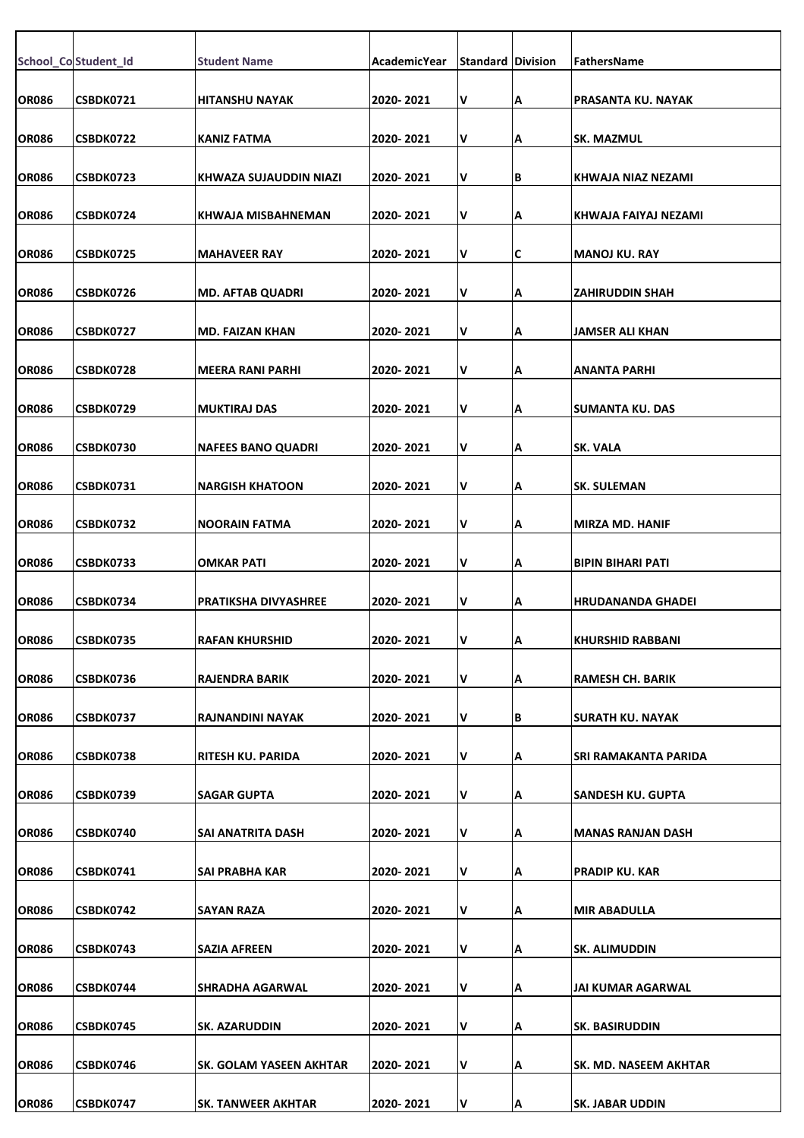|              | School_Co Student_Id | <b>Student Name</b>         | <b>AcademicYear</b> | <b>Standard Division</b> |    | <b>FathersName</b>       |
|--------------|----------------------|-----------------------------|---------------------|--------------------------|----|--------------------------|
| <b>OR086</b> | CSBDK0721            | <b>HITANSHU NAYAK</b>       | 2020-2021           | V                        | Α  | PRASANTA KU. NAYAK       |
| <b>OR086</b> | CSBDK0722            | KANIZ FATMA                 | 2020- 2021          | V                        | А  | <b>SK. MAZMUL</b>        |
| <b>OR086</b> | CSBDK0723            | KHWAZA SUJAUDDIN NIAZI      | 2020-2021           | V                        | B  | IKHWAJA NIAZ NEZAMI      |
| <b>OR086</b> | CSBDK0724            | KHWAJA MISBAHNEMAN          | 2020-2021           | V                        | Α  | KHWAJA FAIYAJ NEZAMI     |
| <b>OR086</b> | <b>CSBDK0725</b>     | <b>MAHAVEER RAY</b>         | 2020-2021           | V                        | С  | MANOJ KU. RAY            |
| <b>OR086</b> | CSBDK0726            | MD. AFTAB QUADRI            | 2020- 2021          | V                        | А  | <b>ZAHIRUDDIN SHAH</b>   |
| <b>OR086</b> | CSBDK0727            | <b>MD. FAIZAN KHAN</b>      | 2020-2021           | V                        | Α  | JAMSER ALI KHAN          |
| <b>OR086</b> | CSBDK0728            | <b>MEERA RANI PARHI</b>     | 2020-2021           | V                        | А  | IANANTA PARHI            |
| <b>OR086</b> | CSBDK0729            | <b>MUKTIRAJ DAS</b>         | 2020-2021           | V                        | А  | <b>SUMANTA KU. DAS</b>   |
| <b>OR086</b> | CSBDK0730            | <b>NAFEES BANO QUADRI</b>   | 2020-2021           | V                        | А  | SK. VALA                 |
| <b>OR086</b> | CSBDK0731            | NARGISH KHATOON             | 2020-2021           | V                        | А  | <b>SK. SULEMAN</b>       |
| <b>OR086</b> | CSBDK0732            | <b>NOORAIN FATMA</b>        | 2020-2021           | V                        | Α  | <b>MIRZA MD. HANIF</b>   |
| <b>OR086</b> | CSBDK0733            | <b>OMKAR PATI</b>           | 2020-2021           | V                        | Α  | IBIPIN BIHARI PATI       |
| <b>OR086</b> | CSBDK0734            | <b>PRATIKSHA DIVYASHREE</b> | 2020-2021           | V                        | Α  | HRUDANANDA GHADEI        |
| <b>OR086</b> | CSBDK0735            | <b>RAFAN KHURSHID</b>       | 2020-2021           | V                        | ΙA | <b>KHURSHID RABBANI</b>  |
| <b>OR086</b> | CSBDK0736            | <b>RAJENDRA BARIK</b>       | 2020-2021           | V                        | Α  | RAMESH CH. BARIK         |
| <b>OR086</b> | CSBDK0737            | RAJNANDINI NAYAK            | 2020-2021           | V                        | В  | SURATH KU. NAYAK         |
| <b>OR086</b> | CSBDK0738            | RITESH KU. PARIDA           | 2020-2021           | V                        | A  | SRI RAMAKANTA PARIDA     |
| <b>OR086</b> | CSBDK0739            | <b>SAGAR GUPTA</b>          | 2020-2021           | V                        | Α  | <b>SANDESH KU. GUPTA</b> |
| <b>OR086</b> | CSBDK0740            | SAI ANATRITA DASH           | 2020-2021           | V                        | Α  | MANAS RANJAN DASH        |
| <b>OR086</b> | CSBDK0741            | SAI PRABHA KAR              | 2020-2021           | V                        | Α  | <b>PRADIP KU. KAR</b>    |
| <b>OR086</b> | CSBDK0742            | <b>SAYAN RAZA</b>           | 2020-2021           | V                        | А  | <b>MIR ABADULLA</b>      |
| <b>OR086</b> | CSBDK0743            | <b>SAZIA AFREEN</b>         | 2020- 2021          | V                        | А  | <b>SK. ALIMUDDIN</b>     |
| <b>OR086</b> | CSBDK0744            | SHRADHA AGARWAL             | 2020- 2021          | V                        | Α  | JAI KUMAR AGARWAL        |
| <b>OR086</b> | CSBDK0745            | <b>SK. AZARUDDIN</b>        | 2020-2021           | V                        | А  | <b>SK. BASIRUDDIN</b>    |
| <b>OR086</b> | CSBDK0746            | SK. GOLAM YASEEN AKHTAR     | 2020-2021           | V                        | А  | SK. MD. NASEEM AKHTAR    |
| <b>OR086</b> | CSBDK0747            | <b>SK. TANWEER AKHTAR</b>   | 2020-2021           | V                        | A  | <b>SK. JABAR UDDIN</b>   |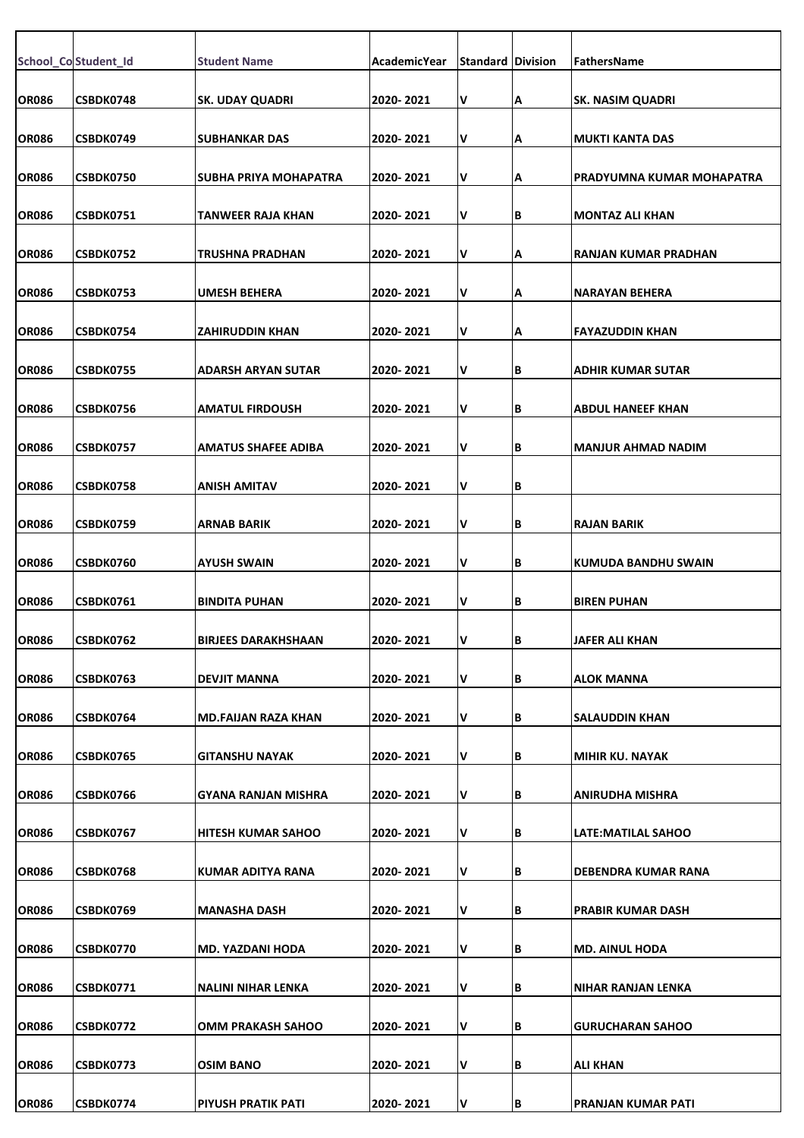|              | School_Co Student_Id | <b>Student Name</b>          | AcademicYear | <b>Standard Division</b> |    | FathersName                 |
|--------------|----------------------|------------------------------|--------------|--------------------------|----|-----------------------------|
| <b>OR086</b> | CSBDK0748            | <b>SK. UDAY QUADRI</b>       | 2020-2021    | V                        | А  | <b>SK. NASIM QUADRI</b>     |
| <b>OR086</b> | CSBDK0749            | <b>SUBHANKAR DAS</b>         | 2020-2021    | V                        | А  | <b>MUKTI KANTA DAS</b>      |
| <b>OR086</b> | <b>CSBDK0750</b>     | <b>SUBHA PRIYA MOHAPATRA</b> | 2020-2021    | V                        | А  | PRADYUMNA KUMAR MOHAPATRA   |
| <b>OR086</b> | <b>CSBDK0751</b>     | TANWEER RAJA KHAN            | 2020-2021    | V                        | В  | <b>MONTAZ ALI KHAN</b>      |
| <b>OR086</b> | <b>CSBDK0752</b>     | TRUSHNA PRADHAN              | 2020-2021    | V                        | А  | <b>RANJAN KUMAR PRADHAN</b> |
| <b>OR086</b> | CSBDK0753            | <b>UMESH BEHERA</b>          | 2020-2021    | V                        | А  | <b>NARAYAN BEHERA</b>       |
| <b>OR086</b> | CSBDK0754            | ZAHIRUDDIN KHAN              | 2020-2021    | V                        | А  | <b>FAYAZUDDIN KHAN</b>      |
| <b>OR086</b> | <b>CSBDK0755</b>     | ADARSH ARYAN SUTAR           | 2020-2021    | V                        | В  | <b>ADHIR KUMAR SUTAR</b>    |
| <b>OR086</b> | CSBDK0756            | <b>AMATUL FIRDOUSH</b>       | 2020-2021    | V                        | В  | <b>ABDUL HANEEF KHAN</b>    |
| <b>OR086</b> | CSBDK0757            | <b>AMATUS SHAFEE ADIBA</b>   | 2020-2021    | V                        | В  | <b>MANJUR AHMAD NADIM</b>   |
| <b>OR086</b> | CSBDK0758            | ANISH AMITAV                 | 2020-2021    | V                        | В  |                             |
| <b>OR086</b> | <b>CSBDK0759</b>     | ARNAB BARIK                  | 2020- 2021   | V                        | В  | <b>RAJAN BARIK</b>          |
| <b>OR086</b> | CSBDK0760            | AYUSH SWAIN                  | 2020-2021    | V                        | В  | <b>KUMUDA BANDHU SWAIN</b>  |
| <b>OR086</b> | CSBDK0761            | <b>BINDITA PUHAN</b>         | 2020-2021    | V                        | В  | <b>BIREN PUHAN</b>          |
| <b>OR086</b> | CSBDK0762            | <b>BIRJEES DARAKHSHAAN</b>   | 2020-2021    | v                        | IΒ | JAFER ALI KHAN              |
| <b>OR086</b> | CSBDK0763            | <b>DEVJIT MANNA</b>          | 2020-2021    | V                        | В  | <b>ALOK MANNA</b>           |
| <b>OR086</b> | CSBDK0764            | <b>MD.FAIJAN RAZA KHAN</b>   | 2020-2021    | V                        | В  | SALAUDDIN KHAN              |
| <b>OR086</b> | <b>CSBDK0765</b>     | <b>GITANSHU NAYAK</b>        | 2020-2021    | V                        | В  | <b>MIHIR KU. NAYAK</b>      |
| <b>OR086</b> | CSBDK0766            | GYANA RANJAN MISHRA          | 2020-2021    | V                        | В  | ANIRUDHA MISHRA             |
| <b>OR086</b> | <b>CSBDK0767</b>     | HITESH KUMAR SAHOO           | 2020-2021    | V                        | В  | LATE:MATILAL SAHOO          |
| <b>OR086</b> | CSBDK0768            | KUMAR ADITYA RANA            | 2020-2021    | V                        | В  | <b>DEBENDRA KUMAR RANA</b>  |
| <b>OR086</b> | CSBDK0769            | MANASHA DASH                 | 2020-2021    | V                        | В  | <b>PRABIR KUMAR DASH</b>    |
| <b>OR086</b> | <b>CSBDK0770</b>     | <b>MD. YAZDANI HODA</b>      | 2020-2021    | V                        | В  | <b>MD. AINUL HODA</b>       |
| <b>OR086</b> | <b>CSBDK0771</b>     | NALINI NIHAR LENKA           | 2020-2021    | V                        | В  | NIHAR RANJAN LENKA          |
| <b>OR086</b> | CSBDK0772            | OMM PRAKASH SAHOO            | 2020-2021    | V                        | В  | <b>GURUCHARAN SAHOO</b>     |
| <b>OR086</b> | CSBDK0773            | OSIM BANO                    | 2020-2021    | V                        | В  | <b>ALI KHAN</b>             |
| <b>OR086</b> | CSBDK0774            | PIYUSH PRATIK PATI           | 2020-2021    | V                        | В  | <b>PRANJAN KUMAR PATI</b>   |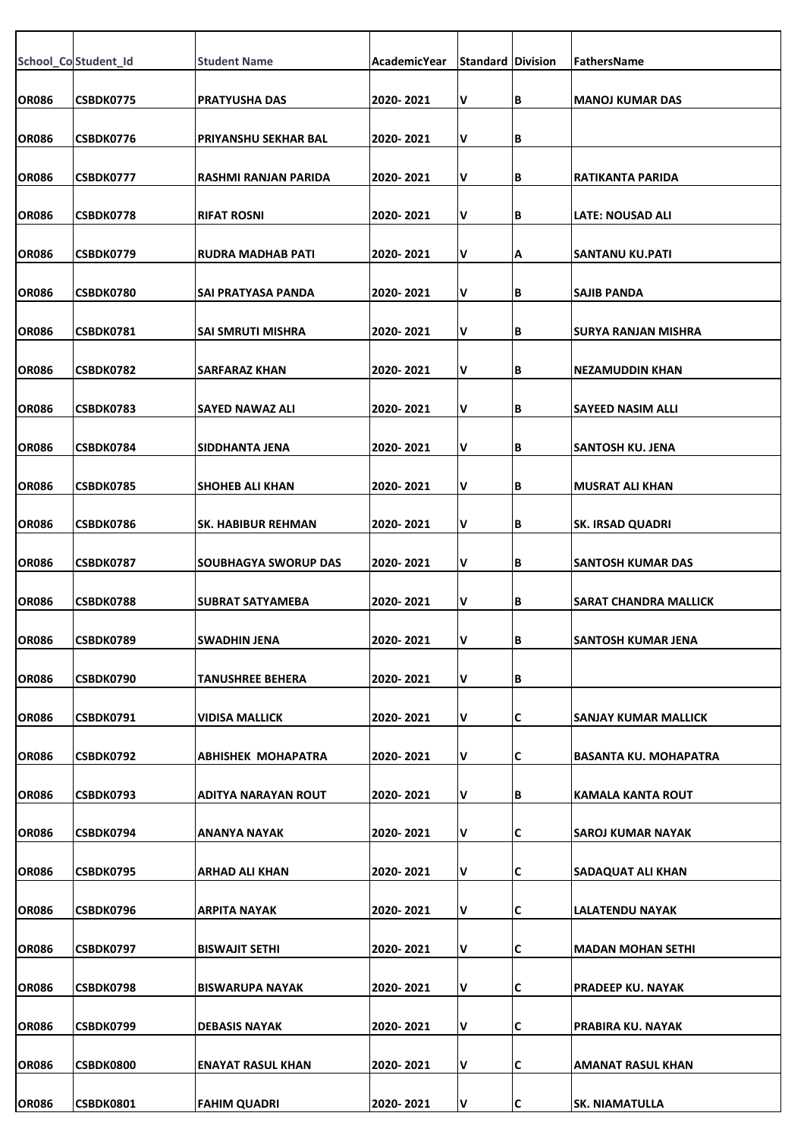|              | School_Co Student_Id | <b>Student Name</b>         | <b>AcademicYear</b> | <b>Standard Division</b> |   | FathersName                  |
|--------------|----------------------|-----------------------------|---------------------|--------------------------|---|------------------------------|
| <b>OR086</b> | CSBDK0775            | <b>PRATYUSHA DAS</b>        | 2020-2021           | V                        | В | <b>MANOJ KUMAR DAS</b>       |
|              |                      |                             |                     |                          | B |                              |
| <b>OR086</b> | CSBDK0776            | PRIYANSHU SEKHAR BAL        | 2020-2021           | v                        |   |                              |
| <b>OR086</b> | <b>CSBDK0777</b>     | RASHMI RANJAN PARIDA        | 2020- 2021          | v                        | В | RATIKANTA PARIDA             |
| <b>OR086</b> | CSBDK0778            | <b>RIFAT ROSNI</b>          | 2020-2021           | V                        | В | <b>LATE: NOUSAD ALI</b>      |
| <b>OR086</b> | CSBDK0779            | RUDRA MADHAB PATI           | 2020-2021           | v                        | А | SANTANU KU.PATI              |
| <b>OR086</b> | <b>CSBDK0780</b>     | SAI PRATYASA PANDA          | 2020-2021           | V                        | В | <b>SAJIB PANDA</b>           |
| <b>OR086</b> | CSBDK0781            | SAI SMRUTI MISHRA           | 2020- 2021          | V                        | В | ISURYA RANJAN MISHRA         |
| <b>OR086</b> | CSBDK0782            | <b>SARFARAZ KHAN</b>        | 2020-2021           | V                        | В | <b>NEZAMUDDIN KHAN</b>       |
| <b>OR086</b> | CSBDK0783            | SAYED NAWAZ ALI             | 2020-2021           | V                        | В | SAYEED NASIM ALLI            |
| <b>OR086</b> | <b>CSBDK0784</b>     | SIDDHANTA JENA              | 2020- 2021          | V                        | В | SANTOSH KU. JENA             |
|              |                      |                             |                     |                          |   |                              |
| <b>OR086</b> | CSBDK0785            | <b>SHOHEB ALI KHAN</b>      | 2020-2021           | V                        | В | <b>MUSRAT ALI KHAN</b>       |
| <b>OR086</b> | CSBDK0786            | <b>SK. HABIBUR REHMAN</b>   | 2020-2021           | V                        | В | <b>SK. IRSAD QUADRI</b>      |
| <b>OR086</b> | CSBDK0787            | <b>SOUBHAGYA SWORUP DAS</b> | 2020-2021           | V                        | В | <b>SANTOSH KUMAR DAS</b>     |
| <b>OR086</b> | <b>CSBDK0788</b>     | <b>SUBRAT SATYAMEBA</b>     | 2020-2021           | V                        | В | <b>SARAT CHANDRA MALLICK</b> |
| <b>OR086</b> | CSBDK0789            | <b>SWADHIN JENA</b>         | 2020-2021           | V                        | В | SANTOSH KUMAR JENA           |
| <b>OR086</b> | CSBDK0790            | <b>TANUSHREE BEHERA</b>     | 2020-2021           | V                        | В |                              |
| <b>OR086</b> | CSBDK0791            | VIDISA MALLICK              | 2020-2021           | V                        | С | SANJAY KUMAR MALLICK         |
| <b>OR086</b> | CSBDK0792            | ABHISHEK MOHAPATRA          | 2020- 2021          | V                        | С | <b>BASANTA KU. MOHAPATRA</b> |
| <b>OR086</b> | CSBDK0793            | ADITYA NARAYAN ROUT         | 2020- 2021          | V                        | В | KAMALA KANTA ROUT            |
| <b>OR086</b> | CSBDK0794            | ANANYA NAYAK                | 2020-2021           | V                        | C | SAROJ KUMAR NAYAK            |
| <b>OR086</b> | CSBDK0795            | ARHAD ALI KHAN              | 2020-2021           | V                        | С | <b>SADAQUAT ALI KHAN</b>     |
| <b>OR086</b> | CSBDK0796            | ARPITA NAYAK                | 2020- 2021          | V                        | С | LALATENDU NAYAK              |
|              |                      |                             |                     |                          |   |                              |
| <b>OR086</b> | CSBDK0797            | <b>BISWAJIT SETHI</b>       | 2020-2021           | V                        | С | <b>MADAN MOHAN SETHI</b>     |
| <b>OR086</b> | CSBDK0798            | <b>BISWARUPA NAYAK</b>      | 2020-2021           | V                        | C | PRADEEP KU. NAYAK            |
| <b>OR086</b> | CSBDK0799            | <b>DEBASIS NAYAK</b>        | 2020-2021           | V                        | C | PRABIRA KU. NAYAK            |
| <b>OR086</b> | <b>CSBDK0800</b>     | <b>ENAYAT RASUL KHAN</b>    | 2020-2021           | V                        | C | AMANAT RASUL KHAN            |
| <b>OR086</b> | CSBDK0801            | <b>FAHIM QUADRI</b>         | 2020-2021           | V                        | C | <b>SK. NIAMATULLA</b>        |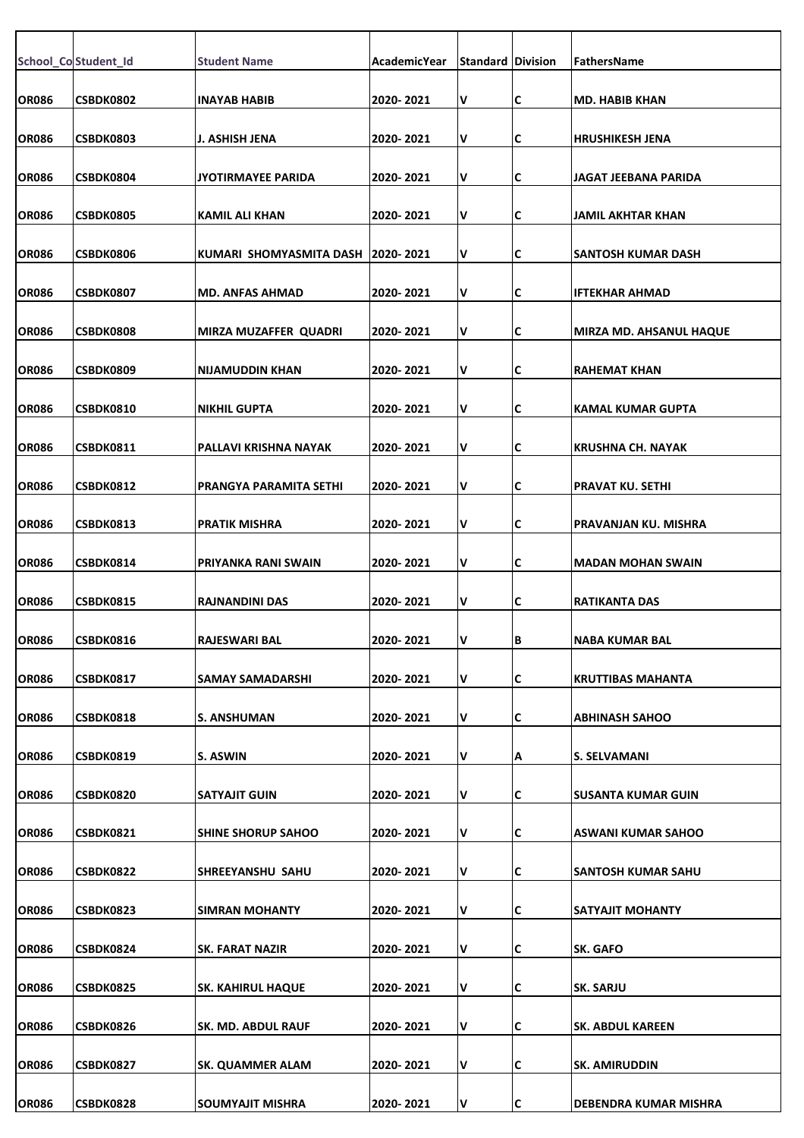|              | School_Co Student_Id | <b>Student Name</b>          | AcademicYear | <b>Standard Division</b> |    | FathersName                    |
|--------------|----------------------|------------------------------|--------------|--------------------------|----|--------------------------------|
| <b>OR086</b> | <b>CSBDK0802</b>     | <b>INAYAB HABIB</b>          | 2020-2021    | V                        | C  | <b>MD. HABIB KHAN</b>          |
| <b>OR086</b> | CSBDK0803            | J. ASHISH JENA               | 2020-2021    | v                        | IС | HRUSHIKESH JENA                |
| <b>OR086</b> | <b>CSBDK0804</b>     | JYOTIRMAYEE PARIDA           | 2020-2021    | v                        | C  | JAGAT JEEBANA PARIDA           |
| <b>OR086</b> | <b>CSBDK0805</b>     | <b>KAMIL ALI KHAN</b>        | 2020-2021    | V                        | IС | <b>JAMIL AKHTAR KHAN</b>       |
|              |                      |                              |              |                          |    |                                |
| <b>OR086</b> | <b>CSBDK0806</b>     | KUMARI SHOMYASMITA DASH      | 2020-2021    | V                        | C  | SANTOSH KUMAR DASH             |
| <b>OR086</b> | CSBDK0807            | <b>MD. ANFAS AHMAD</b>       | 2020-2021    | V                        | C  | IFTEKHAR AHMAD                 |
| <b>OR086</b> | CSBDK0808            | <b>MIRZA MUZAFFER QUADRI</b> | 2020-2021    | v                        | C  | <b>MIRZA MD. AHSANUL HAQUE</b> |
| <b>OR086</b> | CSBDK0809            | <b>NIJAMUDDIN KHAN</b>       | 2020-2021    | v                        | C  | <b>RAHEMAT KHAN</b>            |
|              |                      |                              |              |                          |    |                                |
| <b>OR086</b> | <b>CSBDK0810</b>     | <b>NIKHIL GUPTA</b>          | 2020-2021    | V                        | C  | <b>KAMAL KUMAR GUPTA</b>       |
| <b>OR086</b> | <b>CSBDK0811</b>     | PALLAVI KRISHNA NAYAK        | 2020-2021    | V                        | C  | <b>KRUSHNA CH. NAYAK</b>       |
| <b>OR086</b> | <b>CSBDK0812</b>     | PRANGYA PARAMITA SETHI       | 2020-2021    | v                        | C  | <b>PRAVAT KU. SETHI</b>        |
| <b>OR086</b> | <b>CSBDK0813</b>     | <b>PRATIK MISHRA</b>         | 2020- 2021   | V                        | C  | PRAVANJAN KU. MISHRA           |
|              |                      |                              |              |                          |    |                                |
| <b>OR086</b> | CSBDK0814            | PRIYANKA RANI SWAIN          | 2020-2021    | V                        | C  | <b>MADAN MOHAN SWAIN</b>       |
| <b>OR086</b> | CSBDK0815            | <b>RAJNANDINI DAS</b>        | 2020-2021    | V                        | C  | <b>RATIKANTA DAS</b>           |
| <b>OR086</b> | <b>CSBDK0816</b>     | RAJESWARI BAL                | 2020-2021    | v                        | IВ | NABA KUMAR BAL                 |
| <b>OR086</b> | CSBDK0817            | SAMAY SAMADARSHI             | 2020-2021    | V                        | C  | <b>KRUTTIBAS MAHANTA</b>       |
| <b>OR086</b> | <b>CSBDK0818</b>     | S. ANSHUMAN                  | 2020-2021    | V                        | C  | <b>ABHINASH SAHOO</b>          |
|              |                      |                              |              |                          |    |                                |
| <b>OR086</b> | CSBDK0819            | S. ASWIN                     | 2020-2021    | V                        | Α  | <b>S. SELVAMANI</b>            |
| <b>OR086</b> | CSBDK0820            | <b>SATYAJIT GUIN</b>         | 2020-2021    | V                        | C  | <b>SUSANTA KUMAR GUIN</b>      |
| <b>OR086</b> | <b>CSBDK0821</b>     | <b>SHINE SHORUP SAHOO</b>    | 2020-2021    | V                        | C  | ASWANI KUMAR SAHOO             |
| <b>OR086</b> | CSBDK0822            | <b>SHREEYANSHU SAHU</b>      | 2020-2021    | V                        | IС | <b>SANTOSH KUMAR SAHU</b>      |
|              |                      |                              |              |                          |    |                                |
| <b>OR086</b> | <b>CSBDK0823</b>     | <b>SIMRAN MOHANTY</b>        | 2020-2021    | V                        | C  | <b>SATYAJIT MOHANTY</b>        |
| <b>OR086</b> | CSBDK0824            | <b>SK. FARAT NAZIR</b>       | 2020-2021    | V                        | IС | SK. GAFO                       |
| <b>OR086</b> | CSBDK0825            | <b>SK. KAHIRUL HAQUE</b>     | 2020-2021    | v                        | C  | <b>SK. SARJU</b>               |
| <b>OR086</b> | CSBDK0826            | SK. MD. ABDUL RAUF           | 2020-2021    | V                        | C  | <b>SK. ABDUL KAREEN</b>        |
| <b>OR086</b> | CSBDK0827            | <b>SK. QUAMMER ALAM</b>      | 2020-2021    | V                        | С  | <b>SK. AMIRUDDIN</b>           |
|              |                      |                              |              |                          |    |                                |
| <b>OR086</b> | CSBDK0828            | <b>SOUMYAJIT MISHRA</b>      | 2020-2021    | V                        | IС | DEBENDRA KUMAR MISHRA          |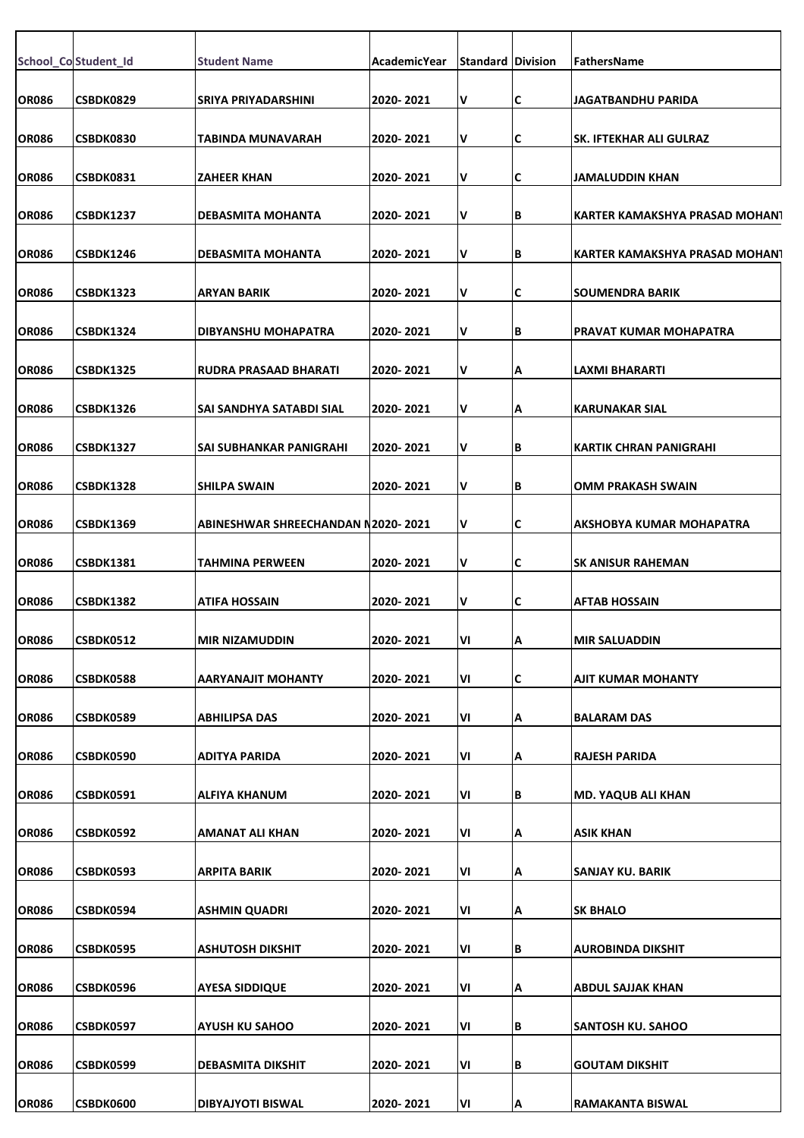|              | School_Co Student_Id | <b>Student Name</b>                | AcademicYear | <b>Standard Division</b> |     | FathersName                    |
|--------------|----------------------|------------------------------------|--------------|--------------------------|-----|--------------------------------|
| <b>OR086</b> | CSBDK0829            | <b>SRIYA PRIYADARSHINI</b>         | 2020-2021    | V                        | C   | <b>JAGATBANDHU PARIDA</b>      |
| <b>OR086</b> | CSBDK0830            | TABINDA MUNAVARAH                  | 2020- 2021   | I۷                       | C   | ISK. IFTEKHAR ALI GULRAZ       |
| <b>OR086</b> | <b>CSBDK0831</b>     | <b>ZAHEER KHAN</b>                 | 2020- 2021   | I۷                       | C   | JAMALUDDIN KHAN                |
|              |                      |                                    |              | I۷                       |     |                                |
| <b>OR086</b> | <b>CSBDK1237</b>     | <b>DEBASMITA MOHANTA</b>           | 2020-2021    |                          | IΒ  | KARTER KAMAKSHYA PRASAD MOHAN1 |
| <b>OR086</b> | CSBDK1246            | <b>DEBASMITA MOHANTA</b>           | 2020- 2021   | V                        | B   | KARTER KAMAKSHYA PRASAD MOHAN1 |
| <b>OR086</b> | <b>CSBDK1323</b>     | <b>ARYAN BARIK</b>                 | 2020-2021    | I۷                       | C   | <b>SOUMENDRA BARIK</b>         |
| <b>OR086</b> | <b>CSBDK1324</b>     | DIBYANSHU MOHAPATRA                | 2020- 2021   | V                        | IΒ  | PRAVAT KUMAR MOHAPATRA         |
| <b>OR086</b> | <b>CSBDK1325</b>     | <b>RUDRA PRASAAD BHARATI</b>       | 2020-2021    | I۷                       | Α   | <b>LAXMI BHARARTI</b>          |
| <b>OR086</b> | <b>CSBDK1326</b>     | SAI SANDHYA SATABDI SIAL           | 2020-2021    | V                        | Α   | <b>KARUNAKAR SIAL</b>          |
|              |                      |                                    |              |                          |     |                                |
| <b>OR086</b> | <b>CSBDK1327</b>     | <b>SAI SUBHANKAR PANIGRAHI</b>     | 2020-2021    | I۷                       | B   | KARTIK CHRAN PANIGRAHI         |
| <b>OR086</b> | CSBDK1328            | <b>SHILPA SWAIN</b>                | 2020-2021    | I۷                       | B   | OMM PRAKASH SWAIN              |
| <b>OR086</b> | <b>CSBDK1369</b>     | ABINESHWAR SHREECHANDAN N2020-2021 |              | I۷                       | C   | AKSHOBYA KUMAR MOHAPATRA       |
| <b>OR086</b> | <b>CSBDK1381</b>     | <b>TAHMINA PERWEEN</b>             | 2020-2021    | I۷                       | IC. | <b>SK ANISUR RAHEMAN</b>       |
| <b>OR086</b> | <b>CSBDK1382</b>     | <b>ATIFA HOSSAIN</b>               | 2020-2021    | I۷                       | C   | <b>AFTAB HOSSAIN</b>           |
| <b>OR086</b> | <b>CSBDK0512</b>     | <b>MIR NIZAMUDDIN</b>              | 2020-2021    | VI                       | ΙA  | <b>MIR SALUADDIN</b>           |
| <b>OR086</b> | <b>CSBDK0588</b>     | <b>AARYANAJIT MOHANTY</b>          | 2020-2021    | ΙVΙ                      | C   | <b>AJIT KUMAR MOHANTY</b>      |
| <b>OR086</b> | CSBDK0589            | <b>ABHILIPSA DAS</b>               | 2020-2021    | VI                       | Α   | <b>BALARAM DAS</b>             |
|              |                      |                                    |              |                          |     |                                |
| <b>OR086</b> | CSBDK0590            | <b>ADITYA PARIDA</b>               | 2020-2021    | ΙVΙ                      | А   | <b>RAJESH PARIDA</b>           |
| <b>OR086</b> | CSBDK0591            | <b>ALFIYA KHANUM</b>               | 2020-2021    | ΙVΙ                      | B   | <b>MD. YAQUB ALI KHAN</b>      |
| <b>OR086</b> | CSBDK0592            | AMANAT ALI KHAN                    | 2020-2021    | ΙVΙ                      | Α   | <b>ASIK KHAN</b>               |
| <b>OR086</b> | CSBDK0593            | <b>ARPITA BARIK</b>                | 2020-2021    | ΙVΙ                      | A   | <b>SANJAY KU. BARIK</b>        |
| <b>OR086</b> | CSBDK0594            | <b>ASHMIN QUADRI</b>               | 2020-2021    | VI                       | Α   | <b>SK BHALO</b>                |
| <b>OR086</b> | CSBDK0595            | <b>ASHUTOSH DIKSHIT</b>            | 2020-2021    | VI                       | B   | AUROBINDA DIKSHIT              |
| <b>OR086</b> | CSBDK0596            | <b>AYESA SIDDIQUE</b>              | 2020-2021    | ΙVΙ                      |     | <b>ABDUL SAJJAK KHAN</b>       |
|              |                      |                                    |              |                          | Α   |                                |
| <b>OR086</b> | CSBDK0597            | <b>AYUSH KU SAHOO</b>              | 2020-2021    | VI                       | B   | <b>SANTOSH KU. SAHOO</b>       |
| <b>OR086</b> | CSBDK0599            | <b>DEBASMITA DIKSHIT</b>           | 2020-2021    | VI                       | В   | <b>GOUTAM DIKSHIT</b>          |
| <b>OR086</b> | CSBDK0600            | <b>DIBYAJYOTI BISWAL</b>           | 2020-2021    | VI                       | A   | RAMAKANTA BISWAL               |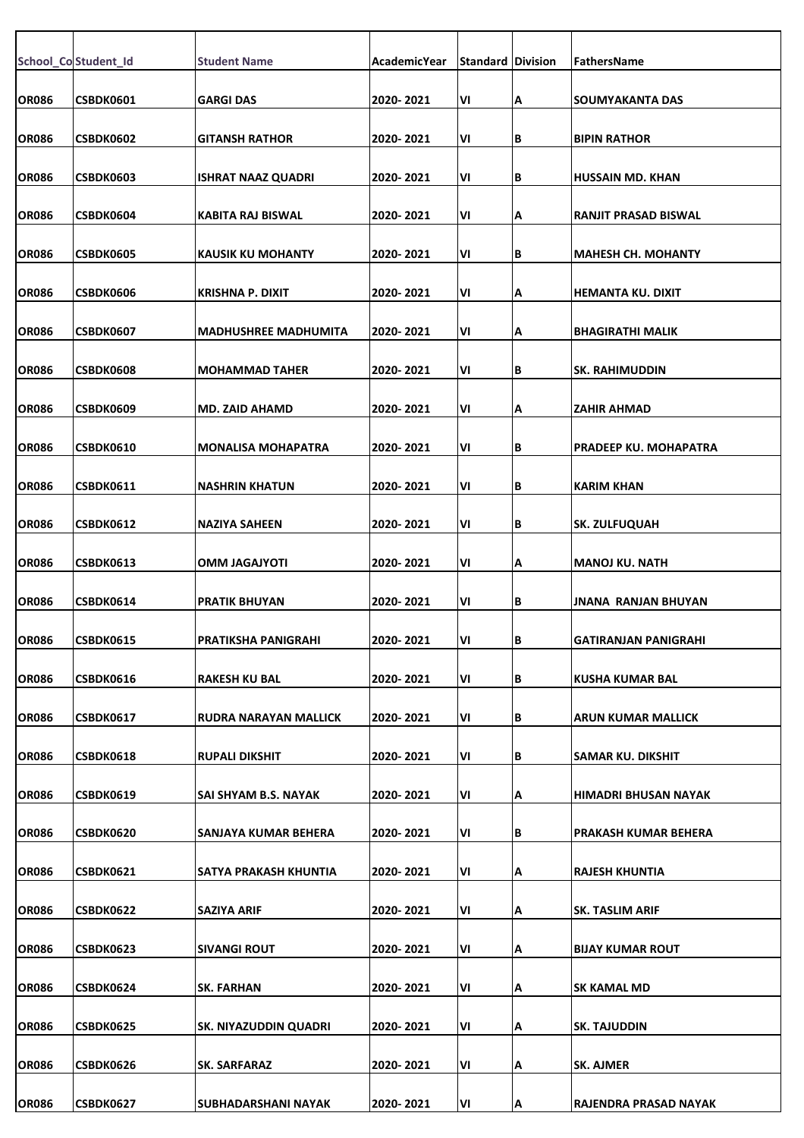|              | School_Co Student_Id | <b>Student Name</b>          | <b>AcademicYear</b> | <b>Standard Division</b> |     | FathersName                  |
|--------------|----------------------|------------------------------|---------------------|--------------------------|-----|------------------------------|
|              |                      |                              |                     |                          |     |                              |
| <b>OR086</b> | CSBDK0601            | <b>GARGI DAS</b>             | 2020-2021           | VI                       | Α   | <b>SOUMYAKANTA DAS</b>       |
| <b>OR086</b> | CSBDK0602            | <b>GITANSH RATHOR</b>        | 2020-2021           | VI                       | IΒ  | <b>BIPIN RATHOR</b>          |
| <b>OR086</b> | CSBDK0603            | <b>ISHRAT NAAZ QUADRI</b>    | 2020-2021           | VI                       | IΒ  | <b>HUSSAIN MD. KHAN</b>      |
| <b>OR086</b> | CSBDK0604            | KABITA RAJ BISWAL            | 2020-2021           | VI                       | Α   | <b>RANJIT PRASAD BISWAL</b>  |
| <b>OR086</b> | CSBDK0605            | KAUSIK KU MOHANTY            | 2020-2021           | ٧I                       | ΙB  | <b>MAHESH CH. MOHANTY</b>    |
| <b>OR086</b> | CSBDK0606            | KRISHNA P. DIXIT             | 2020-2021           | VI                       | Α   | HEMANTA KU. DIXIT            |
| <b>OR086</b> | CSBDK0607            | <b>MADHUSHREE MADHUMITA</b>  | 2020- 2021          | VI                       | A   | <b>BHAGIRATHI MALIK</b>      |
| <b>OR086</b> | CSBDK0608            | <b>MOHAMMAD TAHER</b>        | 2020-2021           | VI                       | lВ  | <b>SK. RAHIMUDDIN</b>        |
| <b>OR086</b> | <b>CSBDK0609</b>     | <b>MD. ZAID AHAMD</b>        | 2020-2021           | VI                       | Α   | <b>ZAHIR AHMAD</b>           |
| <b>OR086</b> | <b>CSBDK0610</b>     | <b>MONALISA MOHAPATRA</b>    | 2020- 2021          | VI                       | IΒ  | <b>PRADEEP KU. MOHAPATRA</b> |
| <b>OR086</b> | <b>CSBDK0611</b>     | <b>NASHRIN KHATUN</b>        | 2020-2021           | VI                       | ΙB  | <b>KARIM KHAN</b>            |
| <b>OR086</b> | CSBDK0612            | <b>NAZIYA SAHEEN</b>         | 2020-2021           | VI                       | lВ  | <b>SK. ZULFUQUAH</b>         |
| <b>OR086</b> | <b>CSBDK0613</b>     | <b>ITOYLAGAJYOTI</b>         | 2020-2021           | ٧I                       | Α   | <b>MANOJ KU. NATH</b>        |
| <b>OR086</b> | CSBDK0614            | <b>PRATIK BHUYAN</b>         | 2020-2021           | VI                       | lВ  | JNANA RANJAN BHUYAN          |
| <b>OR086</b> | <b>CSBDK0615</b>     | PRATIKSHA PANIGRAHI          | 2020-2021           | VI                       | в   | <b>GATIRANJAN PANIGRAHI</b>  |
| <b>OR086</b> | CSBDK0616            | <b>RAKESH KU BAL</b>         | 2020-2021           | VI                       | İΒ. | <b>KUSHA KUMAR BAL</b>       |
| <b>OR086</b> | CSBDK0617            | RUDRA NARAYAN MALLICK        | 2020-2021           | ٧I                       | ΙB. | <b>ARUN KUMAR MALLICK</b>    |
| <b>OR086</b> | CSBDK0618            | <b>RUPALI DIKSHIT</b>        | 2020- 2021          | ٧I                       | ΙB. | SAMAR KU. DIKSHIT            |
| <b>OR086</b> | CSBDK0619            | SAI SHYAM B.S. NAYAK         | 2020- 2021          | VI                       | ΙA  | HIMADRI BHUSAN NAYAK         |
| <b>OR086</b> | <b>CSBDK0620</b>     | SANJAYA KUMAR BEHERA         | 2020-2021           | VI                       | ΙB. | PRAKASH KUMAR BEHERA         |
| <b>OR086</b> | CSBDK0621            | SATYA PRAKASH KHUNTIA        | 2020-2021           | VI                       | A   | <b>RAJESH KHUNTIA</b>        |
| <b>OR086</b> | <b>CSBDK0622</b>     | SAZIYA ARIF                  | 2020- 2021          | VI                       | Α   | <b>SK. TASLIM ARIF</b>       |
| <b>OR086</b> | CSBDK0623            | <b>SIVANGI ROUT</b>          | 2020- 2021          | VI                       | ΙA  | <b>BIJAY KUMAR ROUT</b>      |
| <b>OR086</b> | CSBDK0624            | <b>SK. FARHAN</b>            | 2020-2021           | VI                       | Α   | SK KAMAL MD                  |
| <b>OR086</b> | CSBDK0625            | <b>SK. NIYAZUDDIN QUADRI</b> | 2020-2021           | VI                       | Α   | SK. TAJUDDIN                 |
| <b>OR086</b> | CSBDK0626            | <b>SK. SARFARAZ</b>          | 2020-2021           | ٧I                       | Α   | <b>SK. AJMER</b>             |
| <b>OR086</b> | CSBDK0627            | SUBHADARSHANI NAYAK          | 2020-2021           | VI                       | ļΑ  | RAJENDRA PRASAD NAYAK        |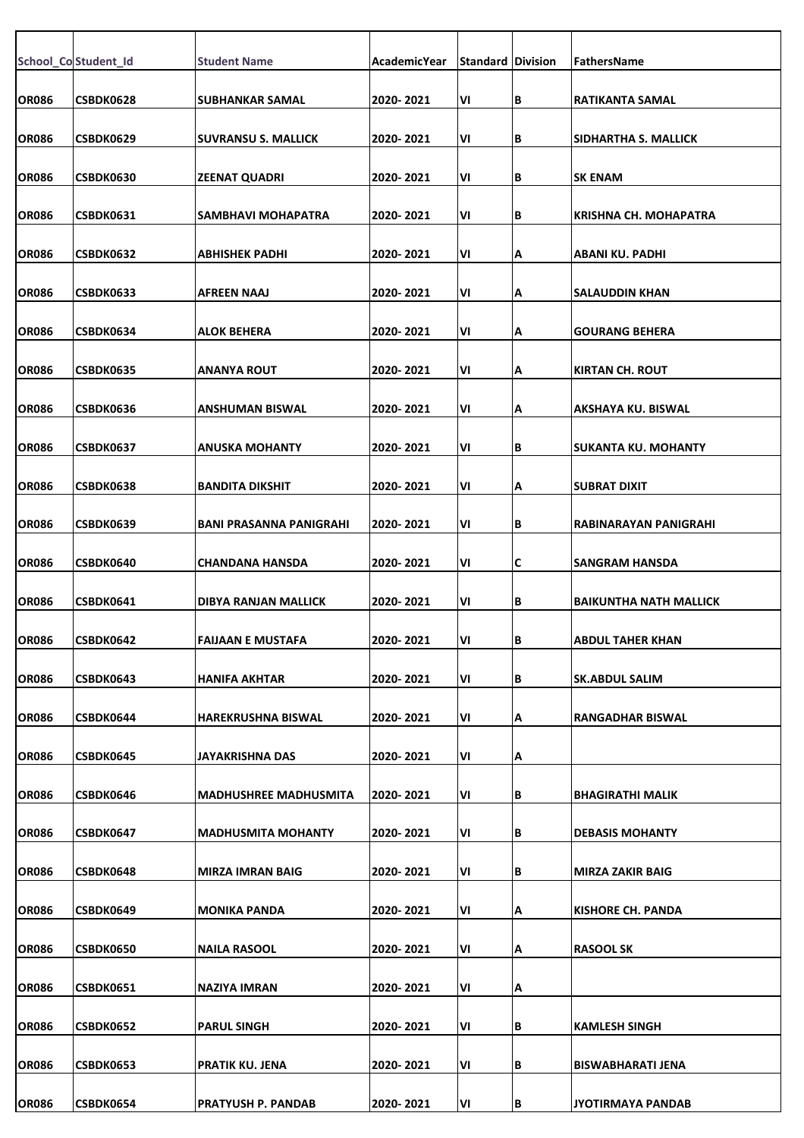|              |                      |                                |              | <b>Standard Division</b> |     |                               |
|--------------|----------------------|--------------------------------|--------------|--------------------------|-----|-------------------------------|
|              | School_Co Student_Id | <b>Student Name</b>            | AcademicYear |                          |     | FathersName                   |
| <b>OR086</b> | CSBDK0628            | <b>SUBHANKAR SAMAL</b>         | 2020-2021    | ٧I                       | ΙB  | <b>RATIKANTA SAMAL</b>        |
| <b>OR086</b> | CSBDK0629            | <b>SUVRANSU S. MALLICK</b>     | 2020-2021    | VI                       | lВ  | SIDHARTHA S. MALLICK          |
| <b>OR086</b> | <b>CSBDK0630</b>     | <b>ZEENAT QUADRI</b>           | 2020-2021    | VI                       | IΒ  | <b>SK ENAM</b>                |
|              |                      |                                |              |                          |     |                               |
| <b>OR086</b> | CSBDK0631            | SAMBHAVI MOHAPATRA             | 2020-2021    | VI                       | lв  | <b>KRISHNA CH. MOHAPATRA</b>  |
| <b>OR086</b> | <b>CSBDK0632</b>     | <b>ABHISHEK PADHI</b>          | 2020-2021    | ٧I                       | Α   | <b>ABANI KU. PADHI</b>        |
| <b>OR086</b> | CSBDK0633            | AFREEN NAAJ                    | 2020-2021    | VI                       | Α   | <b>SALAUDDIN KHAN</b>         |
| <b>OR086</b> | CSBDK0634            | <b>ALOK BEHERA</b>             | 2020-2021    | VI                       | ΙA  | <b>GOURANG BEHERA</b>         |
| <b>OR086</b> | CSBDK0635            | ANANYA ROUT                    | 2020-2021    | VI                       | Α   | <b>KIRTAN CH. ROUT</b>        |
|              |                      |                                |              |                          |     |                               |
| <b>OR086</b> | CSBDK0636            | ANSHUMAN BISWAL                | 2020-2021    | VI                       | Α   | <b>AKSHAYA KU. BISWAL</b>     |
| <b>OR086</b> | CSBDK0637            | ANUSKA MOHANTY                 | 2020-2021    | VI                       | ΙB  | <b>SUKANTA KU. MOHANTY</b>    |
| <b>OR086</b> | CSBDK0638            | <b>BANDITA DIKSHIT</b>         | 2020-2021    | VI                       | A   | <b>SUBRAT DIXIT</b>           |
| <b>OR086</b> | CSBDK0639            | <b>BANI PRASANNA PANIGRAHI</b> | 2020- 2021   | VI                       | lв  | RABINARAYAN PANIGRAHI         |
| <b>OR086</b> | CSBDK0640            | <b>CHANDANA HANSDA</b>         | 2020-2021    | VI                       | IС  | <b>SANGRAM HANSDA</b>         |
| <b>OR086</b> | CSBDK0641            | DIBYA RANJAN MALLICK           | 2020-2021    | VI                       | lв  | <b>BAIKUNTHA NATH MALLICK</b> |
|              |                      |                                |              |                          |     |                               |
| <b>OR086</b> | <b>CSBDK0642</b>     | FAIJAAN E MUSTAFA              | 2020-2021    | VI                       | IВ  | IABDUL TAHER KHAN             |
| <b>OR086</b> | CSBDK0643            | <b>HANIFA AKHTAR</b>           | 2020-2021    | VI                       | lВ  | <b>SK.ABDUL SALIM</b>         |
| <b>OR086</b> | CSBDK0644            | <b>HAREKRUSHNA BISWAL</b>      | 2020-2021    | VI                       | Α   | <b>RANGADHAR BISWAL</b>       |
| <b>OR086</b> | CSBDK0645            | JAYAKRISHNA DAS                | 2020-2021    | ٧I                       | Α   |                               |
| <b>OR086</b> | CSBDK0646            | <b>MADHUSHREE MADHUSMITA</b>   | 2020-2021    | VI                       | lВ  | BHAGIRATHI MALIK              |
| <b>OR086</b> | <b>CSBDK0647</b>     | <b>MADHUSMITA MOHANTY</b>      | 2020-2021    | VI                       | ΙB  | <b>DEBASIS MOHANTY</b>        |
| <b>OR086</b> | CSBDK0648            | <b>MIRZA IMRAN BAIG</b>        | 2020-2021    | VI                       | İΒ. | <b>MIRZA ZAKIR BAIG</b>       |
| <b>OR086</b> | CSBDK0649            | <b>MONIKA PANDA</b>            | 2020-2021    | ٧I                       | A   | <b>KISHORE CH. PANDA</b>      |
|              |                      |                                |              |                          |     |                               |
| <b>OR086</b> | <b>CSBDK0650</b>     | <b>NAILA RASOOL</b>            | 2020-2021    | VI                       | ΙA  | <b>RASOOL SK</b>              |
| <b>OR086</b> | CSBDK0651            | <b>NAZIYA IMRAN</b>            | 2020-2021    | VI                       | A   |                               |
| <b>OR086</b> | CSBDK0652            | <b>PARUL SINGH</b>             | 2020-2021    | VI                       | ΙB  | <b>KAMLESH SINGH</b>          |
| <b>OR086</b> | CSBDK0653            | <b>PRATIK KU. JENA</b>         | 2020-2021    | VI                       | ΙB  | <b>BISWABHARATI JENA</b>      |
| <b>OR086</b> | CSBDK0654            | <b>PRATYUSH P. PANDAB</b>      | 2020-2021    | VI                       | B   | JYOTIRMAYA PANDAB             |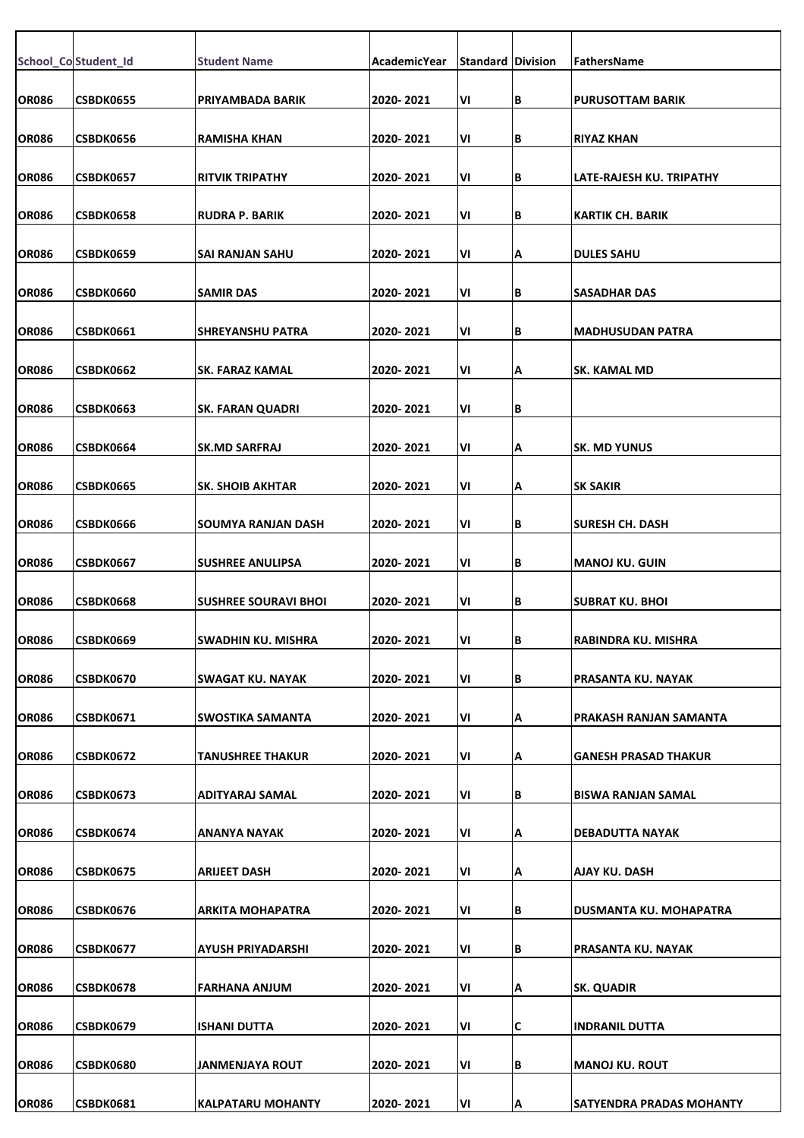|              | School_Co Student_Id | <b>Student Name</b>         | AcademicYear | <b>Standard Division</b> |   | FathersName                     |
|--------------|----------------------|-----------------------------|--------------|--------------------------|---|---------------------------------|
| <b>OR086</b> | CSBDK0655            | PRIYAMBADA BARIK            | 2020-2021    | VI                       | B | <b>PURUSOTTAM BARIK</b>         |
|              |                      |                             |              |                          |   |                                 |
| <b>OR086</b> | CSBDK0656            | <b>RAMISHA KHAN</b>         | 2020-2021    | VI                       | B | <b>RIYAZ KHAN</b>               |
| <b>OR086</b> | <b>CSBDK0657</b>     | <b>RITVIK TRIPATHY</b>      | 2020-2021    | VI                       | B | LATE-RAJESH KU. TRIPATHY        |
| <b>OR086</b> | CSBDK0658            | <b>RUDRA P. BARIK</b>       | 2020-2021    | VI                       | B | <b>KARTIK CH. BARIK</b>         |
| <b>OR086</b> | CSBDK0659            | SAI RANJAN SAHU             | 2020-2021    | VI                       | А | <b>DULES SAHU</b>               |
| <b>OR086</b> | CSBDK0660            | <b>SAMIR DAS</b>            | 2020-2021    | VI                       | B | <b>SASADHAR DAS</b>             |
| <b>OR086</b> | CSBDK0661            | <b>SHREYANSHU PATRA</b>     | 2020-2021    | VI                       | B | <b>MADHUSUDAN PATRA</b>         |
| <b>OR086</b> | CSBDK0662            | SK. FARAZ KAMAL             | 2020-2021    | VI                       | А | SK. KAMAL MD                    |
| <b>OR086</b> | CSBDK0663            | <b>SK. FARAN QUADRI</b>     | 2020-2021    | VI                       | B |                                 |
| <b>OR086</b> | CSBDK0664            | <b>SK.MD SARFRAJ</b>        | 2020-2021    | VI                       | А | <b>SK. MD YUNUS</b>             |
| <b>OR086</b> | CSBDK0665            | <b>SK. SHOIB AKHTAR</b>     | 2020-2021    | VI                       | А | <b>SK SAKIR</b>                 |
| <b>OR086</b> | CSBDK0666            | SOUMYA RANJAN DASH          | 2020-2021    | VI                       | B | <b>SURESH CH. DASH</b>          |
| <b>OR086</b> | CSBDK0667            | <b>SUSHREE ANULIPSA</b>     | 2020-2021    | VI                       | B | <b>MANOJ KU. GUIN</b>           |
| <b>OR086</b> | <b>CSBDK0668</b>     | <b>SUSHREE SOURAVI BHOI</b> | 2020-2021    | VI                       | B | <b>SUBRAT KU. BHOI</b>          |
| <b>OR086</b> | CSBDK0669            | SWADHIN KU. MISHRA          | 2020-2021    | VI                       | B | RABINDRA KU. MISHRA             |
| <b>OR086</b> | CSBDK0670            | <b>SWAGAT KU. NAYAK</b>     | 2020-2021    | VI                       | B | PRASANTA KU. NAYAK              |
| <b>OR086</b> | CSBDK0671            | SWOSTIKA SAMANTA            | 2020-2021    | VI                       | А | PRAKASH RANJAN SAMANTA          |
| <b>OR086</b> | CSBDK0672            | TANUSHREE THAKUR            | 2020-2021    | VI                       | А | <b>GANESH PRASAD THAKUR</b>     |
| <b>OR086</b> | CSBDK0673            | ADITYARAJ SAMAL             | 2020-2021    | VI                       | B | <b>BISWA RANJAN SAMAL</b>       |
| <b>OR086</b> | CSBDK0674            | ANANYA NAYAK                | 2020-2021    | VI                       | А | DEBADUTTA NAYAK                 |
| <b>OR086</b> | CSBDK0675            | <b>ARIJEET DASH</b>         | 2020-2021    | VI                       | А | <b>AJAY KU. DASH</b>            |
| <b>OR086</b> | CSBDK0676            | ARKITA MOHAPATRA            | 2020-2021    | VI                       | B | DUSMANTA KU. MOHAPATRA          |
| <b>OR086</b> | CSBDK0677            | AYUSH PRIYADARSHI           | 2020-2021    | VI                       | B | PRASANTA KU. NAYAK              |
| <b>OR086</b> | CSBDK0678            | <b>FARHANA ANJUM</b>        | 2020-2021    | VI                       | А | <b>SK. QUADIR</b>               |
| <b>OR086</b> | CSBDK0679            | <b>ISHANI DUTTA</b>         | 2020-2021    | VI                       | С | <b>INDRANIL DUTTA</b>           |
| <b>OR086</b> | <b>CSBDK0680</b>     | <b>JANMENJAYA ROUT</b>      | 2020-2021    | VI                       | B | <b>MANOJ KU. ROUT</b>           |
| <b>OR086</b> | <b>CSBDK0681</b>     | <b>KALPATARU MOHANTY</b>    | 2020-2021    | VI                       | А | <b>SATYENDRA PRADAS MOHANTY</b> |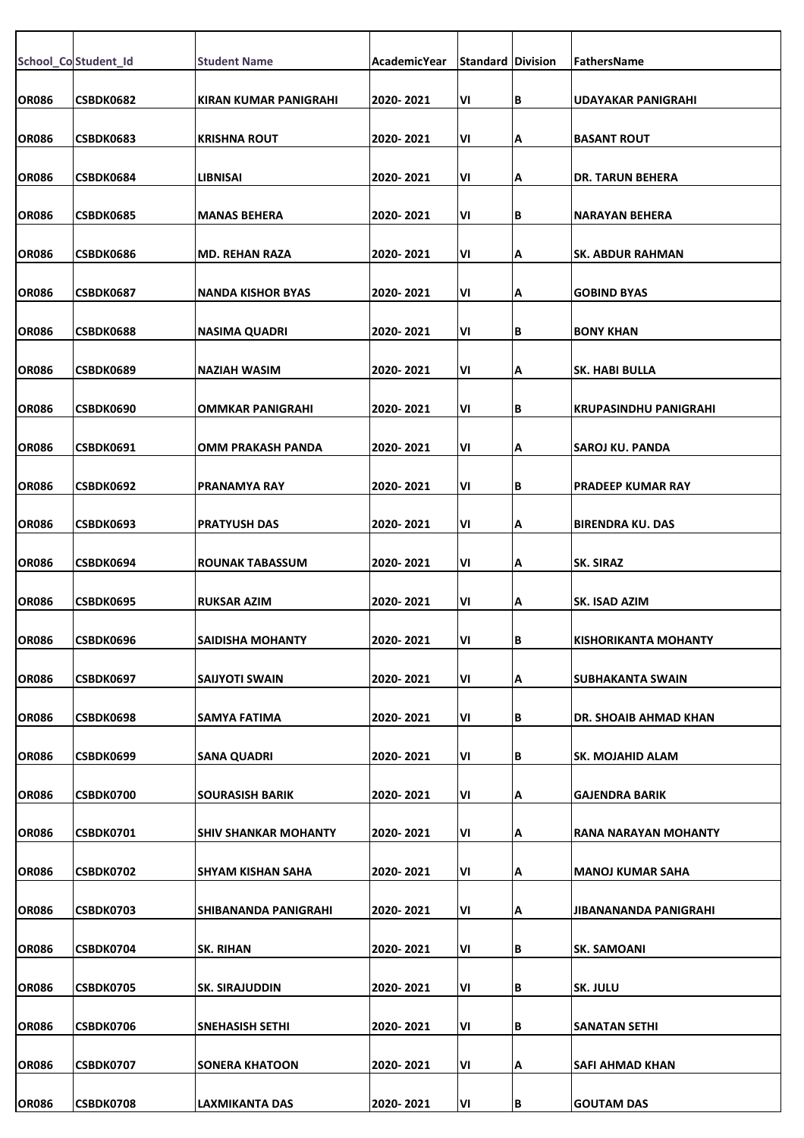|              | School_Co Student_Id | <b>Student Name</b>         | <b>AcademicYear</b> | <b>Standard Division</b> |   | FathersName                  |
|--------------|----------------------|-----------------------------|---------------------|--------------------------|---|------------------------------|
|              |                      |                             |                     |                          |   |                              |
| <b>OR086</b> | CSBDK0682            | KIRAN KUMAR PANIGRAHI       | 2020-2021           | VI                       | В | <b>UDAYAKAR PANIGRAHI</b>    |
| <b>OR086</b> | CSBDK0683            | <b>KRISHNA ROUT</b>         | 2020-2021           | VI                       | А | <b>BASANT ROUT</b>           |
| <b>OR086</b> | <b>CSBDK0684</b>     | LIBNISAI                    | 2020-2021           | VI                       | А | <b>DR. TARUN BEHERA</b>      |
| <b>OR086</b> | CSBDK0685            | <b>MANAS BEHERA</b>         | 2020-2021           | VI                       | В | <b>NARAYAN BEHERA</b>        |
| <b>OR086</b> | CSBDK0686            | <b>MD. REHAN RAZA</b>       | 2020-2021           | V١                       | А | <b>SK. ABDUR RAHMAN</b>      |
| <b>OR086</b> | <b>CSBDK0687</b>     | <b>NANDA KISHOR BYAS</b>    | 2020-2021           | VI                       | А | <b>GOBIND BYAS</b>           |
| <b>OR086</b> | <b>CSBDK0688</b>     | <b>NASIMA QUADRI</b>        | 2020- 2021          | VI                       | В | <b>BONY KHAN</b>             |
| <b>OR086</b> | CSBDK0689            | <b>NAZIAH WASIM</b>         | 2020-2021           | VI                       | А | <b>SK. HABI BULLA</b>        |
| <b>OR086</b> | CSBDK0690            | <b>OMMKAR PANIGRAHI</b>     | 2020-2021           | VI                       | В | <b>KRUPASINDHU PANIGRAHI</b> |
| <b>OR086</b> | CSBDK0691            | OMM PRAKASH PANDA           | 2020- 2021          | V١                       | А | SAROJ KU. PANDA              |
| <b>OR086</b> | CSBDK0692            | <b>PRANAMYA RAY</b>         | 2020-2021           | VI                       | В | <b>PRADEEP KUMAR RAY</b>     |
| <b>OR086</b> | CSBDK0693            | <b>PRATYUSH DAS</b>         | 2020-2021           | VI                       | А | <b>BIRENDRA KU. DAS</b>      |
| <b>OR086</b> | CSBDK0694            | <b>ROUNAK TABASSUM</b>      | 2020-2021           | VI                       | А | <b>SK. SIRAZ</b>             |
| <b>OR086</b> | CSBDK0695            | <b>RUKSAR AZIM</b>          | 2020-2021           | VI                       | А | SK. ISAD AZIM                |
| <b>OR086</b> | CSBDK0696            | <b>SAIDISHA MOHANTY</b>     | 2020-2021           | VI                       | В | <b>KISHORIKANTA MOHANTY</b>  |
| <b>OR086</b> | CSBDK0697            | SAIJYOTI SWAIN              | 2020-2021           | VI                       | А | SUBHAKANTA SWAIN             |
| <b>OR086</b> | CSBDK0698            | SAMYA FATIMA                | 2020-2021           | VI                       | В | DR. SHOAIB AHMAD KHAN        |
| <b>OR086</b> | CSBDK0699            | <b>SANA QUADRI</b>          | 2020- 2021          | VI                       | В | <b>SK. MOJAHID ALAM</b>      |
| <b>OR086</b> | CSBDK0700            | <b>SOURASISH BARIK</b>      | 2020- 2021          | VI                       | А | <b>GAJENDRA BARIK</b>        |
| <b>OR086</b> | <b>CSBDK0701</b>     | <b>SHIV SHANKAR MOHANTY</b> | 2020-2021           | VI                       | А | RANA NARAYAN MOHANTY         |
| <b>OR086</b> | CSBDK0702            | SHYAM KISHAN SAHA           | 2020-2021           | VI                       | А | <b>MANOJ KUMAR SAHA</b>      |
| <b>OR086</b> | <b>CSBDK0703</b>     | SHIBANANDA PANIGRAHI        | 2020- 2021          | VI                       | А | JIBANANANDA PANIGRAHI        |
| <b>OR086</b> | CSBDK0704            | SK. RIHAN                   | 2020-2021           | VI                       | В | <b>SK. SAMOANI</b>           |
| <b>OR086</b> | CSBDK0705            | <b>SK. SIRAJUDDIN</b>       | 2020-2021           | VI                       | В | SK. JULU                     |
| <b>OR086</b> | <b>CSBDK0706</b>     | SNEHASISH SETHI             | 2020-2021           | VI                       | В | <b>SANATAN SETHI</b>         |
|              |                      |                             |                     |                          |   |                              |
| <b>OR086</b> | CSBDK0707            | <b>SONERA KHATOON</b>       | 2020-2021           | VI                       | А | SAFI AHMAD KHAN              |
| <b>OR086</b> | CSBDK0708            | <b>LAXMIKANTA DAS</b>       | 2020-2021           | VI                       | B | <b>GOUTAM DAS</b>            |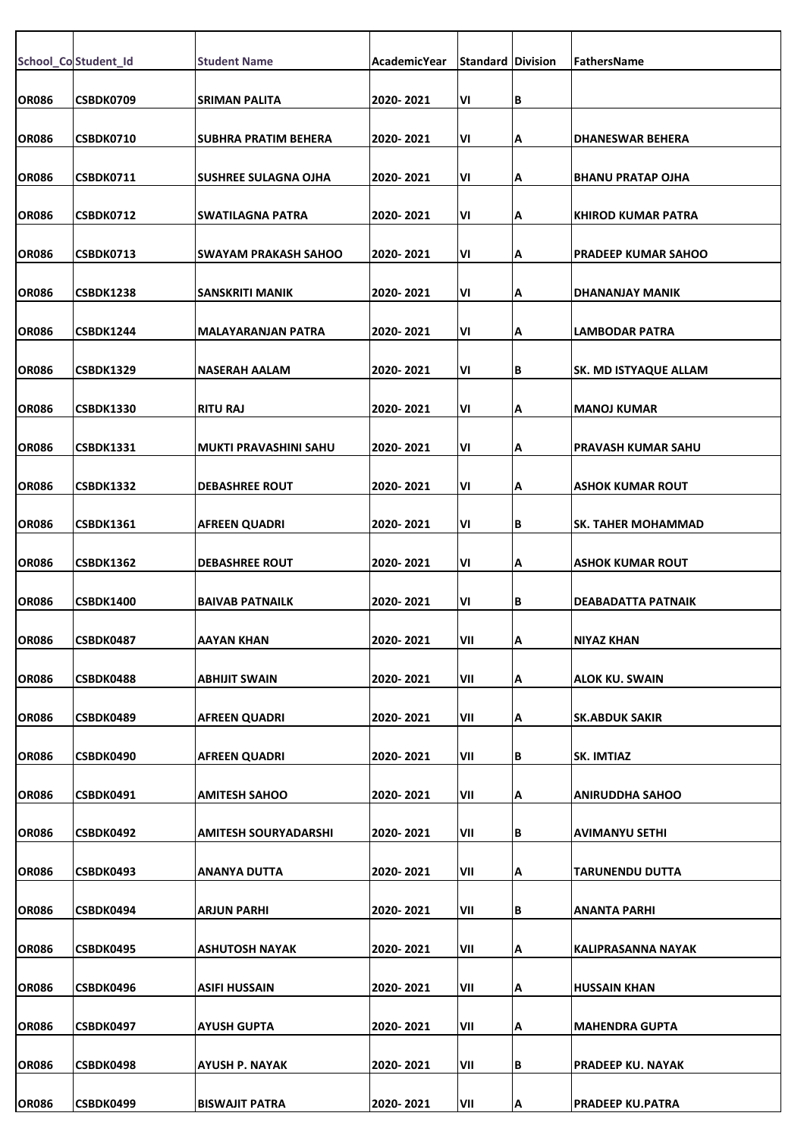|              | School_Co Student_Id | <b>Student Name</b>          | AcademicYear | <b>Standard Division</b> |   | FathersName                  |
|--------------|----------------------|------------------------------|--------------|--------------------------|---|------------------------------|
| <b>OR086</b> | CSBDK0709            | <b>SRIMAN PALITA</b>         | 2020-2021    | V١                       | В |                              |
| <b>OR086</b> | <b>CSBDK0710</b>     | <b>SUBHRA PRATIM BEHERA</b>  | 2020-2021    | VI                       | А | <b>DHANESWAR BEHERA</b>      |
| <b>OR086</b> | <b>CSBDK0711</b>     | <b>SUSHREE SULAGNA OJHA</b>  | 2020-2021    | VI                       | А | <b>BHANU PRATAP OJHA</b>     |
| <b>OR086</b> | <b>CSBDK0712</b>     | <b>SWATILAGNA PATRA</b>      | 2020-2021    | VI                       | А | <b>KHIROD KUMAR PATRA</b>    |
|              | <b>CSBDK0713</b>     |                              | 2020-2021    |                          |   |                              |
| <b>OR086</b> |                      | <b>SWAYAM PRAKASH SAHOO</b>  |              | V١                       | А | <b>PRADEEP KUMAR SAHOO</b>   |
| <b>OR086</b> | <b>CSBDK1238</b>     | SANSKRITI MANIK              | 2020-2021    | V١                       | А | DHANANJAY MANIK              |
| <b>OR086</b> | CSBDK1244            | <b>MALAYARANJAN PATRA</b>    | 2020-2021    | VI                       | А | <b>LAMBODAR PATRA</b>        |
| <b>OR086</b> | CSBDK1329            | <b>NASERAH AALAM</b>         | 2020-2021    | VI                       | В | <b>SK. MD ISTYAQUE ALLAM</b> |
| <b>OR086</b> | <b>CSBDK1330</b>     | <b>RITU RAJ</b>              | 2020-2021    | VI                       | А | <b>MANOJ KUMAR</b>           |
| <b>OR086</b> | CSBDK1331            | <b>MUKTI PRAVASHINI SAHU</b> | 2020-2021    | V١                       | А | <b>PRAVASH KUMAR SAHU</b>    |
| <b>OR086</b> | CSBDK1332            | <b>DEBASHREE ROUT</b>        | 2020-2021    | VI                       | А | <b>ASHOK KUMAR ROUT</b>      |
|              |                      |                              |              |                          |   |                              |
| <b>OR086</b> | CSBDK1361            | <b>AFREEN QUADRI</b>         | 2020- 2021   | VI                       | В | <b>SK. TAHER MOHAMMAD</b>    |
| <b>OR086</b> | CSBDK1362            | <b>DEBASHREE ROUT</b>        | 2020-2021    | V١                       | А | <b>ASHOK KUMAR ROUT</b>      |
| <b>OR086</b> | <b>CSBDK1400</b>     | <b>BAIVAB PATNAILK</b>       | 2020-2021    | VI                       | В | DEABADATTA PATNAIK           |
| <b>OR086</b> | <b>CSBDK0487</b>     | AAYAN KHAN                   | 2020-2021    | VII                      | A | NIYAZ KHAN                   |
| <b>OR086</b> | CSBDK0488            | <b>ABHIJIT SWAIN</b>         | 2020-2021    | VII                      | А | <b>ALOK KU. SWAIN</b>        |
| <b>OR086</b> | CSBDK0489            | <b>AFREEN QUADRI</b>         | 2020-2021    | VII                      | А | <b>SK.ABDUK SAKIR</b>        |
| <b>OR086</b> | CSBDK0490            | <b>AFREEN QUADRI</b>         | 2020-2021    | VII                      | В | SK. IMTIAZ                   |
|              |                      |                              |              |                          |   |                              |
| <b>OR086</b> | CSBDK0491            | <b>AMITESH SAHOO</b>         | 2020-2021    | VII                      | А | <b>ANIRUDDHA SAHOO</b>       |
| <b>OR086</b> | CSBDK0492            | AMITESH SOURYADARSHI         | 2020-2021    | VII                      | В | <b>AVIMANYU SETHI</b>        |
| <b>OR086</b> | CSBDK0493            | ANANYA DUTTA                 | 2020-2021    | VII                      | А | TARUNENDU DUTTA              |
| <b>OR086</b> | CSBDK0494            | ARJUN PARHI                  | 2020-2021    | VII                      | В | <b>ANANTA PARHI</b>          |
| <b>OR086</b> | CSBDK0495            | ASHUTOSH NAYAK               | 2020-2021    | VII                      | А | <b>KALIPRASANNA NAYAK</b>    |
| <b>OR086</b> | CSBDK0496            | <b>ASIFI HUSSAIN</b>         | 2020-2021    | VII                      | А | <b>HUSSAIN KHAN</b>          |
|              |                      |                              |              |                          |   |                              |
| <b>OR086</b> | CSBDK0497            | AYUSH GUPTA                  | 2020-2021    | VII                      | А | <b>MAHENDRA GUPTA</b>        |
| <b>OR086</b> | CSBDK0498            | AYUSH P. NAYAK               | 2020-2021    | VII                      | В | <b>PRADEEP KU. NAYAK</b>     |
| <b>OR086</b> | CSBDK0499            | <b>BISWAJIT PATRA</b>        | 2020-2021    | VII                      | А | <b>PRADEEP KU.PATRA</b>      |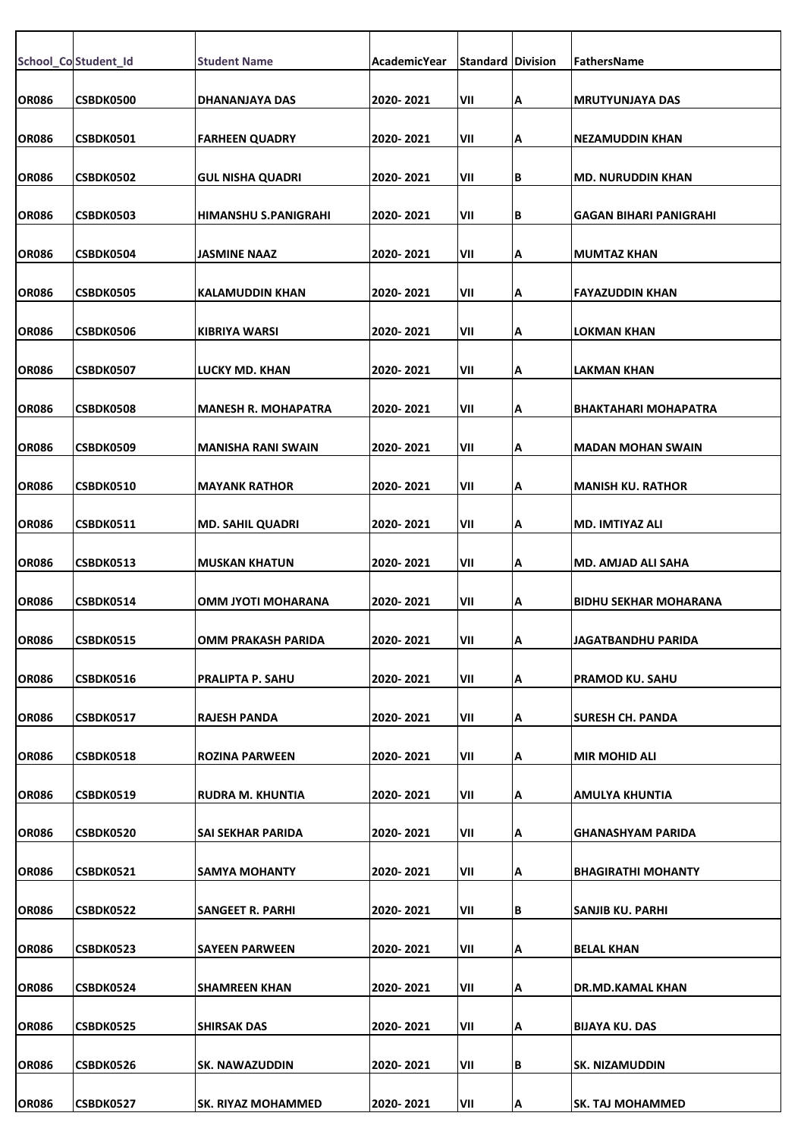|              | School_Co Student_Id | <b>Student Name</b>         | <b>AcademicYear</b> | <b>Standard Division</b> |    | FathersName                   |
|--------------|----------------------|-----------------------------|---------------------|--------------------------|----|-------------------------------|
|              |                      |                             |                     |                          |    |                               |
| <b>OR086</b> | <b>CSBDK0500</b>     | DHANANJAYA DAS              | 2020-2021           | VII                      | А  | <b>MRUTYUNJAYA DAS</b>        |
| <b>OR086</b> | <b>CSBDK0501</b>     | <b>FARHEEN QUADRY</b>       | 2020-2021           | VII                      | А  | NEZAMUDDIN KHAN               |
| <b>OR086</b> | <b>CSBDK0502</b>     | <b>GUL NISHA QUADRI</b>     | 2020- 2021          | VII                      | В  | <b>MD. NURUDDIN KHAN</b>      |
| <b>OR086</b> | CSBDK0503            | <b>HIMANSHU S.PANIGRAHI</b> | 2020-2021           | VII                      | В  | <b>GAGAN BIHARI PANIGRAHI</b> |
| <b>OR086</b> | CSBDK0504            | JASMINE NAAZ                | 2020-2021           | VII                      | А  | <b>MUMTAZ KHAN</b>            |
| <b>OR086</b> | <b>CSBDK0505</b>     | KALAMUDDIN KHAN             | 2020-2021           | VII                      | А  | <b>FAYAZUDDIN KHAN</b>        |
| <b>OR086</b> | <b>CSBDK0506</b>     | KIBRIYA WARSI               | 2020- 2021          | VII                      | А  | LOKMAN KHAN                   |
| <b>OR086</b> | CSBDK0507            | <b>LUCKY MD. KHAN</b>       | 2020-2021           | VII                      | А  | LAKMAN KHAN                   |
| <b>OR086</b> | <b>CSBDK0508</b>     | <b>MANESH R. MOHAPATRA</b>  | 2020-2021           | VII                      | А  | <b>BHAKTAHARI MOHAPATRA</b>   |
| <b>OR086</b> | <b>CSBDK0509</b>     | <b>MANISHA RANI SWAIN</b>   | 2020- 2021          | VII                      | А  | <b>MADAN MOHAN SWAIN</b>      |
| <b>OR086</b> | <b>CSBDK0510</b>     | <b>MAYANK RATHOR</b>        | 2020-2021           | VII                      | А  | <b>MANISH KU. RATHOR</b>      |
| <b>OR086</b> | <b>CSBDK0511</b>     | <b>MD. SAHIL QUADRI</b>     | 2020-2021           | VII                      | А  | <b>MD. IMTIYAZ ALI</b>        |
| <b>OR086</b> | CSBDK0513            | <b>MUSKAN KHATUN</b>        | 2020-2021           | VII                      | А  | <b>MD. AMJAD ALI SAHA</b>     |
| <b>OR086</b> | CSBDK0514            | OMM JYOTI MOHARANA          | 2020-2021           | VII                      | А  | <b>BIDHU SEKHAR MOHARANA</b>  |
| <b>OR086</b> | <b>CSBDK0515</b>     | <b>OMM PRAKASH PARIDA</b>   | 2020-2021           | VII                      | IА | JAGATBANDHU PARIDA            |
| <b>OR086</b> | <b>CSBDK0516</b>     | <b>PRALIPTA P. SAHU</b>     | 2020-2021           | VII                      | А  | <b>PRAMOD KU. SAHU</b>        |
| <b>OR086</b> | CSBDK0517            | <b>RAJESH PANDA</b>         | 2020-2021           | VII                      | А  | SURESH CH. PANDA              |
| <b>OR086</b> | <b>CSBDK0518</b>     | <b>ROZINA PARWEEN</b>       | 2020- 2021          | VII                      | А  | <b>MIR MOHID ALI</b>          |
| <b>OR086</b> | <b>CSBDK0519</b>     | <b>RUDRA M. KHUNTIA</b>     | 2020- 2021          | VII                      | А  | AMULYA KHUNTIA                |
| <b>OR086</b> | <b>CSBDK0520</b>     | SAI SEKHAR PARIDA           | 2020-2021           | VII                      | А  | <b>GHANASHYAM PARIDA</b>      |
| <b>OR086</b> | <b>CSBDK0521</b>     | <b>SAMYA MOHANTY</b>        | 2020-2021           | VII                      | А  | <b>BHAGIRATHI MOHANTY</b>     |
| <b>OR086</b> | <b>CSBDK0522</b>     | SANGEET R. PARHI            | 2020- 2021          | VII                      | В  | SANJIB KU. PARHI              |
| <b>OR086</b> | CSBDK0523            | SAYEEN PARWEEN              | 2020- 2021          | VII                      | А  | <b>BELAL KHAN</b>             |
| <b>OR086</b> | CSBDK0524            | <b>SHAMREEN KHAN</b>        | 2020-2021           | VII                      | А  | DR.MD.KAMAL KHAN              |
| <b>OR086</b> | <b>CSBDK0525</b>     | <b>SHIRSAK DAS</b>          | 2020-2021           | VII                      | А  | <b>BIJAYA KU. DAS</b>         |
| <b>OR086</b> | CSBDK0526            | <b>SK. NAWAZUDDIN</b>       | 2020-2021           | VII                      | В  | SK. NIZAMUDDIN                |
| <b>OR086</b> | CSBDK0527            | <b>SK. RIYAZ MOHAMMED</b>   | 2020-2021           | VII                      | А  | <b>SK. TAJ MOHAMMED</b>       |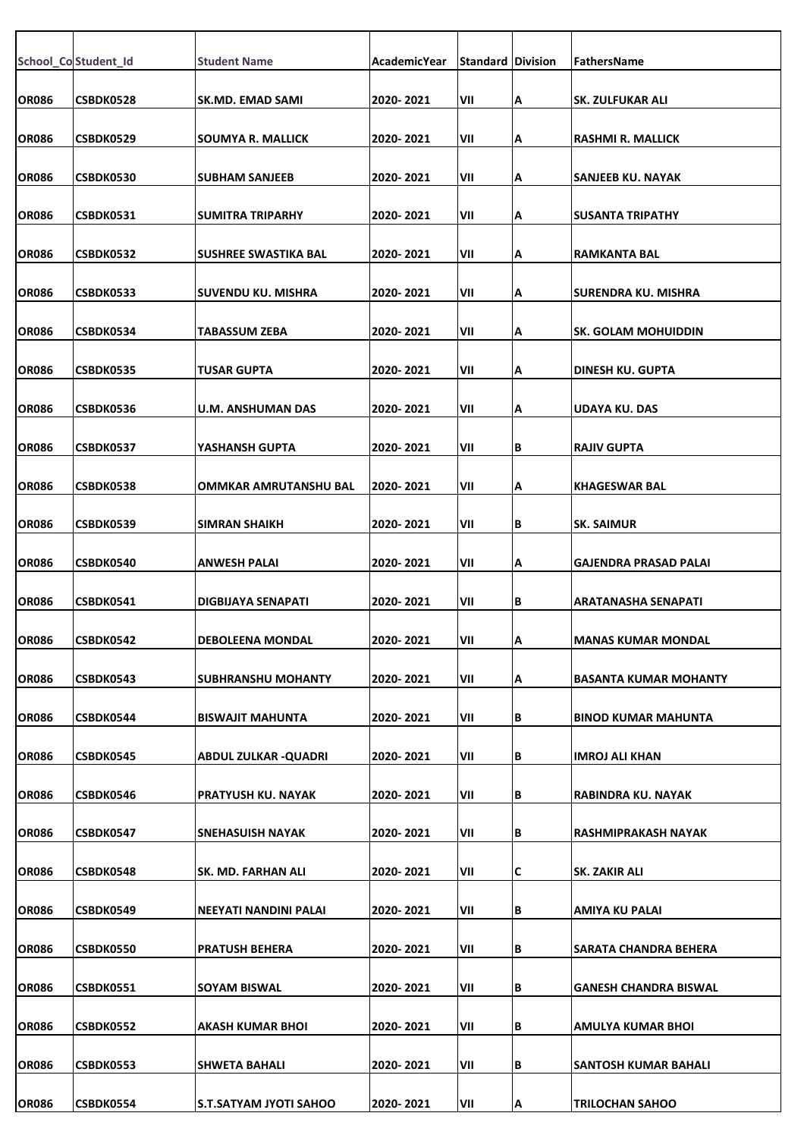|              | School_Co Student_Id | <b>Student Name</b>       | AcademicYear | <b>Standard Division</b> |    | FathersName                  |
|--------------|----------------------|---------------------------|--------------|--------------------------|----|------------------------------|
| <b>OR086</b> | CSBDK0528            | <b>SK.MD. EMAD SAMI</b>   | 2020-2021    | VII                      | Α  | SK. ZULFUKAR ALI             |
| <b>OR086</b> | CSBDK0529            | SOUMYA R. MALLICK         | 2020-2021    | VII                      | ΙA | RASHMI R. MALLICK            |
| <b>OR086</b> | <b>CSBDK0530</b>     | <b>SUBHAM SANJEEB</b>     | 2020-2021    | VII                      | A  | SANJEEB KU. NAYAK            |
| <b>OR086</b> | CSBDK0531            | <b>SUMITRA TRIPARHY</b>   | 2020-2021    | VII                      | Α  | <b>SUSANTA TRIPATHY</b>      |
| <b>OR086</b> | <b>CSBDK0532</b>     | SUSHREE SWASTIKA BAL      | 2020-2021    | VII                      | A  | RAMKANTA BAL                 |
| <b>OR086</b> | <b>CSBDK0533</b>     | SUVENDU KU. MISHRA        | 2020-2021    | VII                      | A  | SURENDRA KU. MISHRA          |
| <b>OR086</b> | CSBDK0534            | TABASSUM ZEBA             | 2020-2021    | VII                      | A  | SK. GOLAM MOHUIDDIN          |
| <b>OR086</b> | CSBDK0535            | TUSAR GUPTA               | 2020-2021    | VII                      | Α  | DINESH KU. GUPTA             |
| <b>OR086</b> | CSBDK0536            | <b>U.M. ANSHUMAN DAS</b>  | 2020-2021    | VII                      | Α  | <b>UDAYA KU. DAS</b>         |
| <b>OR086</b> | <b>CSBDK0537</b>     | YASHANSH GUPTA            | 2020-2021    | VII                      | B  | <b>RAJIV GUPTA</b>           |
| <b>OR086</b> | CSBDK0538            | OMMKAR AMRUTANSHU BAL     | 2020-2021    | VII                      | Α  | <b>KHAGESWAR BAL</b>         |
| <b>OR086</b> | CSBDK0539            | <b>SIMRAN SHAIKH</b>      | 2020-2021    | VII                      | lΒ | <b>SK. SAIMUR</b>            |
| <b>OR086</b> | CSBDK0540            | ANWESH PALAI              | 2020-2021    | VII                      | Α  | GAJENDRA PRASAD PALAI        |
| <b>OR086</b> | CSBDK0541            | DIGBIJAYA SENAPATI        | 2020-2021    | VII                      | B  | ARATANASHA SENAPATI          |
| <b>OR086</b> | CSBDK0542            | <b>DEBOLEENA MONDAL</b>   | 2020-2021    | VII                      | IА | <b>MANAS KUMAR MONDAL</b>    |
| <b>OR086</b> | CSBDK0543            | <b>SUBHRANSHU MOHANTY</b> | 2020-2021    | VII                      | A  | <b>BASANTA KUMAR MOHANTY</b> |
| OR086        | CSBDK0544            | <b>BISWAJIT MAHUNTA</b>   | 2020-2021    | VII                      | В  | <b>BINOD KUMAR MAHUNTA</b>   |
| <b>OR086</b> | <b>CSBDK0545</b>     | ABDUL ZULKAR -QUADRI      | 2020-2021    | VII                      | B  | <b>IMROJ ALI KHAN</b>        |
| <b>OR086</b> | CSBDK0546            | PRATYUSH KU. NAYAK        | 2020-2021    | VII                      | B  | <b>RABINDRA KU. NAYAK</b>    |
| <b>OR086</b> | CSBDK0547            | SNEHASUISH NAYAK          | 2020-2021    | VII                      | B  | RASHMIPRAKASH NAYAK          |
| <b>OR086</b> | CSBDK0548            | SK. MD. FARHAN ALI        | 2020-2021    | VII                      | C  | SK. ZAKIR ALI                |
| <b>OR086</b> | CSBDK0549            | NEEYATI NANDINI PALAI     | 2020-2021    | VII                      | B  | AMIYA KU PALAI               |
| <b>OR086</b> | <b>CSBDK0550</b>     | <b>PRATUSH BEHERA</b>     | 2020-2021    | VII                      | B  | SARATA CHANDRA BEHERA        |
| <b>OR086</b> | CSBDK0551            | <b>SOYAM BISWAL</b>       | 2020-2021    | VII                      | B  | <b>GANESH CHANDRA BISWAL</b> |
| <b>OR086</b> | CSBDK0552            | AKASH KUMAR BHOI          | 2020-2021    | VII                      | B  | AMULYA KUMAR BHOI            |
| <b>OR086</b> | CSBDK0553            | <b>SHWETA BAHALI</b>      | 2020-2021    | VII                      | B  | <b>SANTOSH KUMAR BAHALI</b>  |
| <b>OR086</b> | CSBDK0554            | S.T.SATYAM JYOTI SAHOO    | 2020-2021    | VII                      | ΙA | <b>TRILOCHAN SAHOO</b>       |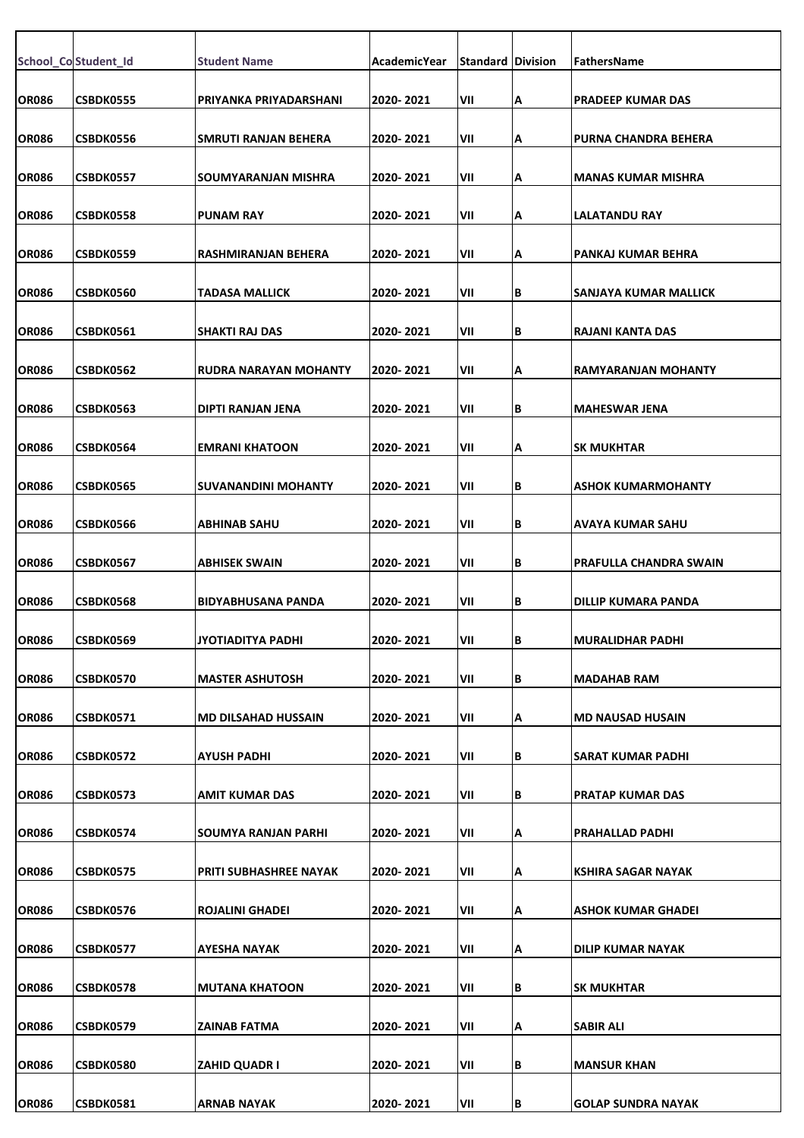|              | School_Co Student_Id | <b>Student Name</b>           | AcademicYear | <b>Standard Division</b> |     | FathersName                   |
|--------------|----------------------|-------------------------------|--------------|--------------------------|-----|-------------------------------|
| <b>OR086</b> | <b>CSBDK0555</b>     | PRIYANKA PRIYADARSHANI        | 2020-2021    | VII                      | Α   | <b>PRADEEP KUMAR DAS</b>      |
| <b>OR086</b> | <b>CSBDK0556</b>     | SMRUTI RANJAN BEHERA          | 2020-2021    | VII                      | ΙA  | <b>PURNA CHANDRA BEHERA</b>   |
| <b>OR086</b> | <b>CSBDK0557</b>     | SOUMYARANJAN MISHRA           | 2020-2021    | VII                      | Α   | <b>MANAS KUMAR MISHRA</b>     |
| <b>OR086</b> | <b>CSBDK0558</b>     | <b>PUNAM RAY</b>              | 2020-2021    | VII                      | İΑ  | <b>LALATANDU RAY</b>          |
| <b>OR086</b> | <b>CSBDK0559</b>     | RASHMIRANJAN BEHERA           | 2020-2021    | VII                      | A   | PANKAJ KUMAR BEHRA            |
| <b>OR086</b> | <b>CSBDK0560</b>     | TADASA MALLICK                | 2020-2021    | VII                      | lВ  | SANJAYA KUMAR MALLICK         |
| <b>OR086</b> | <b>CSBDK0561</b>     | SHAKTI RAJ DAS                | 2020-2021    | VII                      | lΒ  | RAJANI KANTA DAS              |
| <b>OR086</b> | CSBDK0562            | <b>RUDRA NARAYAN MOHANTY</b>  | 2020-2021    | VII                      | ΙA  | <b>RAMYARANJAN MOHANTY</b>    |
| <b>OR086</b> | CSBDK0563            | <b>DIPTI RANJAN JENA</b>      | 2020-2021    | VII                      | lв  | <b>MAHESWAR JENA</b>          |
| <b>OR086</b> | <b>CSBDK0564</b>     | <b>EMRANI KHATOON</b>         | 2020-2021    | VII                      | ΙA  | <b>SK MUKHTAR</b>             |
|              |                      |                               |              |                          |     |                               |
| <b>OR086</b> | <b>CSBDK0565</b>     | <b>SUVANANDINI MOHANTY</b>    | 2020-2021    | VII                      | lв  | <b>ASHOK KUMARMOHANTY</b>     |
| <b>OR086</b> | <b>CSBDK0566</b>     | ABHINAB SAHU                  | 2020- 2021   | VII                      | lв  | AVAYA KUMAR SAHU              |
| <b>OR086</b> | CSBDK0567            | <b>ABHISEK SWAIN</b>          | 2020-2021    | VII                      | İΒ. | <b>PRAFULLA CHANDRA SWAIN</b> |
| <b>OR086</b> | <b>CSBDK0568</b>     | <b>BIDYABHUSANA PANDA</b>     | 2020-2021    | VII                      | İΒ. | DILLIP KUMARA PANDA           |
| <b>OR086</b> | <b>CSBDK0569</b>     | JYOTIADITYA PADHI             | 2020-2021    | VII                      | IВ  | <b>MURALIDHAR PADHI</b>       |
| <b>OR086</b> | CSBDK0570            | <b>MASTER ASHUTOSH</b>        | 2020-2021    | VII                      | İΒ. | <b>MADAHAB RAM</b>            |
| <b>OR086</b> | <b>CSBDK0571</b>     | <b>MD DILSAHAD HUSSAIN</b>    | 2020-2021    | VII                      | Α   | <b>MD NAUSAD HUSAIN</b>       |
| <b>OR086</b> | CSBDK0572            | <b>AYUSH PADHI</b>            | 2020-2021    | VII                      | ΙB  | SARAT KUMAR PADHI             |
| <b>OR086</b> | CSBDK0573            | <b>AMIT KUMAR DAS</b>         | 2020-2021    | VII                      | lВ  | <b>PRATAP KUMAR DAS</b>       |
| <b>OR086</b> | <b>CSBDK0574</b>     | SOUMYA RANJAN PARHI           | 2020-2021    | VII                      | Α   | PRAHALLAD PADHI               |
| <b>OR086</b> | CSBDK0575            | <b>PRITI SUBHASHREE NAYAK</b> | 2020-2021    | VII                      | ΙA  | <b>KSHIRA SAGAR NAYAK</b>     |
| <b>OR086</b> | CSBDK0576            | <b>ROJALINI GHADEI</b>        | 2020-2021    | VII                      | A   | <b>ASHOK KUMAR GHADEI</b>     |
| <b>OR086</b> | CSBDK0577            | AYESHA NAYAK                  | 2020-2021    | VII                      | ΙA  | <b>DILIP KUMAR NAYAK</b>      |
| <b>OR086</b> | CSBDK0578            | <b>MUTANA KHATOON</b>         | 2020-2021    | VII                      | lВ  | <b>SK MUKHTAR</b>             |
| <b>OR086</b> | CSBDK0579            | ZAINAB FATMA                  | 2020-2021    | VII                      | Α   | <b>SABIR ALI</b>              |
| <b>OR086</b> | <b>CSBDK0580</b>     | ZAHID QUADR I                 | 2020-2021    | VII                      | ΙB  | <b>MANSUR KHAN</b>            |
| <b>OR086</b> | CSBDK0581            | <b>ARNAB NAYAK</b>            | 2020-2021    | VII                      | B   | <b>GOLAP SUNDRA NAYAK</b>     |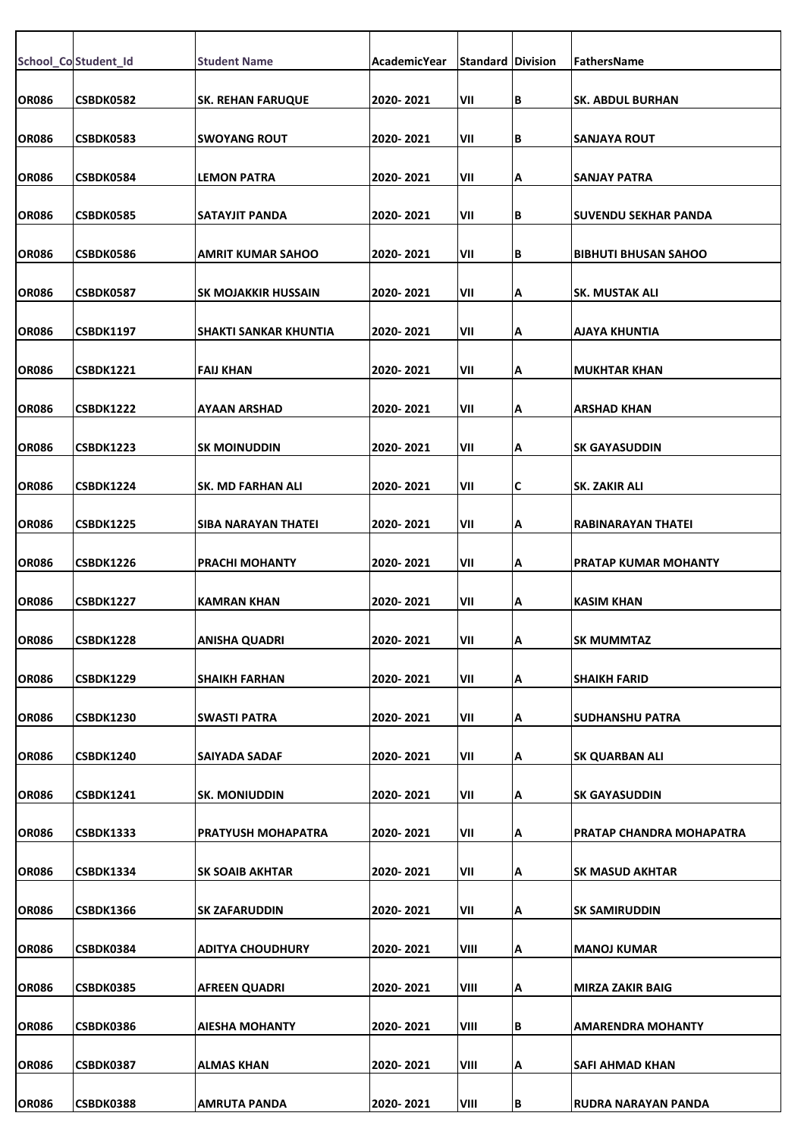|              | School_Co Student_Id | <b>Student Name</b>        | AcademicYear | <b>Standard Division</b> |    | <b>FathersName</b>           |
|--------------|----------------------|----------------------------|--------------|--------------------------|----|------------------------------|
| <b>OR086</b> | CSBDK0582            | <b>SK. REHAN FARUQUE</b>   | 2020-2021    | VII                      | lΒ | <b>SK. ABDUL BURHAN</b>      |
| <b>OR086</b> |                      | <b>SWOYANG ROUT</b>        | 2020-2021    | VII                      | B  |                              |
|              | CSBDK0583            |                            |              |                          |    | ISANJAYA ROUT                |
| <b>OR086</b> | CSBDK0584            | <b>LEMON PATRA</b>         | 2020-2021    | VII                      | Α  | ISANJAY PATRA                |
| <b>OR086</b> | CSBDK0585            | SATAYJIT PANDA             | 2020-2021    | VII                      | B  | <b>ISUVENDU SEKHAR PANDA</b> |
| OR086        | CSBDK0586            | AMRIT KUMAR SAHOO          | 2020-2021    | VII                      | B  | <b> BIBHUTI BHUSAN SAHOO</b> |
| <b>OR086</b> | CSBDK0587            | <b>SK MOJAKKIR HUSSAIN</b> | 2020-2021    | VII                      | Α  | <b>SK. MUSTAK ALI</b>        |
| <b>OR086</b> | <b>CSBDK1197</b>     | SHAKTI SANKAR KHUNTIA      | 2020-2021    | VII                      | Α  | IAJAYA KHUNTIA               |
| <b>OR086</b> | <b>CSBDK1221</b>     | <b>FAIJ KHAN</b>           | 2020-2021    | VII                      | Α  | IMUKHTAR KHAN                |
| <b>OR086</b> | <b>CSBDK1222</b>     | <b>AYAAN ARSHAD</b>        | 2020-2021    | VII                      | А  | <b>ARSHAD KHAN</b>           |
| <b>OR086</b> | CSBDK1223            | <b>SK MOINUDDIN</b>        | 2020-2021    | VII                      | А  | ISK GAYASUDDIN               |
| <b>OR086</b> | <b>CSBDK1224</b>     | SK. MD FARHAN ALI          | 2020-2021    | VII                      | С  | <b>SK. ZAKIR ALI</b>         |
| OR086        | <b>CSBDK1225</b>     | SIBA NARAYAN THATEI        | 2020-2021    | VII                      | Α  | RABINARAYAN THATEI           |
| <b>OR086</b> | <b>CSBDK1226</b>     | PRACHI MOHANTY             | 2020-2021    | VII                      | А  | PRATAP KUMAR MOHANTY         |
| <b>OR086</b> | <b>CSBDK1227</b>     | <b>KAMRAN KHAN</b>         | 2020-2021    | VII                      | А  | <b>KASIM KHAN</b>            |
| OR086        | <b>CSBDK1228</b>     | <b>ANISHA QUADRI</b>       | 2020-2021    | VII                      | ΙA | SK MUMMTAZ                   |
| <b>OR086</b> | <b>CSBDK1229</b>     | <b>SHAIKH FARHAN</b>       | 2020-2021    | VII                      | А  | <b>SHAIKH FARID</b>          |
| <b>OR086</b> | <b>CSBDK1230</b>     | SWASTI PATRA               | 2020-2021    | VII                      | А  | <b>SUDHANSHU PATRA</b>       |
| <b>OR086</b> | <b>CSBDK1240</b>     | SAIYADA SADAF              | 2020-2021    | VII                      | А  | <b>SK QUARBAN ALI</b>        |
| <b>OR086</b> | <b>CSBDK1241</b>     | <b>SK. MONIUDDIN</b>       | 2020-2021    | VII                      | Α  | <b>SK GAYASUDDIN</b>         |
| <b>OR086</b> | <b>CSBDK1333</b>     | <b>PRATYUSH MOHAPATRA</b>  | 2020-2021    | VII                      | А  | PRATAP CHANDRA MOHAPATRA     |
| <b>OR086</b> | <b>CSBDK1334</b>     | <b>SK SOAIB AKHTAR</b>     | 2020-2021    | VII                      | A  | <b>SK MASUD AKHTAR</b>       |
| OR086        | <b>CSBDK1366</b>     | <b>SK ZAFARUDDIN</b>       | 2020-2021    | VII                      | А  | <b>ISK SAMIRUDDIN</b>        |
| <b>OR086</b> | CSBDK0384            | <b>ADITYA CHOUDHURY</b>    | 2020-2021    | VIII                     | Α  | <b>MANOJ KUMAR</b>           |
| <b>OR086</b> | <b>CSBDK0385</b>     | <b>AFREEN QUADRI</b>       | 2020-2021    | VIII                     | Α  | <b>MIRZA ZAKIR BAIG</b>      |
| <b>OR086</b> | CSBDK0386            | <b>AIESHA MOHANTY</b>      | 2020-2021    | VIII                     | B  | <b>AMARENDRA MOHANTY</b>     |
| <b>OR086</b> | <b>CSBDK0387</b>     | <b>ALMAS KHAN</b>          | 2020-2021    | VIII                     | Α  | <b>SAFI AHMAD KHAN</b>       |
| <b>OR086</b> | CSBDK0388            | <b>AMRUTA PANDA</b>        | 2020-2021    | VIII                     | B  | RUDRA NARAYAN PANDA          |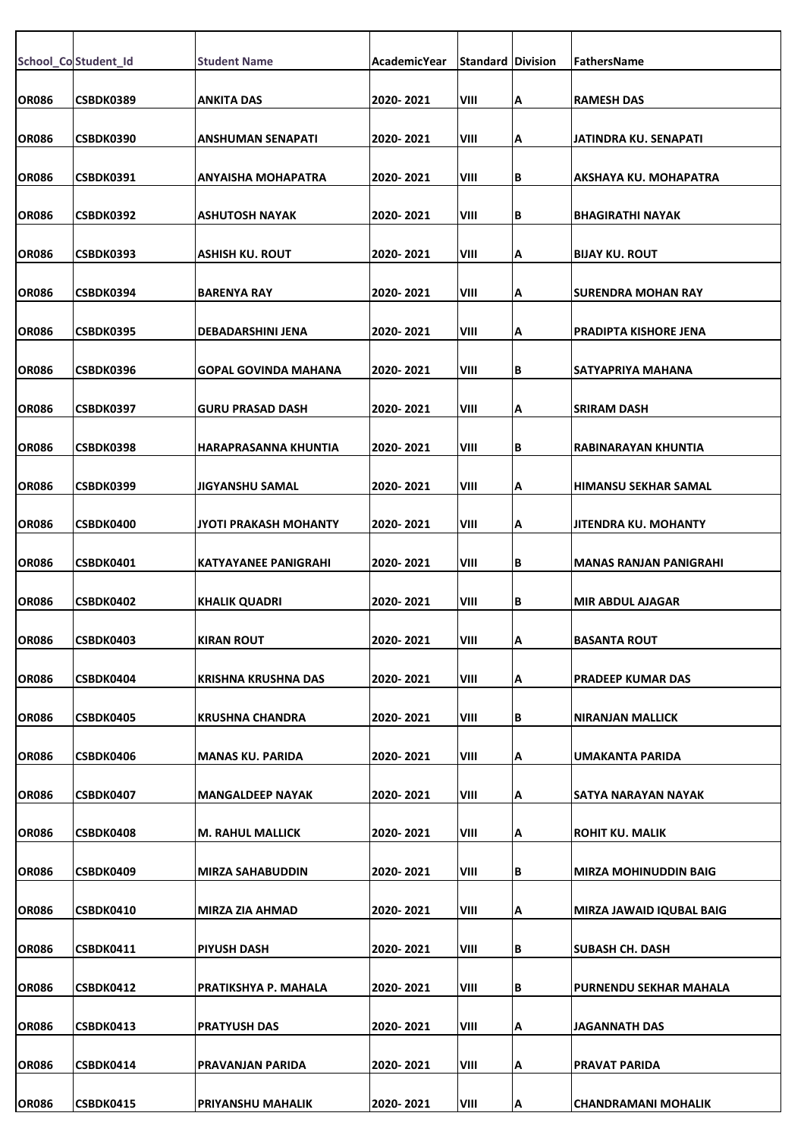|              | School_Co Student_Id | <b>Student Name</b>         | AcademicYear | <b>Standard Division</b> |    | <b>FathersName</b>           |
|--------------|----------------------|-----------------------------|--------------|--------------------------|----|------------------------------|
|              |                      |                             |              |                          |    |                              |
| OR086        | CSBDK0389            | <b>ANKITA DAS</b>           | 2020-2021    | VIII                     | А  | <b>RAMESH DAS</b>            |
| <b>OR086</b> | CSBDK0390            | <b>ANSHUMAN SENAPATI</b>    | 2020-2021    | VIII                     | Α  | JATINDRA KU. SENAPATI        |
| <b>OR086</b> | CSBDK0391            | <b>ANYAISHA MOHAPATRA</b>   | 2020-2021    | VIII                     | B  | AKSHAYA KU. MOHAPATRA        |
|              |                      |                             |              |                          |    |                              |
| <b>OR086</b> | CSBDK0392            | <b>ASHUTOSH NAYAK</b>       | 2020-2021    | VIII                     | lΒ | <b>BHAGIRATHI NAYAK</b>      |
| <b>OR086</b> | CSBDK0393            | ASHISH KU. ROUT             | 2020-2021    | VIII                     | А  | <b>IBIJAY KU. ROUT</b>       |
| <b>OR086</b> | CSBDK0394            | <b>BARENYA RAY</b>          | 2020-2021    | VIII                     | А  | <b>SURENDRA MOHAN RAY</b>    |
| <b>OR086</b> | CSBDK0395            | DEBADARSHINI JENA           | 2020-2021    | VIII                     | А  | <b>PRADIPTA KISHORE JENA</b> |
|              |                      |                             |              |                          |    |                              |
| <b>OR086</b> | CSBDK0396            | <b>GOPAL GOVINDA MAHANA</b> | 2020-2021    | VIII                     | B  | SATYAPRIYA MAHANA            |
| OR086        | CSBDK0397            | <b>GURU PRASAD DASH</b>     | 2020-2021    | VIII                     | А  | <b>SRIRAM DASH</b>           |
| <b>OR086</b> | <b>CSBDK0398</b>     | HARAPRASANNA KHUNTIA        | 2020-2021    | VIII                     | В  | IRABINARAYAN KHUNTIA         |
|              |                      |                             |              |                          |    |                              |
| <b>OR086</b> | CSBDK0399            | <b>JIGYANSHU SAMAL</b>      | 2020-2021    | VIII                     | Α  | HIMANSU SEKHAR SAMAL         |
| <b>OR086</b> | CSBDK0400            | JYOTI PRAKASH MOHANTY       | 2020-2021    | VIII                     | Α  | JJITENDRA KU. MOHANTY        |
| <b>OR086</b> | CSBDK0401            | <b>KATYAYANEE PANIGRAHI</b> | 2020-2021    | VIII                     | B  | IMANAS RANJAN PANIGRAHI      |
| <b>OR086</b> | CSBDK0402            | <b>KHALIK QUADRI</b>        | 2020-2021    | VIII                     | B  | <b>MIR ABDUL AJAGAR</b>      |
| <b>OR086</b> | <b>CSBDK0403</b>     | <b>KIRAN ROUT</b>           | 2020-2021    | VIII                     | ΙA | BASANTA ROUT                 |
| <b>OR086</b> | CSBDK0404            | KRISHNA KRUSHNA DAS         | 2020-2021    | VIII                     | Α  | PRADEEP KUMAR DAS            |
| <b>OR086</b> | CSBDK0405            | <b>KRUSHNA CHANDRA</b>      | 2020-2021    | VIII                     | В  | INIRANJAN MALLICK            |
|              |                      |                             |              |                          |    |                              |
| <b>OR086</b> | CSBDK0406            | MANAS KU. PARIDA            | 2020-2021    | VIII                     | А  | UMAKANTA PARIDA              |
| <b>OR086</b> | CSBDK0407            | <b>MANGALDEEP NAYAK</b>     | 2020-2021    | VIII                     | А  | SATYA NARAYAN NAYAK          |
| <b>OR086</b> | CSBDK0408            | M. RAHUL MALLICK            | 2020-2021    | VIII                     | А  | ROHIT KU. MALIK              |
| <b>OR086</b> | CSBDK0409            | <b>MIRZA SAHABUDDIN</b>     | 2020-2021    | VIII                     | B  | <b>MIRZA MOHINUDDIN BAIG</b> |
| <b>OR086</b> | CSBDK0410            | <b>MIRZA ZIA AHMAD</b>      | 2020-2021    | VIII                     | А  | MIRZA JAWAID IQUBAL BAIG     |
|              |                      |                             |              |                          |    |                              |
| <b>OR086</b> | CSBDK0411            | <b>PIYUSH DASH</b>          | 2020-2021    | VIII                     | B  | <b>SUBASH CH. DASH</b>       |
| <b>OR086</b> | CSBDK0412            | PRATIKSHYA P. MAHALA        | 2020-2021    | VIII                     | B  | PURNENDU SEKHAR MAHALA       |
| <b>OR086</b> | CSBDK0413            | <b>PRATYUSH DAS</b>         | 2020-2021    | VIII                     | Α  | JAGANNATH DAS                |
| <b>OR086</b> | CSBDK0414            | PRAVANJAN PARIDA            | 2020-2021    | VIII                     | А  | <b>PRAVAT PARIDA</b>         |
| <b>OR086</b> | CSBDK0415            | PRIYANSHU MAHALIK           | 2020-2021    | VIII                     | Α  | <b>CHANDRAMANI MOHALIK</b>   |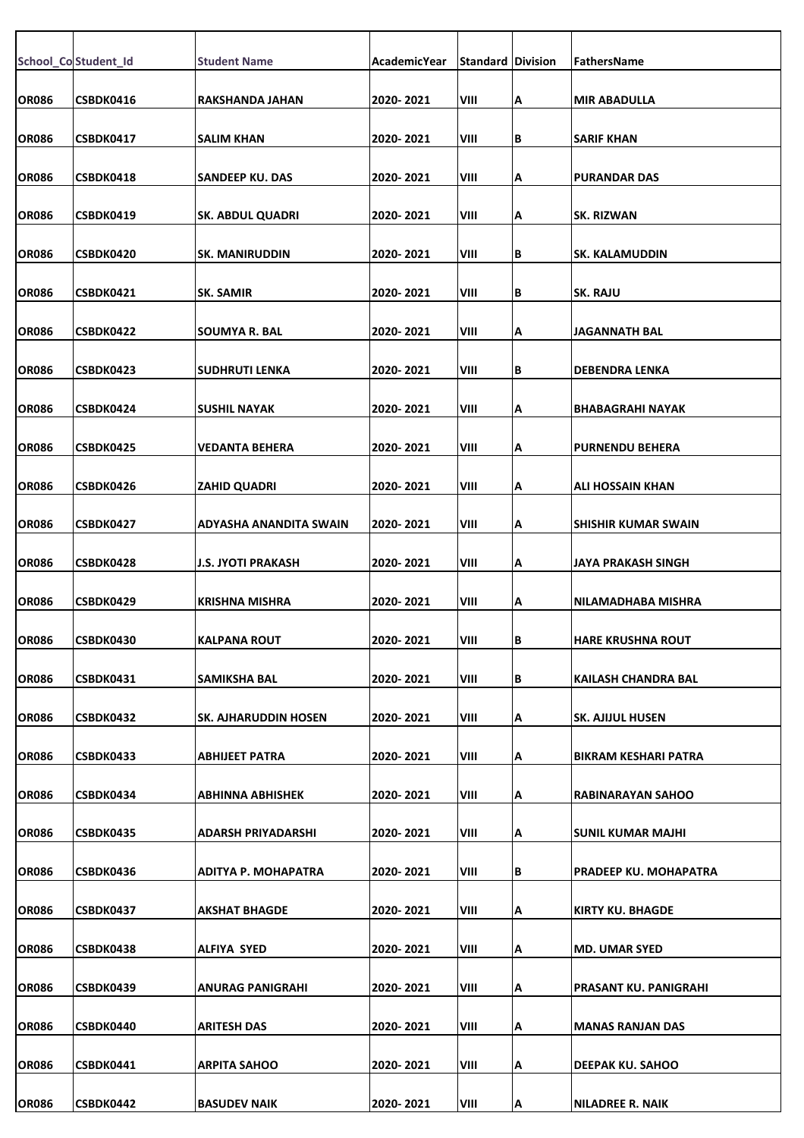|              | School_Co Student_Id | <b>Student Name</b>        | AcademicYear | <b>Standard Division</b> |    | FathersName                  |
|--------------|----------------------|----------------------------|--------------|--------------------------|----|------------------------------|
| <b>OR086</b> | CSBDK0416            | RAKSHANDA JAHAN            | 2020-2021    | VIII                     | Α  | <b>MIR ABADULLA</b>          |
| <b>OR086</b> | CSBDK0417            | SALIM KHAN                 | 2020-2021    | VIII                     | B  | <b>SARIF KHAN</b>            |
| <b>OR086</b> | CSBDK0418            | SANDEEP KU. DAS            | 2020-2021    | VIII                     | Α  | <b>PURANDAR DAS</b>          |
|              |                      |                            |              |                          |    |                              |
| <b>OR086</b> | CSBDK0419            | <b>SK. ABDUL QUADRI</b>    | 2020-2021    | VIII                     | A  | <b>SK. RIZWAN</b>            |
| <b>OR086</b> | CSBDK0420            | <b>SK. MANIRUDDIN</b>      | 2020-2021    | VIII                     | B  | <b>SK. KALAMUDDIN</b>        |
| <b>OR086</b> | CSBDK0421            | <b>SK. SAMIR</b>           | 2020-2021    | VIII                     | B  | <b>SK. RAJU</b>              |
| <b>OR086</b> | CSBDK0422            | SOUMYA R. BAL              | 2020-2021    | VIII                     | A  | JAGANNATH BAL                |
| <b>OR086</b> | CSBDK0423            | <b>SUDHRUTI LENKA</b>      | 2020-2021    | VIII                     | B  | <b>DEBENDRA LENKA</b>        |
| <b>OR086</b> | CSBDK0424            | <b>SUSHIL NAYAK</b>        | 2020-2021    | VIII                     | Α  | <b>BHABAGRAHI NAYAK</b>      |
| <b>OR086</b> | CSBDK0425            | VEDANTA BEHERA             | 2020-2021    | VIII                     | A  | <b>PURNENDU BEHERA</b>       |
| <b>OR086</b> | CSBDK0426            | <b>ZAHID QUADRI</b>        | 2020-2021    | VIII                     | Α  | ALI HOSSAIN KHAN             |
| <b>OR086</b> | CSBDK0427            | ADYASHA ANANDITA SWAIN     | 2020-2021    | VIII                     | Α  | <b>SHISHIR KUMAR SWAIN</b>   |
|              |                      |                            |              |                          |    |                              |
| <b>OR086</b> | CSBDK0428            | <b>J.S. JYOTI PRAKASH</b>  | 2020-2021    | VIII                     | A  | <b>JAYA PRAKASH SINGH</b>    |
| <b>OR086</b> | CSBDK0429            | <b>KRISHNA MISHRA</b>      | 2020-2021    | VIII                     | A  | NILAMADHABA MISHRA           |
| <b>OR086</b> | CSBDK0430            | <b>KALPANA ROUT</b>        | 2020-2021    | VIII                     | в  | <b>HARE KRUSHNA ROUT</b>     |
| <b>OR086</b> | CSBDK0431            | <b>SAMIKSHA BAL</b>        | 2020-2021    | VIII                     | B  | <b>KAILASH CHANDRA BAL</b>   |
| <b>OR086</b> | CSBDK0432            | SK. AJHARUDDIN HOSEN       | 2020-2021    | VIII                     | Α  | SK. AJIJUL HUSEN             |
| <b>OR086</b> | CSBDK0433            | ABHIJEET PATRA             | 2020-2021    | VIII                     | A  | <b>BIKRAM KESHARI PATRA</b>  |
| <b>OR086</b> | CSBDK0434            | ABHINNA ABHISHEK           | 2020-2021    | VIII                     | ΙA | RABINARAYAN SAHOO            |
| <b>OR086</b> | CSBDK0435            | ADARSH PRIYADARSHI         | 2020-2021    | VIII                     | A  | SUNIL KUMAR MAJHI            |
|              |                      | <b>ADITYA P. MOHAPATRA</b> |              | VIII                     |    |                              |
| <b>OR086</b> | CSBDK0436            |                            | 2020-2021    |                          | B  | <b>PRADEEP KU. MOHAPATRA</b> |
| OR086        | <b>CSBDK0437</b>     | AKSHAT BHAGDE              | 2020-2021    | VIII                     | A  | KIRTY KU. BHAGDE             |
| <b>OR086</b> | <b>CSBDK0438</b>     | ALFIYA SYED                | 2020-2021    | VIII                     | Α  | <b>MD. UMAR SYED</b>         |
| <b>OR086</b> | CSBDK0439            | ANURAG PANIGRAHI           | 2020-2021    | VIII                     | Α  | PRASANT KU. PANIGRAHI        |
| <b>OR086</b> | CSBDK0440            | ARITESH DAS                | 2020-2021    | VIII                     | Α  | <b>MANAS RANJAN DAS</b>      |
| <b>OR086</b> | CSBDK0441            | <b>ARPITA SAHOO</b>        | 2020-2021    | VIII                     | Α  | <b>DEEPAK KU. SAHOO</b>      |
| <b>OR086</b> | CSBDK0442            | <b>BASUDEV NAIK</b>        | 2020-2021    | VIII                     | ΙA | <b>NILADREE R. NAIK</b>      |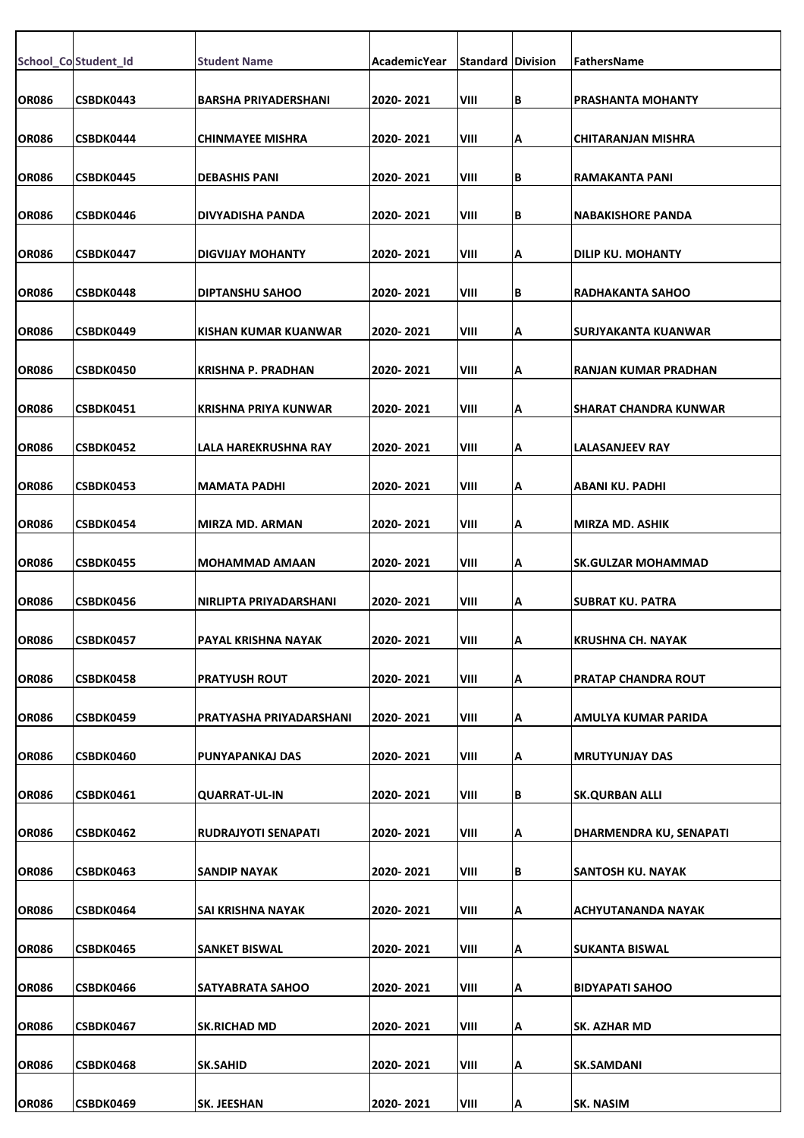|              | School_Co Student_Id | <b>Student Name</b>           | AcademicYear | <b>Standard Division</b> |    | FathersName                  |
|--------------|----------------------|-------------------------------|--------------|--------------------------|----|------------------------------|
|              |                      |                               |              |                          |    |                              |
| <b>OR086</b> | CSBDK0443            | <b>BARSHA PRIYADERSHANI</b>   | 2020-2021    | VIII                     | B  | <b>PRASHANTA MOHANTY</b>     |
| <b>OR086</b> | CSBDK0444            | <b>CHINMAYEE MISHRA</b>       | 2020-2021    | VIII                     | A  | <b>CHITARANJAN MISHRA</b>    |
| OR086        | CSBDK0445            | <b>DEBASHIS PANI</b>          | 2020-2021    | VIII                     | B  | RAMAKANTA PANI               |
| <b>OR086</b> | CSBDK0446            | DIVYADISHA PANDA              | 2020-2021    | VIII                     | B  | <b>NABAKISHORE PANDA</b>     |
| <b>OR086</b> | CSBDK0447            | <b>DIGVIJAY MOHANTY</b>       | 2020-2021    | VIII                     | Α  | <b>DILIP KU. MOHANTY</b>     |
| <b>OR086</b> | CSBDK0448            | <b>DIPTANSHU SAHOO</b>        | 2020-2021    | VIII                     | B  | <b>RADHAKANTA SAHOO</b>      |
| <b>OR086</b> | CSBDK0449            | KISHAN KUMAR KUANWAR          | 2020- 2021   | VIII                     | A  | SURJYAKANTA KUANWAR          |
| <b>OR086</b> | CSBDK0450            | <b>KRISHNA P. PRADHAN</b>     | 2020-2021    | VIII                     | A  | RANJAN KUMAR PRADHAN         |
| <b>OR086</b> | CSBDK0451            | <b>KRISHNA PRIYA KUNWAR</b>   | 2020-2021    | VIII                     | Α  | <b>SHARAT CHANDRA KUNWAR</b> |
| <b>OR086</b> | CSBDK0452            | LALA HAREKRUSHNA RAY          | 2020-2021    | VIII                     | A  | <b>LALASANJEEV RAY</b>       |
| OR086        | CSBDK0453            | <b>MAMATA PADHI</b>           | 2020-2021    | VIII                     | A  | ABANI KU. PADHI              |
|              |                      |                               |              |                          |    |                              |
| <b>OR086</b> | CSBDK0454            | MIRZA MD. ARMAN               | 2020-2021    | VIII                     | A  | MIRZA MD. ASHIK              |
| <b>OR086</b> | CSBDK0455            | MOHAMMAD AMAAN                | 2020-2021    | VIII                     | A  | <b>SK.GULZAR MOHAMMAD</b>    |
| <b>OR086</b> | CSBDK0456            | <b>NIRLIPTA PRIYADARSHANI</b> | 2020-2021    | VIII                     | Α  | <b>SUBRAT KU. PATRA</b>      |
| <b>OR086</b> | CSBDK0457            | PAYAL KRISHNA NAYAK           | 2020-2021    | VIII                     | ΙA | KRUSHNA CH. NAYAK            |
| <b>OR086</b> | CSBDK0458            | <b>PRATYUSH ROUT</b>          | 2020-2021    | VIII                     | A  | <b>PRATAP CHANDRA ROUT</b>   |
| <b>OR086</b> | CSBDK0459            | PRATYASHA PRIYADARSHANI       | 2020- 2021   | VIII                     | Α  | <b>AMULYA KUMAR PARIDA</b>   |
| <b>OR086</b> | CSBDK0460            | PUNYAPANKAJ DAS               | 2020-2021    | VIII                     | Α  | <b>MRUTYUNJAY DAS</b>        |
| <b>OR086</b> | CSBDK0461            | QUARRAT-UL-IN                 | 2020-2021    | VIII                     | B  | SK.QURBAN ALLI               |
| <b>OR086</b> | CSBDK0462            | RUDRAJYOTI SENAPATI           | 2020-2021    | VIII                     | Α  | DHARMENDRA KU, SENAPATI      |
| <b>OR086</b> | CSBDK0463            | SANDIP NAYAK                  | 2020-2021    | VIII                     | B  | <b>SANTOSH KU. NAYAK</b>     |
| OR086        | CSBDK0464            | SAI KRISHNA NAYAK             | 2020-2021    | VIII                     | A  | ACHYUTANANDA NAYAK           |
| <b>OR086</b> | CSBDK0465            | SANKET BISWAL                 | 2020-2021    | VIII                     | Α  | SUKANTA BISWAL               |
| <b>OR086</b> | CSBDK0466            | SATYABRATA SAHOO              | 2020-2021    | VIII                     | A  | <b>BIDYAPATI SAHOO</b>       |
| <b>OR086</b> | CSBDK0467            | SK.RICHAD MD                  | 2020-2021    | VIII                     | Α  | SK. AZHAR MD                 |
| <b>OR086</b> | CSBDK0468            | SK.SAHID                      | 2020-2021    | VIII                     | Α  | <b>SK.SAMDANI</b>            |
| <b>OR086</b> | CSBDK0469            | SK. JEESHAN                   | 2020-2021    | VIII                     | ΙA | <b>SK. NASIM</b>             |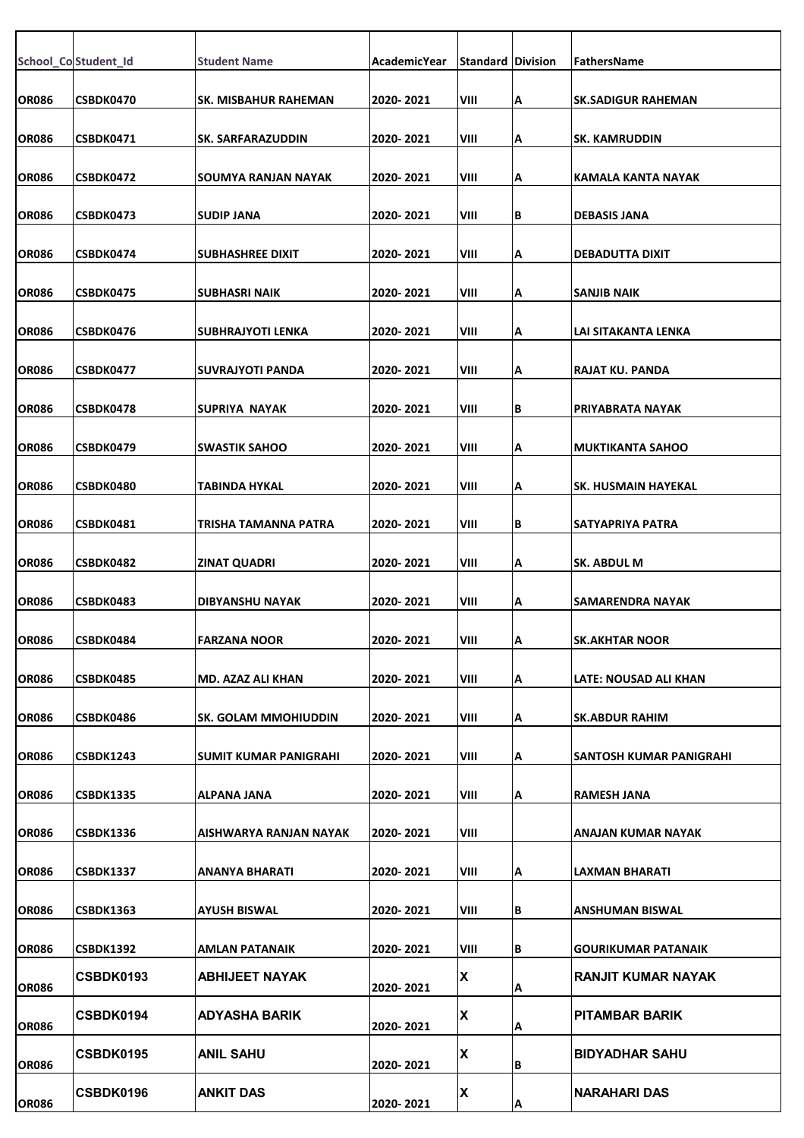|              | School_Co Student_Id | <b>Student Name</b>      | AcademicYear | <b>Standard Division</b> |        | FathersName                  |
|--------------|----------------------|--------------------------|--------------|--------------------------|--------|------------------------------|
| <b>OR086</b> | CSBDK0470            | SK. MISBAHUR RAHEMAN     | 2020-2021    | VIII                     | Α      | <b>SK.SADIGUR RAHEMAN</b>    |
| <b>OR086</b> | CSBDK0471            | SK. SARFARAZUDDIN        | 2020-2021    | VIII                     | A      | <b>SK. KAMRUDDIN</b>         |
| <b>OR086</b> | CSBDK0472            | SOUMYA RANJAN NAYAK      | 2020-2021    | VIII                     | A      | KAMALA KANTA NAYAK           |
| <b>OR086</b> | CSBDK0473            | <b>SUDIP JANA</b>        | 2020-2021    | VIII                     | lВ     | <b>DEBASIS JANA</b>          |
| <b>OR086</b> | CSBDK0474            | SUBHASHREE DIXIT         | 2020-2021    | VIII                     | A      | <b>DEBADUTTA DIXIT</b>       |
| <b>OR086</b> | CSBDK0475            | SUBHASRI NAIK            | 2020-2021    | VIII                     | A      | SANJIB NAIK                  |
| <b>OR086</b> | CSBDK0476            | SUBHRAJYOTI LENKA        | 2020-2021    | VIII                     | A      | LAI SITAKANTA LENKA          |
| <b>OR086</b> | CSBDK0477            | <b>SUVRAJYOTI PANDA</b>  | 2020-2021    | VIII                     | Α      | <b>RAJAT KU. PANDA</b>       |
| <b>OR086</b> | CSBDK0478            | <b>SUPRIYA NAYAK</b>     | 2020-2021    | VIII                     | B      | PRIYABRATA NAYAK             |
| OR086        | CSBDK0479            | <b>SWASTIK SAHOO</b>     | 2020-2021    | VIII                     | A      | <b>MUKTIKANTA SAHOO</b>      |
| <b>OR086</b> | CSBDK0480            | TABINDA HYKAL            | 2020-2021    | VIII                     | Α      | <b>SK. HUSMAIN HAYEKAL</b>   |
| <b>OR086</b> | CSBDK0481            | TRISHA TAMANNA PATRA     | 2020-2021    | VIII                     | lв     | SATYAPRIYA PATRA             |
| <b>OR086</b> | CSBDK0482            | <b>ZINAT QUADRI</b>      | 2020-2021    | VIII                     | Α      | SK. ABDUL M                  |
| <b>OR086</b> | CSBDK0483            | <b>DIBYANSHU NAYAK</b>   | 2020-2021    | VIII                     | A      | SAMARENDRA NAYAK             |
| <b>OR086</b> | CSBDK0484            | <b>FARZANA NOOR</b>      | 2020-2021    | VIII                     | IА     | <b>SK.AKHTAR NOOR</b>        |
| <b>OR086</b> | CSBDK0485            | <b>MD. AZAZ ALI KHAN</b> | 2020-2021    | VIII                     | A      | <b>LATE: NOUSAD ALI KHAN</b> |
| <b>OR086</b> | CSBDK0486            | SK. GOLAM MMOHIUDDIN     | 2020-2021    | VIII                     | Α      | <b>SK.ABDUR RAHIM</b>        |
| <b>OR086</b> | CSBDK1243            | SUMIT KUMAR PANIGRAHI    | 2020-2021    | VIII                     | Α      | SANTOSH KUMAR PANIGRAHI      |
| <b>OR086</b> | CSBDK1335            | <b>ALPANA JANA</b>       | 2020-2021    | VIII                     | A      | <b>RAMESH JANA</b>           |
| <b>OR086</b> | <b>CSBDK1336</b>     | AISHWARYA RANJAN NAYAK   | 2020-2021    | VIII                     |        | ANAJAN KUMAR NAYAK           |
| <b>OR086</b> | <b>CSBDK1337</b>     | <b>ANANYA BHARATI</b>    | 2020-2021    | VIII                     | A      | <b>LAXMAN BHARATI</b>        |
| OR086        | CSBDK1363            | AYUSH BISWAL             | 2020-2021    | VIII                     | В      | ANSHUMAN BISWAL              |
| <b>OR086</b> | CSBDK1392            | AMLAN PATANAIK           | 2020-2021    | VIII                     | B      | <b>GOURIKUMAR PATANAIK</b>   |
| <b>OR086</b> | <b>CSBDK0193</b>     | <b>ABHIJEET NAYAK</b>    | 2020-2021    | X                        |        | <b>RANJIT KUMAR NAYAK</b>    |
| <b>OR086</b> | CSBDK0194            | <b>ADYASHA BARIK</b>     | 2020-2021    | X                        | А<br>Α | <b>PITAMBAR BARIK</b>        |
| <b>OR086</b> | CSBDK0195            | <b>ANIL SAHU</b>         | 2020-2021    | X                        | В      | <b>BIDYADHAR SAHU</b>        |
| <b>OR086</b> | CSBDK0196            | <b>ANKIT DAS</b>         | 2020-2021    | IХ                       | А      | <b>NARAHARI DAS</b>          |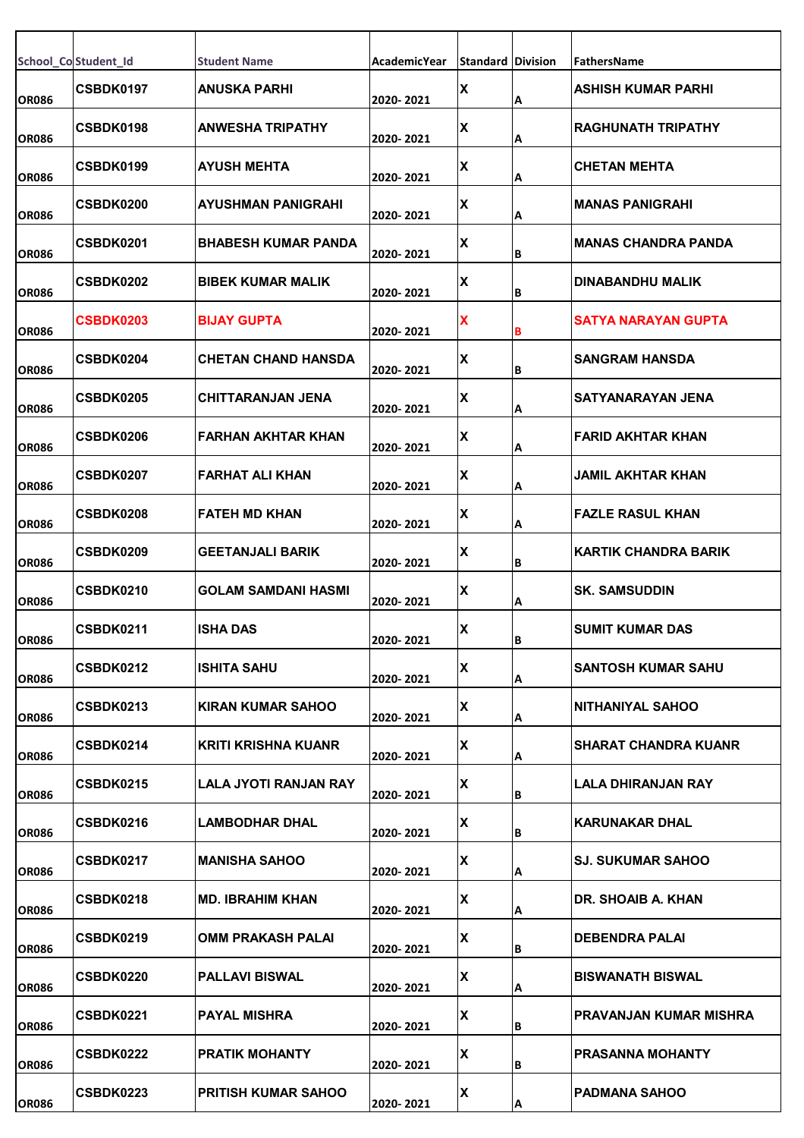|              | School_Co Student_Id | <b>Student Name</b>        | AcademicYear | <b>Standard Division</b> |    | FathersName               |
|--------------|----------------------|----------------------------|--------------|--------------------------|----|---------------------------|
| <b>OR086</b> | <b>CSBDK0197</b>     | ANUSKA PARHI               | 2020-2021    | X                        | Α  | ASHISH KUMAR PARHI        |
| <b>OR086</b> | CSBDK0198            | ANWESHA TRIPATHY           | 2020-2021    | X                        | Α  | <b>RAGHUNATH TRIPATHY</b> |
| <b>OR086</b> | <b>CSBDK0199</b>     | AYUSH MEHTA                | 2020-2021    | $\pmb{\mathsf{X}}$       | ΙA | <b>CHETAN MEHTA</b>       |
| <b>OR086</b> | <b>CSBDK0200</b>     | <b>AYUSHMAN PANIGRAHI</b>  | 2020-2021    | X                        | A  | MANAS PANIGRAHI           |
| <b>OR086</b> | <b>CSBDK0201</b>     | <b>BHABESH KUMAR PANDA</b> | 2020-2021    | $\pmb{\mathsf{X}}$       | B  | IMANAS CHANDRA PANDA      |
| OR086        | <b>CSBDK0202</b>     | <b>BIBEK KUMAR MALIK</b>   | 2020-2021    | $\pmb{\mathsf{X}}$       | B  | DINABANDHU MALIK          |
| <b>OR086</b> | <b>CSBDK0203</b>     | <b>BIJAY GUPTA</b>         | 2020-2021    | X                        |    | SATYA NARAYAN GUPTA       |
| <b>OR086</b> | <b>CSBDK0204</b>     | <b>CHETAN CHAND HANSDA</b> | 2020-2021    | X                        | B  | ISANGRAM HANSDA           |
| <b>OR086</b> | <b>CSBDK0205</b>     | CHITTARANJAN JENA          | 2020-2021    | χ                        | Α  | ISATYANARAYAN JENA        |
| <b>OR086</b> | <b>CSBDK0206</b>     | FARHAN AKHTAR KHAN         | 2020-2021    | X                        | Α  | IFARID AKHTAR KHAN        |
| OR086        | <b>CSBDK0207</b>     | <b>FARHAT ALI KHAN</b>     | 2020-2021    | $\pmb{\mathsf{X}}$       | Α  | JAMIL AKHTAR KHAN         |
| <b>OR086</b> | CSBDK0208            | <b>FATEH MD KHAN</b>       | 2020-2021    | X                        | Α  | <b>FAZLE RASUL KHAN</b>   |
| <b>OR086</b> | CSBDK0209            | <b>GEETANJALI BARIK</b>    | 2020-2021    | $\pmb{\mathsf{X}}$       | B  | KARTIK CHANDRA BARIK      |
| <b>OR086</b> | CSBDK0210            | GOLAM SAMDANI HASMI        | 2020-2021    | X                        | Α  | ISK. SAMSUDDIN            |
| <b>OR086</b> | <b>ICSBDK0211</b>    | <b>ISHA DAS</b>            | 2020-2021    | ΙX                       | B  | ISUMIT KUMAR DAS          |
| <b>OR086</b> | <b>CSBDK0212</b>     | ISHITA SAHU                | 2020-2021    | X                        | A  | SANTOSH KUMAR SAHU        |
| <b>OR086</b> | <b>CSBDK0213</b>     | KIRAN KUMAR SAHOO          | 2020-2021    | χ                        | Α  | INITHANIYAL SAHOO         |
| OR086        | CSBDK0214            | KRITI KRISHNA KUANR        | 2020-2021    | X                        | Α  | ISHARAT CHANDRA KUANR     |
| <b>OR086</b> | <b>CSBDK0215</b>     | LALA JYOTI RANJAN RAY      | 2020- 2021   | X                        | ΙB | LALA DHIRANJAN RAY        |
| <b>OR086</b> | <b>CSBDK0216</b>     | <b>LAMBODHAR DHAL</b>      | 2020-2021    | X                        | B  | IKARUNAKAR DHAL           |
| <b>OR086</b> | <b>CSBDK0217</b>     | <b>MANISHA SAHOO</b>       | 2020-2021    | X                        | A  | ISJ. SUKUMAR SAHOO        |
| <b>OR086</b> | <b>CSBDK0218</b>     | <b>MD. IBRAHIM KHAN</b>    | 2020-2021    | X                        | A  | <b>DR. SHOAIB A. KHAN</b> |
| <b>OR086</b> | <b>CSBDK0219</b>     | <b>OMM PRAKASH PALAI</b>   | 2020-2021    | X                        | lВ | <b>DEBENDRA PALAI</b>     |
| <b>OR086</b> | <b>CSBDK0220</b>     | <b>PALLAVI BISWAL</b>      | 2020-2021    | X                        | A  | <b>BISWANATH BISWAL</b>   |
| OR086        | CSBDK0221            | <b>PAYAL MISHRA</b>        | 2020-2021    | χ                        | B  | IPRAVANJAN KUMAR MISHRA   |
| <b>OR086</b> | CSBDK0222            | <b>PRATIK MOHANTY</b>      | 2020-2021    | X                        | B  | <b>PRASANNA MOHANTY</b>   |
| <b>OR086</b> | <b>CSBDK0223</b>     | <b>PRITISH KUMAR SAHOO</b> | 2020-2021    | X                        | Α  | PADMANA SAHOO             |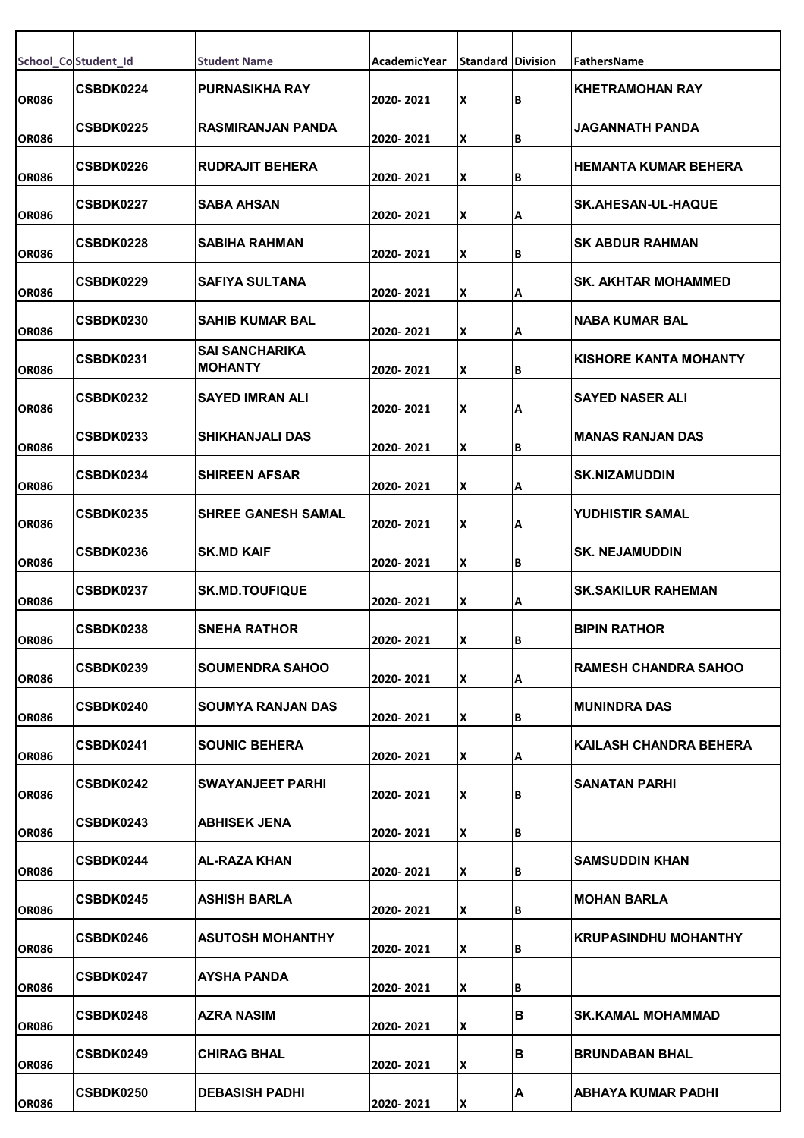|              | School_Co Student_Id | <b>Student Name</b>                     | AcademicYear | <b>Standard Division</b> |   | FathersName                  |
|--------------|----------------------|-----------------------------------------|--------------|--------------------------|---|------------------------------|
| <b>OR086</b> | CSBDK0224            | <b>PURNASIKHA RAY</b>                   | 2020-2021    | x                        | В | <b>KHETRAMOHAN RAY</b>       |
| <b>OR086</b> | CSBDK0225            | <b>RASMIRANJAN PANDA</b>                | 2020-2021    | X                        | B | JAGANNATH PANDA              |
| <b>OR086</b> | <b>CSBDK0226</b>     | <b>RUDRAJIT BEHERA</b>                  | 2020- 2021   | X                        | B | HEMANTA KUMAR BEHERA         |
| <b>OR086</b> | <b>CSBDK0227</b>     | <b>SABA AHSAN</b>                       | 2020-2021    | X                        | А | <b>SK.AHESAN-UL-HAQUE</b>    |
| <b>OR086</b> | CSBDK0228            | SABIHA RAHMAN                           | 2020- 2021   | x                        | В | SK ABDUR RAHMAN              |
| <b>OR086</b> | CSBDK0229            | <b>SAFIYA SULTANA</b>                   | 2020-2021    | X                        | А | <b>SK. AKHTAR MOHAMMED</b>   |
| <b>OR086</b> | <b>CSBDK0230</b>     | <b>SAHIB KUMAR BAL</b>                  | 2020-2021    | X                        | А | <b>NABA KUMAR BAL</b>        |
| <b>OR086</b> | CSBDK0231            | <b>SAI SANCHARIKA</b><br><b>MOHANTY</b> | 2020-2021    | X                        | В | <b>KISHORE KANTA MOHANTY</b> |
| <b>OR086</b> | CSBDK0232            | <b>SAYED IMRAN ALI</b>                  | 2020-2021    | X                        | А | <b>SAYED NASER ALI</b>       |
| <b>OR086</b> | CSBDK0233            | <b>SHIKHANJALI DAS</b>                  | 2020-2021    | X                        | В | <b>MANAS RANJAN DAS</b>      |
| <b>OR086</b> | <b>CSBDK0234</b>     | <b>SHIREEN AFSAR</b>                    | 2020-2021    | X                        | А | <b>SK.NIZAMUDDIN</b>         |
| <b>OR086</b> | CSBDK0235            | <b>SHREE GANESH SAMAL</b>               | 2020-2021    | X                        | А | YUDHISTIR SAMAL              |
| <b>OR086</b> | CSBDK0236            | <b>SK.MD KAIF</b>                       | 2020-2021    | x                        | В | <b>SK. NEJAMUDDIN</b>        |
| <b>OR086</b> | <b>CSBDK0237</b>     | <b>SK.MD.TOUFIQUE</b>                   | 2020-2021    | x                        | А | <b>SK.SAKILUR RAHEMAN</b>    |
| <b>OR086</b> | CSBDK0238            | <b>SNEHA RATHOR</b>                     | 2020-2021    | ΙX.                      | в | <b>BIPIN RATHOR</b>          |
| <b>OR086</b> | CSBDK0239            | <b>SOUMENDRA SAHOO</b>                  | 2020-2021    | X                        | А | <b>RAMESH CHANDRA SAHOO</b>  |
| <b>OR086</b> | <b>CSBDK0240</b>     | SOUMYA RANJAN DAS                       | 2020-2021    | x                        | B | <b>MUNINDRA DAS</b>          |
| <b>OR086</b> | CSBDK0241            | <b>SOUNIC BEHERA</b>                    | 2020-2021    | X                        | А | KAILASH CHANDRA BEHERA       |
| <b>OR086</b> | <b>CSBDK0242</b>     | <b>SWAYANJEET PARHI</b>                 | 2020-2021    | X                        | B | SANATAN PARHI                |
| <b>OR086</b> | <b>CSBDK0243</b>     | <b>ABHISEK JENA</b>                     | 2020-2021    | X                        | B |                              |
| <b>OR086</b> | <b>CSBDK0244</b>     | AL-RAZA KHAN                            | 2020-2021    | X                        | B | SAMSUDDIN KHAN               |
| <b>OR086</b> | <b>CSBDK0245</b>     | ASHISH BARLA                            | 2020-2021    | x                        | B | <b>MOHAN BARLA</b>           |
| <b>OR086</b> | CSBDK0246            | <b>ASUTOSH MOHANTHY</b>                 | 2020-2021    | X                        | B | <b>KRUPASINDHU MOHANTHY</b>  |
| <b>OR086</b> | <b>CSBDK0247</b>     | AYSHA PANDA                             | 2020-2021    | X                        | B |                              |
| <b>OR086</b> | <b>CSBDK0248</b>     | <b>AZRA NASIM</b>                       | 2020-2021    | X                        | B | <b>SK.KAMAL MOHAMMAD</b>     |
| <b>OR086</b> | CSBDK0249            | <b>CHIRAG BHAL</b>                      | 2020-2021    | X                        | B | <b>BRUNDABAN BHAL</b>        |
| <b>OR086</b> | CSBDK0250            | <b>DEBASISH PADHI</b>                   | 2020-2021    | X                        | A | <b>ABHAYA KUMAR PADHI</b>    |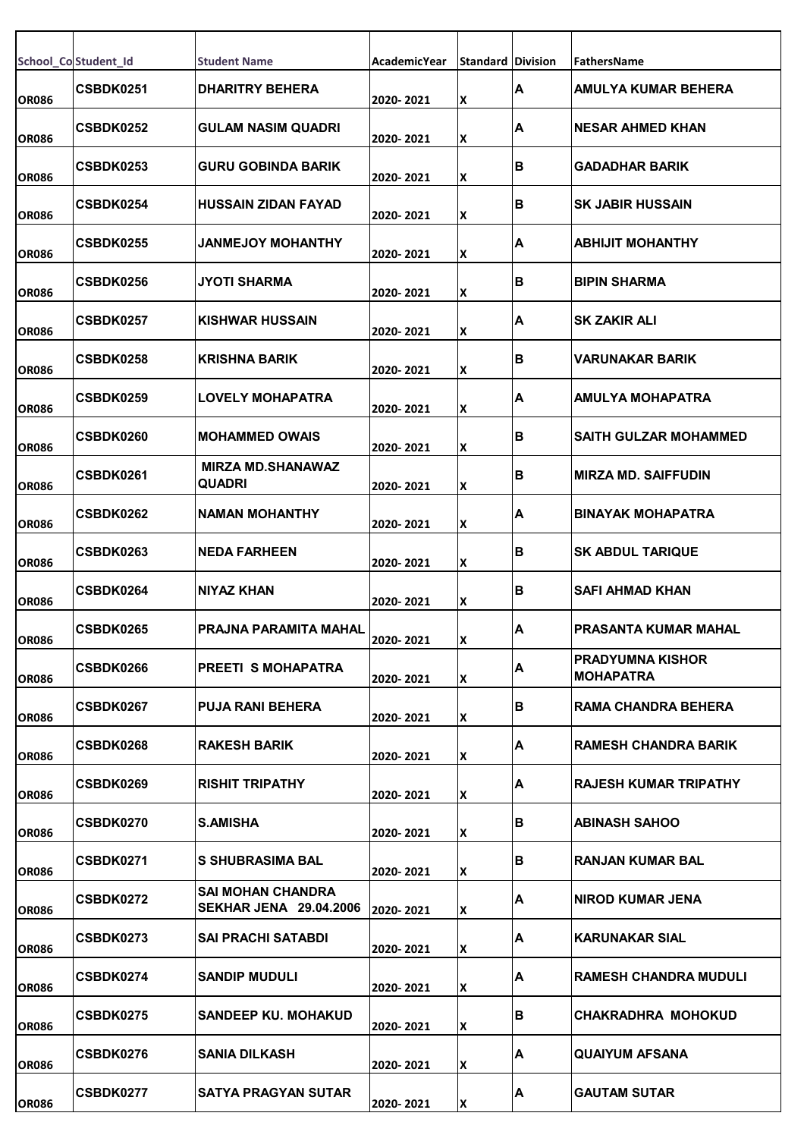|              | School_Co Student_Id | <b>Student Name</b>                                | AcademicYear | <b>Standard Division</b> |     | FathersName                            |
|--------------|----------------------|----------------------------------------------------|--------------|--------------------------|-----|----------------------------------------|
| <b>OR086</b> | CSBDK0251            | <b>DHARITRY BEHERA</b>                             | 2020-2021    | X                        | IA. | IAMULYA KUMAR BEHERA                   |
| <b>OR086</b> | CSBDK0252            | <b>GULAM NASIM QUADRI</b>                          | 2020-2021    | X                        | A   | <b>NESAR AHMED KHAN</b>                |
| <b>OR086</b> | <b>CSBDK0253</b>     | <b>GURU GOBINDA BARIK</b>                          | 2020-2021    | X                        | lΒ  | <b>GADADHAR BARIK</b>                  |
| <b>OR086</b> | <b>CSBDK0254</b>     | <b>HUSSAIN ZIDAN FAYAD</b>                         | 2020-2021    | X                        | ΙB  | <b>SK JABIR HUSSAIN</b>                |
| <b>OR086</b> | CSBDK0255            | JANMEJOY MOHANTHY                                  | 2020-2021    | X                        | ΙA  | ABHIJIT MOHANTHY                       |
| <b>OR086</b> | CSBDK0256            | <b>JYOTI SHARMA</b>                                | 2020-2021    | X                        | lΒ  | <b>BIPIN SHARMA</b>                    |
| <b>OR086</b> | <b>CSBDK0257</b>     | <b>KISHWAR HUSSAIN</b>                             | 2020-2021    | X                        | ΙA  | ISK ZAKIR ALI                          |
| <b>OR086</b> | CSBDK0258            | <b>KRISHNA BARIK</b>                               | 2020-2021    | X                        | ΙB  | VARUNAKAR BARIK                        |
| <b>OR086</b> | CSBDK0259            | <b>LOVELY MOHAPATRA</b>                            | 2020-2021    | X                        | ΙA  | AMULYA MOHAPATRA                       |
| <b>OR086</b> | CSBDK0260            | <b>MOHAMMED OWAIS</b>                              | 2020-2021    | X                        | lΒ  | <b>ISAITH GULZAR MOHAMMED</b>          |
| <b>OR086</b> | <b>CSBDK0261</b>     | <b>MIRZA MD.SHANAWAZ</b><br>QUADRI                 | 2020-2021    | X                        | lΒ  | MIRZA MD. SAIFFUDIN                    |
| <b>OR086</b> | <b>CSBDK0262</b>     | <b>NAMAN MOHANTHY</b>                              | 2020-2021    | X                        | ΙA  | <b>BINAYAK MOHAPATRA</b>               |
| <b>OR086</b> | CSBDK0263            | <b>NEDA FARHEEN</b>                                | 2020-2021    | X                        | lΒ  | <b>ISK ABDUL TARIQUE</b>               |
| <b>OR086</b> | <b>CSBDK0264</b>     | NIYAZ KHAN                                         | 2020-2021    | X                        | lΒ  | SAFI AHMAD KHAN                        |
| <b>OR086</b> | CSBDK0265            | PRAJNA PARAMITA MAHAL                              | 2020-2021    | ΙX.                      | A   | PRASANTA KUMAR MAHAL                   |
| <b>OR086</b> | CSBDK0266            | <b>PREETI S MOHAPATRA</b>                          | 2020-2021    | X                        | A   | IPRADYUMNA KISHOR<br><b>IMOHAPATRA</b> |
| <b>OR086</b> | <b>CSBDK0267</b>     | <b>PUJA RANI BEHERA</b>                            | 2020-2021    | X                        | lΒ  | IRAMA CHANDRA BEHERA                   |
| <b>OR086</b> | <b>CSBDK0268</b>     | <b>RAKESH BARIK</b>                                | 2020-2021    | X                        | A   | IRAMESH CHANDRA BARIK                  |
| <b>OR086</b> | <b>CSBDK0269</b>     | <b>RISHIT TRIPATHY</b>                             | 2020-2021    | X                        | A   | IRAJESH KUMAR TRIPATHY                 |
| <b>OR086</b> | <b>CSBDK0270</b>     | S.AMISHA                                           | 2020-2021    | X                        | lΒ  | IABINASH SAHOO                         |
| <b>OR086</b> | <b>CSBDK0271</b>     | S SHUBRASIMA BAL                                   | 2020-2021    | lχ                       | ΙB  | RANJAN KUMAR BAL                       |
| <b>OR086</b> | CSBDK0272            | SAI MOHAN CHANDRA<br><b>SEKHAR JENA 29.04.2006</b> | 2020-2021    | X                        | IA. | INIROD KUMAR JENA                      |
| <b>OR086</b> | <b>CSBDK0273</b>     | <b>SAI PRACHI SATABDI</b>                          | 2020-2021    | X                        | A   | IKARUNAKAR SIAL                        |
| <b>OR086</b> | <b>CSBDK0274</b>     | <b>SANDIP MUDULI</b>                               | 2020-2021    | X                        | IA. | <b>RAMESH CHANDRA MUDULI</b>           |
| <b>OR086</b> | CSBDK0275            | <b>SANDEEP KU, MOHAKUD</b>                         | 2020-2021    | X                        | lΒ  | CHAKRADHRA MOHOKUD                     |
| <b>OR086</b> | CSBDK0276            | <b>SANIA DILKASH</b>                               | 2020-2021    | X                        | A   | <b>QUAIYUM AFSANA</b>                  |
| <b>OR086</b> | CSBDK0277            | <b>SATYA PRAGYAN SUTAR</b>                         | 2020-2021    | Ιx                       | A   | <b>GAUTAM SUTAR</b>                    |